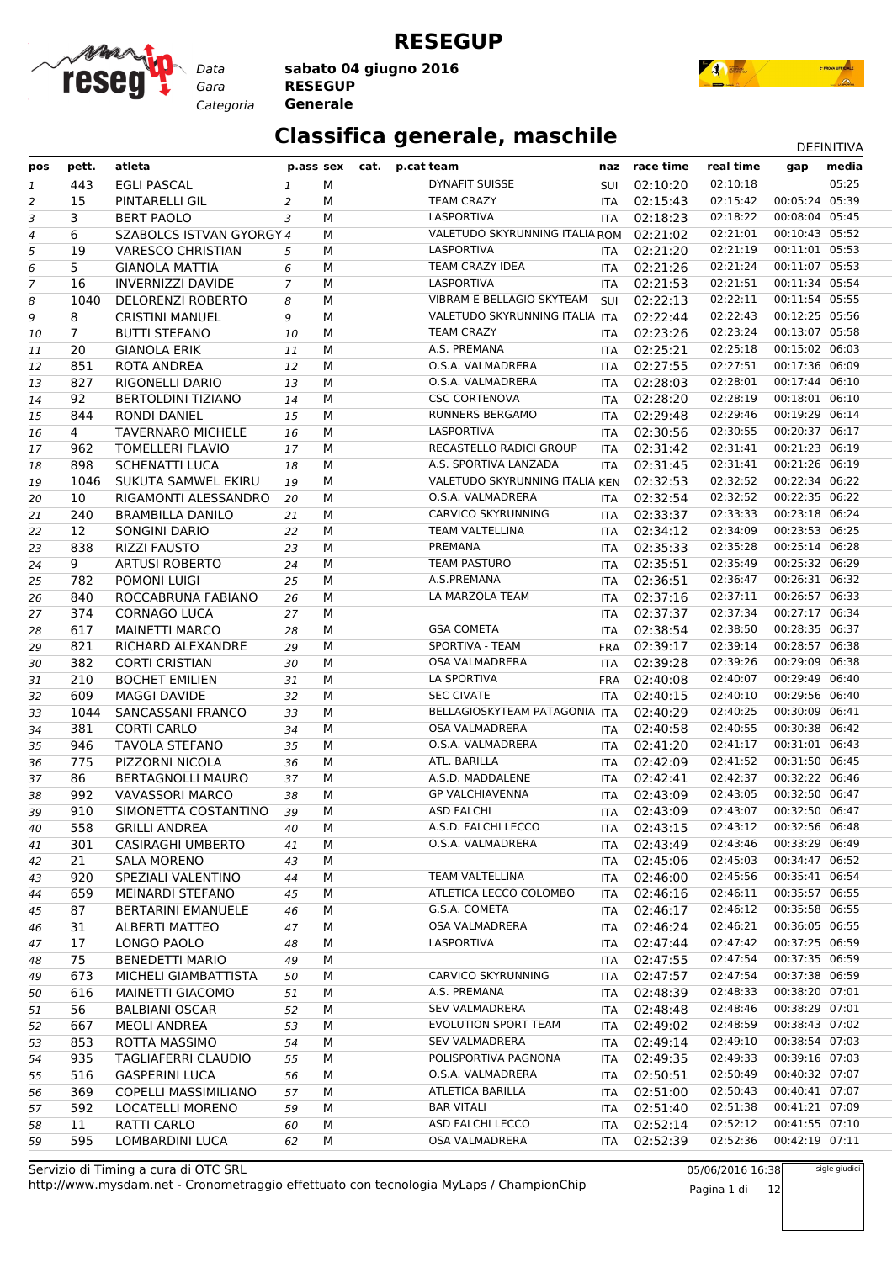

**RESEGUP**

*Gara* **RESEGUP sabato 04 giugno 2016**

*Categoria* **Generale**



### **Classifica generale, maschile** Department of the DEFINITIVA

|                |                |                             |           |   |                                |            |               |           | <b>レ∟!!!!!!!!</b> |  |
|----------------|----------------|-----------------------------|-----------|---|--------------------------------|------------|---------------|-----------|-------------------|--|
| pos            | pett.          | atleta                      | p.ass sex |   | cat. p.cat team                |            | naz race time | real time | media<br>gap      |  |
| 1              | 443            | <b>EGLI PASCAL</b>          | 1         | М | <b>DYNAFIT SUISSE</b>          | SUI        | 02:10:20      | 02:10:18  | 05:25             |  |
| 2              | 15             | PINTARELLI GIL              | 2         | М | <b>TEAM CRAZY</b>              | <b>ITA</b> | 02:15:43      | 02:15:42  | 00:05:24 05:39    |  |
| 3              | 3              | <b>BERT PAOLO</b>           | 3         | M | LASPORTIVA                     | <b>ITA</b> | 02:18:23      | 02:18:22  | 00:08:04 05:45    |  |
| 4              | 6              | SZABOLCS ISTVAN GYORGY 4    |           | M | VALETUDO SKYRUNNING ITALIA ROM |            | 02:21:02      | 02:21:01  | 00:10:43 05:52    |  |
| 5              | 19             | <b>VARESCO CHRISTIAN</b>    | 5         | М | LASPORTIVA                     | <b>ITA</b> | 02:21:20      | 02:21:19  | 00:11:01 05:53    |  |
| 6              | 5              | <b>GIANOLA MATTIA</b>       | 6         | М | TEAM CRAZY IDEA                | <b>ITA</b> | 02:21:26      | 02:21:24  | 00:11:07 05:53    |  |
| $\overline{7}$ | 16             | <b>INVERNIZZI DAVIDE</b>    | 7         | M | LASPORTIVA                     | <b>ITA</b> | 02:21:53      | 02:21:51  | 00:11:34 05:54    |  |
| 8              | 1040           | <b>DELORENZI ROBERTO</b>    | 8         | M | VIBRAM E BELLAGIO SKYTEAM      | SUI        | 02:22:13      | 02:22:11  | 00:11:54 05:55    |  |
| 9              | 8              | <b>CRISTINI MANUEL</b>      | 9         | M | VALETUDO SKYRUNNING ITALIA ITA |            | 02:22:44      | 02:22:43  | 00:12:25 05:56    |  |
| 10             | $\overline{7}$ | <b>BUTTI STEFANO</b>        | 10        | M | <b>TEAM CRAZY</b>              | <b>ITA</b> | 02:23:26      | 02:23:24  | 00:13:07 05:58    |  |
|                | 20             | <b>GIANOLA ERIK</b>         | 11        | M | A.S. PREMANA                   | <b>ITA</b> | 02:25:21      | 02:25:18  | 00:15:02 06:03    |  |
| 11             | 851            |                             |           | М | O.S.A. VALMADRERA              |            | 02:27:55      | 02:27:51  | 00:17:36 06:09    |  |
| 12             |                | ROTA ANDREA                 | 12        |   | O.S.A. VALMADRERA              | ITA        |               | 02:28:01  | 00:17:44 06:10    |  |
| 13             | 827            | RIGONELLI DARIO             | 13        | M |                                | <b>ITA</b> | 02:28:03      | 02:28:19  | 00:18:01 06:10    |  |
| 14             | 92             | <b>BERTOLDINI TIZIANO</b>   | 14        | M | <b>CSC CORTENOVA</b>           | <b>ITA</b> | 02:28:20      |           |                   |  |
| 15             | 844            | <b>RONDI DANIEL</b>         | 15        | M | <b>RUNNERS BERGAMO</b>         | <b>ITA</b> | 02:29:48      | 02:29:46  | 00:19:29 06:14    |  |
| 16             | $\overline{4}$ | <b>TAVERNARO MICHELE</b>    | 16        | M | LASPORTIVA                     | <b>ITA</b> | 02:30:56      | 02:30:55  | 00:20:37 06:17    |  |
| 17             | 962            | <b>TOMELLERI FLAVIO</b>     | 17        | М | RECASTELLO RADICI GROUP        | <b>ITA</b> | 02:31:42      | 02:31:41  | 00:21:23 06:19    |  |
| 18             | 898            | <b>SCHENATTI LUCA</b>       | 18        | М | A.S. SPORTIVA LANZADA          | <b>ITA</b> | 02:31:45      | 02:31:41  | 00:21:26 06:19    |  |
| 19             | 1046           | SUKUTA SAMWEL EKIRU         | 19        | M | VALETUDO SKYRUNNING ITALIA KEN |            | 02:32:53      | 02:32:52  | 00:22:34 06:22    |  |
| 20             | 10             | RIGAMONTI ALESSANDRO        | 20        | M | O.S.A. VALMADRERA              | <b>ITA</b> | 02:32:54      | 02:32:52  | 00:22:35 06:22    |  |
| 21             | 240            | <b>BRAMBILLA DANILO</b>     | 21        | M | <b>CARVICO SKYRUNNING</b>      | <b>ITA</b> | 02:33:37      | 02:33:33  | 00:23:18 06:24    |  |
| 22             | 12             | SONGINI DARIO               | 22        | M | <b>TEAM VALTELLINA</b>         | <b>ITA</b> | 02:34:12      | 02:34:09  | 00:23:53 06:25    |  |
| 23             | 838            | <b>RIZZI FAUSTO</b>         | 23        | M | PREMANA                        | <b>ITA</b> | 02:35:33      | 02:35:28  | 00:25:14 06:28    |  |
| 24             | 9              | <b>ARTUSI ROBERTO</b>       | 24        | М | <b>TEAM PASTURO</b>            | ITA        | 02:35:51      | 02:35:49  | 00:25:32 06:29    |  |
| 25             | 782            | POMONI LUIGI                | 25        | M | A.S.PREMANA                    | <b>ITA</b> | 02:36:51      | 02:36:47  | 00:26:31 06:32    |  |
| 26             | 840            | ROCCABRUNA FABIANO          | 26        | M | LA MARZOLA TEAM                | <b>ITA</b> | 02:37:16      | 02:37:11  | 00:26:57 06:33    |  |
| 27             | 374            | <b>CORNAGO LUCA</b>         | 27        | М |                                | <b>ITA</b> | 02:37:37      | 02:37:34  | 00:27:17 06:34    |  |
| 28             | 617            | <b>MAINETTI MARCO</b>       | 28        | M | <b>GSA COMETA</b>              | <b>ITA</b> | 02:38:54      | 02:38:50  | 00:28:35 06:37    |  |
| 29             | 821            | RICHARD ALEXANDRE           | 29        | M | SPORTIVA - TEAM                | <b>FRA</b> | 02:39:17      | 02:39:14  | 00:28:57 06:38    |  |
| 30             | 382            | <b>CORTI CRISTIAN</b>       | 30        | М | <b>OSA VALMADRERA</b>          | <b>ITA</b> | 02:39:28      | 02:39:26  | 00:29:09 06:38    |  |
| 31             | 210            | <b>BOCHET EMILIEN</b>       | 31        | M | LA SPORTIVA                    | FRA        | 02:40:08      | 02:40:07  | 00:29:49 06:40    |  |
| 32             | 609            | <b>MAGGI DAVIDE</b>         | 32        | M | <b>SEC CIVATE</b>              | <b>ITA</b> | 02:40:15      | 02:40:10  | 00:29:56 06:40    |  |
| 33             | 1044           | SANCASSANI FRANCO           | 33        | M | BELLAGIOSKYTEAM PATAGONIA ITA  |            | 02:40:29      | 02:40:25  | 00:30:09 06:41    |  |
| 34             | 381            | <b>CORTI CARLO</b>          | 34        | M | <b>OSA VALMADRERA</b>          | <b>ITA</b> | 02:40:58      | 02:40:55  | 00:30:38 06:42    |  |
| 35             | 946            | <b>TAVOLA STEFANO</b>       | 35        | M | O.S.A. VALMADRERA              | ITA        | 02:41:20      | 02:41:17  | 00:31:01 06:43    |  |
| 36             | 775            | PIZZORNI NICOLA             | 36        | М | ATL. BARILLA                   | ITA        | 02:42:09      | 02:41:52  | 00:31:50 06:45    |  |
| 37             | 86             | <b>BERTAGNOLLI MAURO</b>    | 37        | M | A.S.D. MADDALENE               | <b>ITA</b> | 02:42:41      | 02:42:37  | 00:32:22 06:46    |  |
| 38             | 992            | <b>VAVASSORI MARCO</b>      | 38        | M | <b>GP VALCHIAVENNA</b>         | <b>ITA</b> | 02:43:09      | 02:43:05  | 00:32:50 06:47    |  |
|                | 910            | SIMONETTA COSTANTINO        | 39        | М | <b>ASD FALCHI</b>              |            | 02:43:09      | 02:43:07  | 00:32:50 06:47    |  |
| 39             |                |                             |           |   | A.S.D. FALCHI LECCO            | <b>ITA</b> |               | 02:43:12  |                   |  |
| 40             | 558            | <b>GRILLI ANDREA</b>        | 40        | М |                                | ITA        | 02:43:15      |           | 00:32:56 06:48    |  |
| 41             | 301            | <b>CASIRAGHI UMBERTO</b>    | 41        | М | O.S.A. VALMADRERA              | ITA.       | 02:43:49      | 02:43:46  | 00:33:29 06:49    |  |
| 42             | 21             | <b>SALA MORENO</b>          | 43        | М |                                | ITA        | 02:45:06      | 02:45:03  | 00:34:47 06:52    |  |
| 43             | 920            | SPEZIALI VALENTINO          | 44        | М | TEAM VALTELLINA                | ITA        | 02:46:00      | 02:45:56  | 00:35:41 06:54    |  |
| 44             | 659            | MEINARDI STEFANO            | 45        | М | ATLETICA LECCO COLOMBO         | ITA        | 02:46:16      | 02:46:11  | 00:35:57 06:55    |  |
| 45             | 87             | <b>BERTARINI EMANUELE</b>   | 46        | М | G.S.A. COMETA                  | ITA        | 02:46:17      | 02:46:12  | 00:35:58 06:55    |  |
| 46             | 31             | ALBERTI MATTEO              | 47        | М | OSA VALMADRERA                 | ITA        | 02:46:24      | 02:46:21  | 00:36:05 06:55    |  |
| 47             | 17             | LONGO PAOLO                 | 48        | м | LASPORTIVA                     | ITA        | 02:47:44      | 02:47:42  | 00:37:25 06:59    |  |
| 48             | 75             | <b>BENEDETTI MARIO</b>      | 49        | М |                                | ITA        | 02:47:55      | 02:47:54  | 00:37:35 06:59    |  |
| 49             | 673            | MICHELI GIAMBATTISTA        | 50        | М | <b>CARVICO SKYRUNNING</b>      | ITA        | 02:47:57      | 02:47:54  | 00:37:38 06:59    |  |
| 50             | 616            | MAINETTI GIACOMO            | 51        | М | A.S. PREMANA                   | ITA        | 02:48:39      | 02:48:33  | 00:38:20 07:01    |  |
| 51             | 56             | <b>BALBIANI OSCAR</b>       | 52        | М | <b>SEV VALMADRERA</b>          | ITA        | 02:48:48      | 02:48:46  | 00:38:29 07:01    |  |
| 52             | 667            | MEOLI ANDREA                | 53        | М | EVOLUTION SPORT TEAM           | ITA        | 02:49:02      | 02:48:59  | 00:38:43 07:02    |  |
| 53             | 853            | ROTTA MASSIMO               | 54        | м | <b>SEV VALMADRERA</b>          | ITA.       | 02:49:14      | 02:49:10  | 00:38:54 07:03    |  |
| 54             | 935            | <b>TAGLIAFERRI CLAUDIO</b>  | 55        | м | POLISPORTIVA PAGNONA           | ITA        | 02:49:35      | 02:49:33  | 00:39:16 07:03    |  |
| 55             | 516            | <b>GASPERINI LUCA</b>       | 56        | М | O.S.A. VALMADRERA              | ITA        | 02:50:51      | 02:50:49  | 00:40:32 07:07    |  |
| 56             | 369            | <b>COPELLI MASSIMILIANO</b> | 57        | М | ATLETICA BARILLA               | ITA        | 02:51:00      | 02:50:43  | 00:40:41 07:07    |  |
| 57             | 592            | LOCATELLI MORENO            | 59        | М | <b>BAR VITALI</b>              | ITA        | 02:51:40      | 02:51:38  | 00:41:21 07:09    |  |
| 58             | 11             | RATTI CARLO                 | 60        | М | ASD FALCHI LECCO               | ITA        | 02:52:14      | 02:52:12  | 00:41:55 07:10    |  |
| 59             | 595            | LOMBARDINI LUCA             | 62        | М | OSA VALMADRERA                 | ITA.       | 02:52:39      | 02:52:36  | 00:42:19 07:11    |  |
|                |                |                             |           |   |                                |            |               |           |                   |  |

http://www.mysdam.net - Cronometraggio effettuato con tecnologia MyLaps / ChampionChip Servizio di Timing a cura di OTC SRL

05/06/2016 16:38 Pagina 1 di 12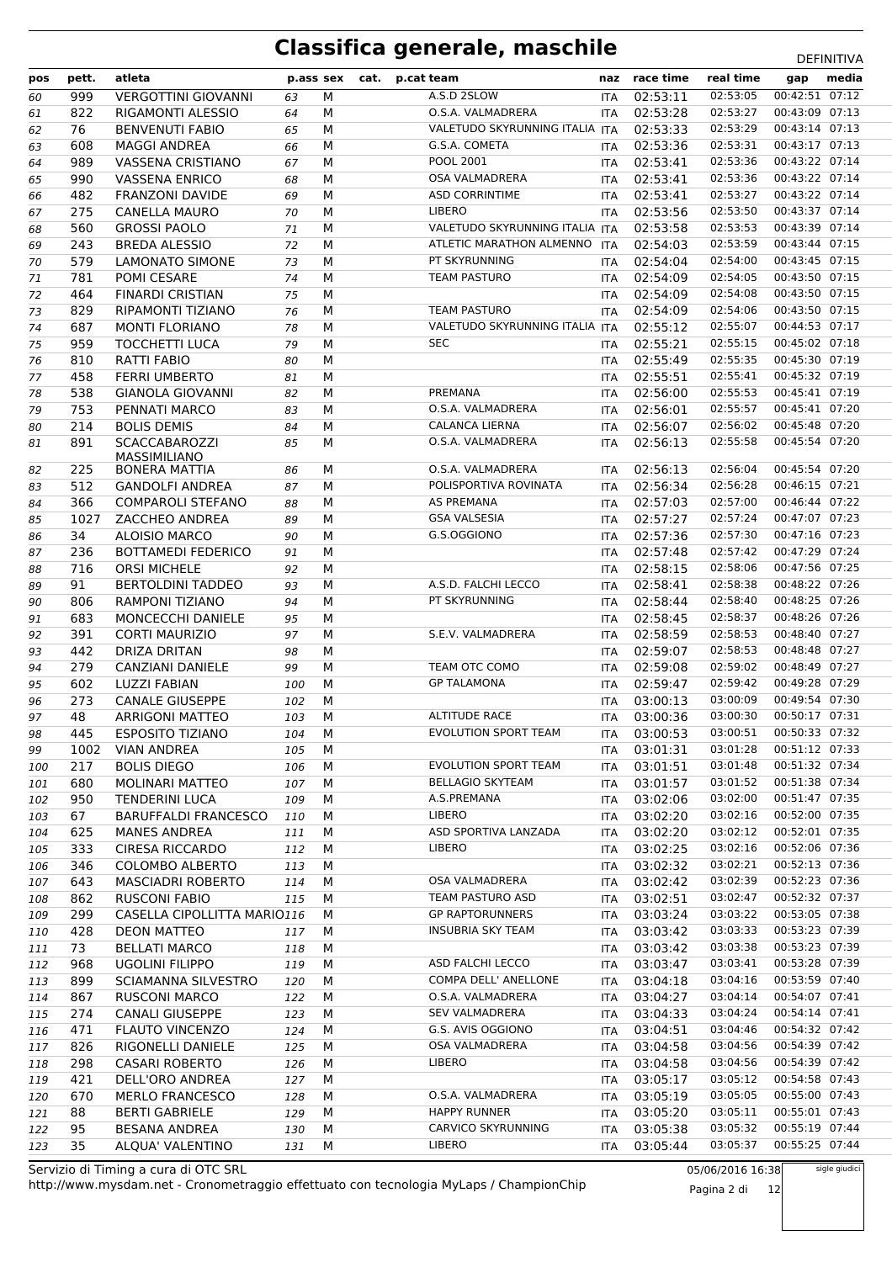| pos      | pett.      | atleta                                  | p.ass sex  |        | cat. | p.cat team                           | naz                      | race time            | real time            | gap                              | media |
|----------|------------|-----------------------------------------|------------|--------|------|--------------------------------------|--------------------------|----------------------|----------------------|----------------------------------|-------|
| 60       | 999        | <b>VERGOTTINI GIOVANNI</b>              | 63         | M      |      | A.S.D 2SLOW                          | <b>ITA</b>               | 02:53:11             | 02:53:05             | 00:42:51 07:12                   |       |
| 61       | 822        | RIGAMONTI ALESSIO                       | 64         | М      |      | O.S.A. VALMADRERA                    | <b>ITA</b>               | 02:53:28             | 02:53:27             | 00:43:09 07:13                   |       |
| 62       | 76         | <b>BENVENUTI FABIO</b>                  | 65         | M      |      | VALETUDO SKYRUNNING ITALIA ITA       |                          | 02:53:33             | 02:53:29             | 00:43:14 07:13                   |       |
| 63       | 608        | <b>MAGGI ANDREA</b>                     | 66         | M      |      | G.S.A. COMETA                        | <b>ITA</b>               | 02:53:36             | 02:53:31             | 00:43:17 07:13                   |       |
| 64       | 989        | VASSENA CRISTIANO                       | 67         | M      |      | <b>POOL 2001</b>                     | <b>ITA</b>               | 02:53:41             | 02:53:36             | 00:43:22 07:14                   |       |
| 65       | 990        | <b>VASSENA ENRICO</b>                   | 68         | M      |      | <b>OSA VALMADRERA</b>                | <b>ITA</b>               | 02:53:41             | 02:53:36             | 00:43:22 07:14                   |       |
| 66       | 482        | <b>FRANZONI DAVIDE</b>                  | 69         | M      |      | <b>ASD CORRINTIME</b>                | ITA                      | 02:53:41             | 02:53:27             | 00:43:22 07:14                   |       |
| 67       | 275        | CANELLA MAURO                           | 70         | M      |      | <b>LIBERO</b>                        | <b>ITA</b>               | 02:53:56             | 02:53:50             | 00:43:37 07:14                   |       |
| 68       | 560        | <b>GROSSI PAOLO</b>                     | 71         | M      |      | VALETUDO SKYRUNNING ITALIA ITA       |                          | 02:53:58             | 02:53:53             | 00:43:39 07:14                   |       |
| 69       | 243        | <b>BREDA ALESSIO</b>                    | 72         | M      |      | ATLETIC MARATHON ALMENNO             | <b>ITA</b>               | 02:54:03             | 02:53:59             | 00:43:44 07:15                   |       |
| 70       | 579        | <b>LAMONATO SIMONE</b>                  | 73         | M      |      | PT SKYRUNNING                        | <b>ITA</b>               | 02:54:04             | 02:54:00             | 00:43:45 07:15                   |       |
| 71       | 781        | POMI CESARE                             | 74         | M      |      | <b>TEAM PASTURO</b>                  | <b>ITA</b>               | 02:54:09             | 02:54:05             | 00:43:50 07:15                   |       |
| 72       | 464        | <b>FINARDI CRISTIAN</b>                 | 75         | М      |      |                                      | <b>ITA</b>               | 02:54:09             | 02:54:08             | 00:43:50 07:15                   |       |
| 73       | 829        | RIPAMONTI TIZIANO                       | 76         | М      |      | <b>TEAM PASTURO</b>                  | <b>ITA</b>               | 02:54:09             | 02:54:06             | 00:43:50 07:15                   |       |
| 74       | 687        | <b>MONTI FLORIANO</b>                   | 78         | M      |      | VALETUDO SKYRUNNING ITALIA ITA       |                          | 02:55:12             | 02:55:07             | 00:44:53 07:17                   |       |
| 75       | 959        | <b>TOCCHETTI LUCA</b>                   | 79         | M      |      | <b>SEC</b>                           | <b>ITA</b>               | 02:55:21             | 02:55:15             | 00:45:02 07:18                   |       |
| 76       | 810        | <b>RATTI FABIO</b>                      | 80         | M      |      |                                      | <b>ITA</b>               | 02:55:49             | 02:55:35             | 00:45:30 07:19                   |       |
| 77       | 458        | <b>FERRI UMBERTO</b>                    | 81         | M      |      |                                      | <b>ITA</b>               | 02:55:51             | 02:55:41             | 00:45:32 07:19                   |       |
| 78       | 538        | <b>GIANOLA GIOVANNI</b>                 | 82         | M      |      | PREMANA                              | ITA                      | 02:56:00             | 02:55:53             | 00:45:41 07:19                   |       |
| 79       | 753        | PENNATI MARCO                           | 83         | М      |      | O.S.A. VALMADRERA                    | <b>ITA</b>               | 02:56:01             | 02:55:57             | 00:45:41 07:20                   |       |
| 80       | 214        | <b>BOLIS DEMIS</b>                      | 84         | M      |      | <b>CALANCA LIERNA</b>                | <b>ITA</b>               | 02:56:07             | 02:56:02             | 00:45:48 07:20                   |       |
| 81       | 891        | <b>SCACCABAROZZI</b>                    | 85         | M      |      | O.S.A. VALMADRERA                    | <b>ITA</b>               | 02:56:13             | 02:55:58             | 00:45:54 07:20                   |       |
|          |            | <b>MASSIMILIANO</b>                     |            |        |      |                                      |                          |                      |                      |                                  |       |
| 82       | 225        | <b>BONERA MATTIA</b>                    | 86         | M      |      | O.S.A. VALMADRERA                    | <b>ITA</b>               | 02:56:13             | 02:56:04             | 00:45:54 07:20                   |       |
| 83       | 512        | <b>GANDOLFI ANDREA</b>                  | 87         | M      |      | POLISPORTIVA ROVINATA                | <b>ITA</b>               | 02:56:34             | 02:56:28             | 00:46:15 07:21                   |       |
| 84       | 366        | <b>COMPAROLI STEFANO</b>                | 88         | M      |      | <b>AS PREMANA</b>                    | <b>ITA</b>               | 02:57:03             | 02:57:00             | 00:46:44 07:22                   |       |
| 85       | 1027       | ZACCHEO ANDREA                          | 89         | М      |      | <b>GSA VALSESIA</b>                  | ITA                      | 02:57:27             | 02:57:24             | 00:47:07 07:23                   |       |
| 86       | 34         | <b>ALOISIO MARCO</b>                    | 90         | М      |      | G.S.OGGIONO                          | <b>ITA</b>               | 02:57:36             | 02:57:30             | 00:47:16 07:23                   |       |
| 87       | 236        | <b>BOTTAMEDI FEDERICO</b>               | 91         | M      |      |                                      | <b>ITA</b>               | 02:57:48             | 02:57:42             | 00:47:29 07:24                   |       |
| 88       | 716        | <b>ORSI MICHELE</b>                     | 92         | M      |      |                                      | ITA                      | 02:58:15             | 02:58:06             | 00:47:56 07:25                   |       |
| 89       | 91         | <b>BERTOLDINI TADDEO</b>                | 93         | M      |      | A.S.D. FALCHI LECCO<br>PT SKYRUNNING | <b>ITA</b>               | 02:58:41             | 02:58:38<br>02:58:40 | 00:48:22 07:26<br>00:48:25 07:26 |       |
| 90       | 806        | <b>RAMPONI TIZIANO</b>                  | 94         | M      |      |                                      | <b>ITA</b>               | 02:58:44             | 02:58:37             | 00:48:26 07:26                   |       |
| 91       | 683        | MONCECCHI DANIELE                       | 95         | М      |      | S.E.V. VALMADRERA                    | ITA                      | 02:58:45             | 02:58:53             | 00:48:40 07:27                   |       |
| 92       | 391<br>442 | <b>CORTI MAURIZIO</b>                   | 97         | М      |      |                                      | <b>ITA</b>               | 02:58:59<br>02:59:07 | 02:58:53             | 00:48:48 07:27                   |       |
| 93       | 279        | DRIZA DRITAN<br><b>CANZIANI DANIELE</b> | 98         | M<br>M |      | TEAM OTC COMO                        | <b>ITA</b><br><b>ITA</b> | 02:59:08             | 02:59:02             | 00:48:49 07:27                   |       |
| 94       | 602        |                                         | 99         | M      |      | <b>GP TALAMONA</b>                   |                          | 02:59:47             | 02:59:42             | 00:49:28 07:29                   |       |
| 95<br>96 | 273        | LUZZI FABIAN<br><b>CANALE GIUSEPPE</b>  | 100<br>102 | M      |      |                                      | <b>ITA</b><br><b>ITA</b> | 03:00:13             | 03:00:09             | 00:49:54 07:30                   |       |
| 97       | 48         | <b>ARRIGONI MATTEO</b>                  | 103        | M      |      | <b>ALTITUDE RACE</b>                 | ITA                      | 03:00:36             | 03:00:30             | 00:50:17 07:31                   |       |
| 98       | 445        | ESPOSITO TIZIANO                        | 104        | M      |      | EVOLUTION SPORT TEAM                 | <b>ITA</b>               | 03:00:53             | 03:00:51             | 00:50:33 07:32                   |       |
| 99       | 1002       | <b>VIAN ANDREA</b>                      | 105        | М      |      |                                      | ITA                      | 03:01:31             | 03:01:28             | 00:51:12 07:33                   |       |
| 100      | 217        | <b>BOLIS DIEGO</b>                      | 106        | M      |      | <b>EVOLUTION SPORT TEAM</b>          | <b>ITA</b>               | 03:01:51             | 03:01:48             | 00:51:32 07:34                   |       |
| 101      | 680        | MOLINARI MATTEO                         | 107        | M      |      | <b>BELLAGIO SKYTEAM</b>              | ITA                      | 03:01:57             | 03:01:52             | 00:51:38 07:34                   |       |
| 102      | 950        | <b>TENDERINI LUCA</b>                   | 109        | M      |      | A.S.PREMANA                          |                          | ITA 03:02:06         | 03:02:00             | 00:51:47 07:35                   |       |
| 103      | 67         | <b>BARUFFALDI FRANCESCO</b>             | 110        | M      |      | LIBERO                               | ITA                      | 03:02:20             | 03:02:16             | 00:52:00 07:35                   |       |
| 104      | 625        | <b>MANES ANDREA</b>                     | 111        | м      |      | ASD SPORTIVA LANZADA                 | <b>ITA</b>               | 03:02:20             | 03:02:12             | 00:52:01 07:35                   |       |
| 105      | 333        | <b>CIRESA RICCARDO</b>                  | 112        | М      |      | <b>LIBERO</b>                        | ITA                      | 03:02:25             | 03:02:16             | 00:52:06 07:36                   |       |
| 106      | 346        | <b>COLOMBO ALBERTO</b>                  | 113        | M      |      |                                      | ITA                      | 03:02:32             | 03:02:21             | 00:52:13 07:36                   |       |
| 107      | 643        | <b>MASCIADRI ROBERTO</b>                | 114        | M      |      | OSA VALMADRERA                       | ITA                      | 03:02:42             | 03:02:39             | 00:52:23 07:36                   |       |
| 108      | 862        | <b>RUSCONI FABIO</b>                    | 115        | M      |      | TEAM PASTURO ASD                     | ITA                      | 03:02:51             | 03:02:47             | 00:52:32 07:37                   |       |
| 109      | 299        | CASELLA CIPOLLITTA MARIO116             |            | м      |      | <b>GP RAPTORUNNERS</b>               | ITA                      | 03:03:24             | 03:03:22             | 00:53:05 07:38                   |       |
| 110      | 428        | <b>DEON MATTEO</b>                      | 117        | M      |      | <b>INSUBRIA SKY TEAM</b>             | ITA                      | 03:03:42             | 03:03:33             | 00:53:23 07:39                   |       |
| 111      | 73         | <b>BELLATI MARCO</b>                    | 118        | м      |      |                                      |                          | ITA 03:03:42         | 03:03:38             | 00:53:23 07:39                   |       |
| 112      | 968        | <b>UGOLINI FILIPPO</b>                  | 119        | M      |      | ASD FALCHI LECCO                     |                          | ITA 03:03:47         | 03:03:41             | 00:53:28 07:39                   |       |
| 113      | 899        | SCIAMANNA SILVESTRO                     | 120        | M      |      | COMPA DELL' ANELLONE                 |                          | ITA 03:04:18         | 03:04:16             | 00:53:59 07:40                   |       |
| 114      | 867        | <b>RUSCONI MARCO</b>                    | 122        | М      |      | O.S.A. VALMADRERA                    |                          | ITA 03:04:27         | 03:04:14             | 00:54:07 07:41                   |       |
| 115      | 274        | <b>CANALI GIUSEPPE</b>                  | 123        | M      |      | <b>SEV VALMADRERA</b>                | ITA                      | 03:04:33             | 03:04:24             | 00:54:14 07:41                   |       |
| 116      | 471        | <b>FLAUTO VINCENZO</b>                  | 124        | M      |      | G.S. AVIS OGGIONO                    | ITA                      | 03:04:51             | 03:04:46             | 00:54:32 07:42                   |       |
| 117      | 826        | RIGONELLI DANIELE                       | 125        | М      |      | OSA VALMADRERA                       | ITA                      | 03:04:58             | 03:04:56             | 00:54:39 07:42                   |       |
| 118      | 298        | <b>CASARI ROBERTO</b>                   | 126        | M      |      | <b>LIBERO</b>                        | <b>ITA</b>               | 03:04:58             | 03:04:56             | 00:54:39 07:42                   |       |
| 119      | 421        | DELL'ORO ANDREA                         | 127        | M      |      |                                      | ITA                      | 03:05:17             | 03:05:12             | 00:54:58 07:43                   |       |
| 120      | 670        | <b>MERLO FRANCESCO</b>                  | 128        | M      |      | O.S.A. VALMADRERA                    |                          | ITA 03:05:19         | 03:05:05             | 00:55:00 07:43                   |       |
| 121      | 88         | <b>BERTI GABRIELE</b>                   | 129        | M      |      | <b>HAPPY RUNNER</b>                  | ITA                      | 03:05:20             | 03:05:11             | 00:55:01 07:43                   |       |
| 122      | 95         | <b>BESANA ANDREA</b>                    | 130        | M      |      | CARVICO SKYRUNNING                   | ITA                      | 03:05:38             | 03:05:32             | 00:55:19 07:44                   |       |
| 123      | 35         | ALQUA' VALENTINO                        | 131        | M      |      | LIBERO                               | ITA                      | 03:05:44             | 03:05:37             | 00:55:25 07:44                   |       |
|          |            |                                         |            |        |      |                                      |                          |                      |                      |                                  |       |

http://www.mysdam.net - Cronometraggio effettuato con tecnologia MyLaps / ChampionChip Servizio di Timing a cura di OTC SRL

05/06/2016 16:38 Pagina 2 di 12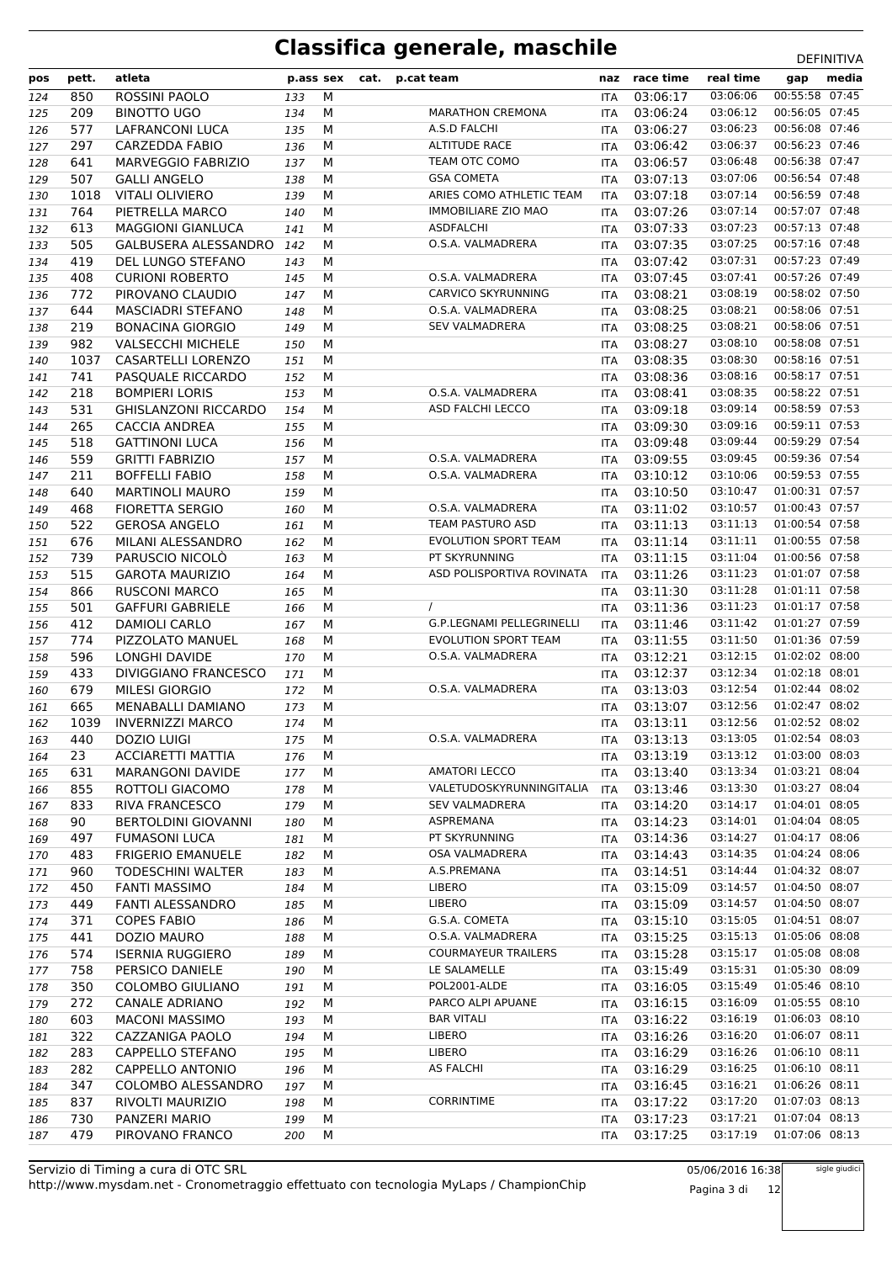| pos | pett. | atleta                      | p.ass sex |   | cat. | p.cat team                       |            | naz race time | real time                 | gap            | media |
|-----|-------|-----------------------------|-----------|---|------|----------------------------------|------------|---------------|---------------------------|----------------|-------|
| 124 | 850   | ROSSINI PAOLO               | 133       | М |      |                                  | <b>ITA</b> | 03:06:17      | 03:06:06                  | 00:55:58 07:45 |       |
| 125 | 209   | <b>BINOTTO UGO</b>          | 134       | M |      | <b>MARATHON CREMONA</b>          | ITA        | 03:06:24      | 03:06:12                  | 00:56:05 07:45 |       |
| 126 | 577   | <b>LAFRANCONI LUCA</b>      | 135       | М |      | A.S.D FALCHI                     | <b>ITA</b> | 03:06:27      | 03:06:23                  | 00:56:08 07:46 |       |
| 127 | 297   | <b>CARZEDDA FABIO</b>       | 136       | M |      | <b>ALTITUDE RACE</b>             | <b>ITA</b> | 03:06:42      | 03:06:37                  | 00:56:23 07:46 |       |
| 128 | 641   | <b>MARVEGGIO FABRIZIO</b>   | 137       | M |      | TEAM OTC COMO                    | ITA        | 03:06:57      | 03:06:48                  | 00:56:38 07:47 |       |
| 129 | 507   | <b>GALLI ANGELO</b>         | 138       | М |      | <b>GSA COMETA</b>                | <b>ITA</b> | 03:07:13      | 03:07:06                  | 00:56:54 07:48 |       |
| 130 | 1018  | <b>VITALI OLIVIERO</b>      | 139       | M |      | ARIES COMO ATHLETIC TEAM         | <b>ITA</b> | 03:07:18      | 03:07:14                  | 00:56:59 07:48 |       |
| 131 | 764   | PIETRELLA MARCO             | 140       | M |      | <b>IMMOBILIARE ZIO MAO</b>       | ITA        | 03:07:26      | 03:07:14                  | 00:57:07 07:48 |       |
| 132 | 613   | <b>MAGGIONI GIANLUCA</b>    | 141       | M |      | <b>ASDFALCHI</b>                 | ITA        | 03:07:33      | 03:07:23                  | 00:57:13 07:48 |       |
| 133 | 505   | GALBUSERA ALESSANDRO        | 142       | M |      | O.S.A. VALMADRERA                | <b>ITA</b> | 03:07:35      | 03:07:25                  | 00:57:16 07:48 |       |
| 134 | 419   | DEL LUNGO STEFANO           | 143       | М |      |                                  | ITA        | 03:07:42      | 03:07:31                  | 00:57:23 07:49 |       |
| 135 | 408   | <b>CURIONI ROBERTO</b>      | 145       | M |      | O.S.A. VALMADRERA                | <b>ITA</b> | 03:07:45      | 03:07:41                  | 00:57:26 07:49 |       |
| 136 | 772   | PIROVANO CLAUDIO            | 147       | M |      | <b>CARVICO SKYRUNNING</b>        | <b>ITA</b> | 03:08:21      | 03:08:19                  | 00:58:02 07:50 |       |
| 137 | 644   | <b>MASCIADRI STEFANO</b>    | 148       | M |      | O.S.A. VALMADRERA                | ITA        | 03:08:25      | 03:08:21                  | 00:58:06 07:51 |       |
| 138 | 219   | <b>BONACINA GIORGIO</b>     | 149       | М |      | <b>SEV VALMADRERA</b>            | <b>ITA</b> | 03:08:25      | 03:08:21                  | 00:58:06 07:51 |       |
| 139 | 982   | <b>VALSECCHI MICHELE</b>    | 150       | M |      |                                  | <b>ITA</b> | 03:08:27      | 03:08:10                  | 00:58:08 07:51 |       |
| 140 | 1037  | CASARTELLI LORENZO          | 151       | M |      |                                  | ITA        | 03:08:35      | 03:08:30                  | 00:58:16 07:51 |       |
| 141 | 741   | PASOUALE RICCARDO           | 152       | M |      |                                  | ITA        | 03:08:36      | 03:08:16                  | 00:58:17 07:51 |       |
| 142 | 218   | <b>BOMPIERI LORIS</b>       | 153       | M |      | O.S.A. VALMADRERA                | ITA        | 03:08:41      | 03:08:35                  | 00:58:22 07:51 |       |
| 143 | 531   | <b>GHISLANZONI RICCARDO</b> | 154       | M |      | <b>ASD FALCHI LECCO</b>          | ITA        | 03:09:18      | 03:09:14                  | 00:58:59 07:53 |       |
| 144 | 265   | CACCIA ANDREA               | 155       | М |      |                                  | ITA        | 03:09:30      | 03:09:16                  | 00:59:11 07:53 |       |
| 145 | 518   | <b>GATTINONI LUCA</b>       | 156       | M |      |                                  | ITA        | 03:09:48      | 03:09:44                  | 00:59:29 07:54 |       |
| 146 | 559   | <b>GRITTI FABRIZIO</b>      | 157       | M |      | O.S.A. VALMADRERA                | <b>ITA</b> | 03:09:55      | 03:09:45                  | 00:59:36 07:54 |       |
| 147 | 211   | <b>BOFFELLI FABIO</b>       | 158       | М |      | O.S.A. VALMADRERA                | ITA        | 03:10:12      | 03:10:06                  | 00:59:53 07:55 |       |
| 148 | 640   | <b>MARTINOLI MAURO</b>      | 159       | M |      |                                  | <b>ITA</b> | 03:10:50      | 03:10:47                  | 01:00:31 07:57 |       |
| 149 | 468   | FIORETTA SERGIO             | 160       | M |      | O.S.A. VALMADRERA                | <b>ITA</b> | 03:11:02      | 03:10:57                  | 01:00:43 07:57 |       |
| 150 | 522   | <b>GEROSA ANGELO</b>        | 161       | М |      | TEAM PASTURO ASD                 | <b>ITA</b> | 03:11:13      | 03:11:13                  | 01:00:54 07:58 |       |
| 151 | 676   | MILANI ALESSANDRO           | 162       | M |      | <b>EVOLUTION SPORT TEAM</b>      | <b>ITA</b> | 03:11:14      | 03:11:11                  | 01:00:55 07:58 |       |
| 152 | 739   | PARUSCIO NICOLÒ             | 163       | M |      | PT SKYRUNNING                    | <b>ITA</b> | 03:11:15      | 03:11:04                  | 01:00:56 07:58 |       |
| 153 | 515   | <b>GAROTA MAURIZIO</b>      | 164       | M |      | ASD POLISPORTIVA ROVINATA        | <b>ITA</b> | 03:11:26      | 03:11:23                  | 01:01:07 07:58 |       |
| 154 | 866   | <b>RUSCONI MARCO</b>        | 165       | M |      |                                  | ITA        | 03:11:30      | 03:11:28                  | 01:01:11 07:58 |       |
| 155 | 501   | <b>GAFFURI GABRIELE</b>     | 166       | M |      | $\prime$                         | ITA        | 03:11:36      | 03:11:23                  | 01:01:17 07:58 |       |
| 156 | 412   | <b>DAMIOLI CARLO</b>        | 167       | М |      | <b>G.P.LEGNAMI PELLEGRINELLI</b> | <b>ITA</b> | 03:11:46      | 03:11:42                  | 01:01:27 07:59 |       |
| 157 | 774   | PIZZOLATO MANUEL            | 168       | M |      | <b>EVOLUTION SPORT TEAM</b>      | ITA        | 03:11:55      | 03:11:50                  | 01:01:36 07:59 |       |
| 158 | 596   | LONGHI DAVIDE               | 170       | M |      | O.S.A. VALMADRERA                | ITA        | 03:12:21      | 03:12:15                  | 01:02:02 08:00 |       |
| 159 | 433   | DIVIGGIANO FRANCESCO        | 171       | М |      |                                  | ITA        | 03:12:37      | 03:12:34                  | 01:02:18 08:01 |       |
| 160 | 679   | MILESI GIORGIO              | 172       | М |      | O.S.A. VALMADRERA                | ITA        | 03:13:03      | 03:12:54                  | 01:02:44 08:02 |       |
| 161 | 665   | MENABALLI DAMIANO           | 173       | М |      |                                  | ITA        | 03:13:07      | 03:12:56                  | 01:02:47 08:02 |       |
| 162 | 1039  | <b>INVERNIZZI MARCO</b>     | 174       | M |      |                                  | ITA        | 03:13:11      | 03:12:56                  | 01:02:52 08:02 |       |
| 163 | 440   | <b>DOZIO LUIGI</b>          | 175 M     |   |      | O.S.A. VALMADRERA                |            | ITA 03:13:13  | 03:13:05  01:02:54  08:03 |                |       |
| 164 | 23    | <b>ACCIARETTI MATTIA</b>    | 176       | М |      |                                  | ITA        | 03:13:19      | 03:13:12                  | 01:03:00 08:03 |       |
| 165 | 631   | <b>MARANGONI DAVIDE</b>     | 177       | М |      | <b>AMATORI LECCO</b>             | ITA        | 03:13:40      | 03:13:34                  | 01:03:21 08:04 |       |
| 166 | 855   | ROTTOLI GIACOMO             | 178       | М |      | VALETUDOSKYRUNNINGITALIA         | ITA        | 03:13:46      | 03:13:30                  | 01:03:27 08:04 |       |
| 167 | 833   | <b>RIVA FRANCESCO</b>       | 179       | М |      | <b>SEV VALMADRERA</b>            | ITA        | 03:14:20      | 03:14:17                  | 01:04:01 08:05 |       |
| 168 | 90    | <b>BERTOLDINI GIOVANNI</b>  | 180       | М |      | ASPREMANA                        | ITA        | 03:14:23      | 03:14:01                  | 01:04:04 08:05 |       |
| 169 | 497   | <b>FUMASONI LUCA</b>        | 181       | М |      | PT SKYRUNNING                    |            | ITA 03:14:36  | 03:14:27                  | 01:04:17 08:06 |       |
| 170 | 483   | <b>FRIGERIO EMANUELE</b>    | 182       | М |      | OSA VALMADRERA                   | ITA        | 03:14:43      | 03:14:35                  | 01:04:24 08:06 |       |
| 171 | 960   | TODESCHINI WALTER           | 183       | М |      | A.S.PREMANA                      | ITA        | 03:14:51      | 03:14:44                  | 01:04:32 08:07 |       |
| 172 | 450   | <b>FANTI MASSIMO</b>        | 184       | М |      | <b>LIBERO</b>                    | ITA        | 03:15:09      | 03:14:57                  | 01:04:50 08:07 |       |
| 173 | 449   | FANTI ALESSANDRO            | 185       | М |      | LIBERO                           | <b>ITA</b> | 03:15:09      | 03:14:57                  | 01:04:50 08:07 |       |
| 174 | 371   | <b>COPES FABIO</b>          | 186       | М |      | G.S.A. COMETA                    | ITA        | 03:15:10      | 03:15:05                  | 01:04:51 08:07 |       |
| 175 | 441   | DOZIO MAURO                 | 188       | М |      | O.S.A. VALMADRERA                | ITA        | 03:15:25      | 03:15:13                  | 01:05:06 08:08 |       |
| 176 | 574   | <b>ISERNIA RUGGIERO</b>     | 189       | М |      | <b>COURMAYEUR TRAILERS</b>       | ITA        | 03:15:28      | 03:15:17                  | 01:05:08 08:08 |       |
| 177 | 758   | PERSICO DANIELE             | 190       | М |      | LE SALAMELLE                     | ITA        | 03:15:49      | 03:15:31                  | 01:05:30 08:09 |       |
| 178 | 350   | COLOMBO GIULIANO            | 191       | М |      | POL2001-ALDE                     | ITA        | 03:16:05      | 03:15:49                  | 01:05:46 08:10 |       |
| 179 | 272   | CANALE ADRIANO              | 192       | М |      | PARCO ALPI APUANE                | <b>ITA</b> | 03:16:15      | 03:16:09                  | 01:05:55 08:10 |       |
| 180 | 603   | <b>MACONI MASSIMO</b>       | 193       | М |      | <b>BAR VITALI</b>                | ITA        | 03:16:22      | 03:16:19                  | 01:06:03 08:10 |       |
| 181 | 322   | CAZZANIGA PAOLO             | 194       | М |      | <b>LIBERO</b>                    |            | ITA 03:16:26  | 03:16:20                  | 01:06:07 08:11 |       |
| 182 | 283   | CAPPELLO STEFANO            | 195       | М |      | LIBERO                           | ITA        | 03:16:29      | 03:16:26                  | 01:06:10 08:11 |       |
| 183 | 282   | CAPPELLO ANTONIO            | 196       | М |      | <b>AS FALCHI</b>                 | ITA        | 03:16:29      | 03:16:25                  | 01:06:10 08:11 |       |
| 184 | 347   | COLOMBO ALESSANDRO          | 197       | М |      |                                  | ITA        | 03:16:45      | 03:16:21                  | 01:06:26 08:11 |       |
| 185 | 837   | RIVOLTI MAURIZIO            | 198       | М |      | <b>CORRINTIME</b>                | ITA        | 03:17:22      | 03:17:20                  | 01:07:03 08:13 |       |
| 186 | 730   | PANZERI MARIO               | 199       | М |      |                                  | ITA        | 03:17:23      | 03:17:21                  | 01:07:04 08:13 |       |
| 187 | 479   | PIROVANO FRANCO             | 200       | М |      |                                  | ITA        | 03:17:25      | 03:17:19                  | 01:07:06 08:13 |       |

05/06/2016 16:38 Pagina 3 di 12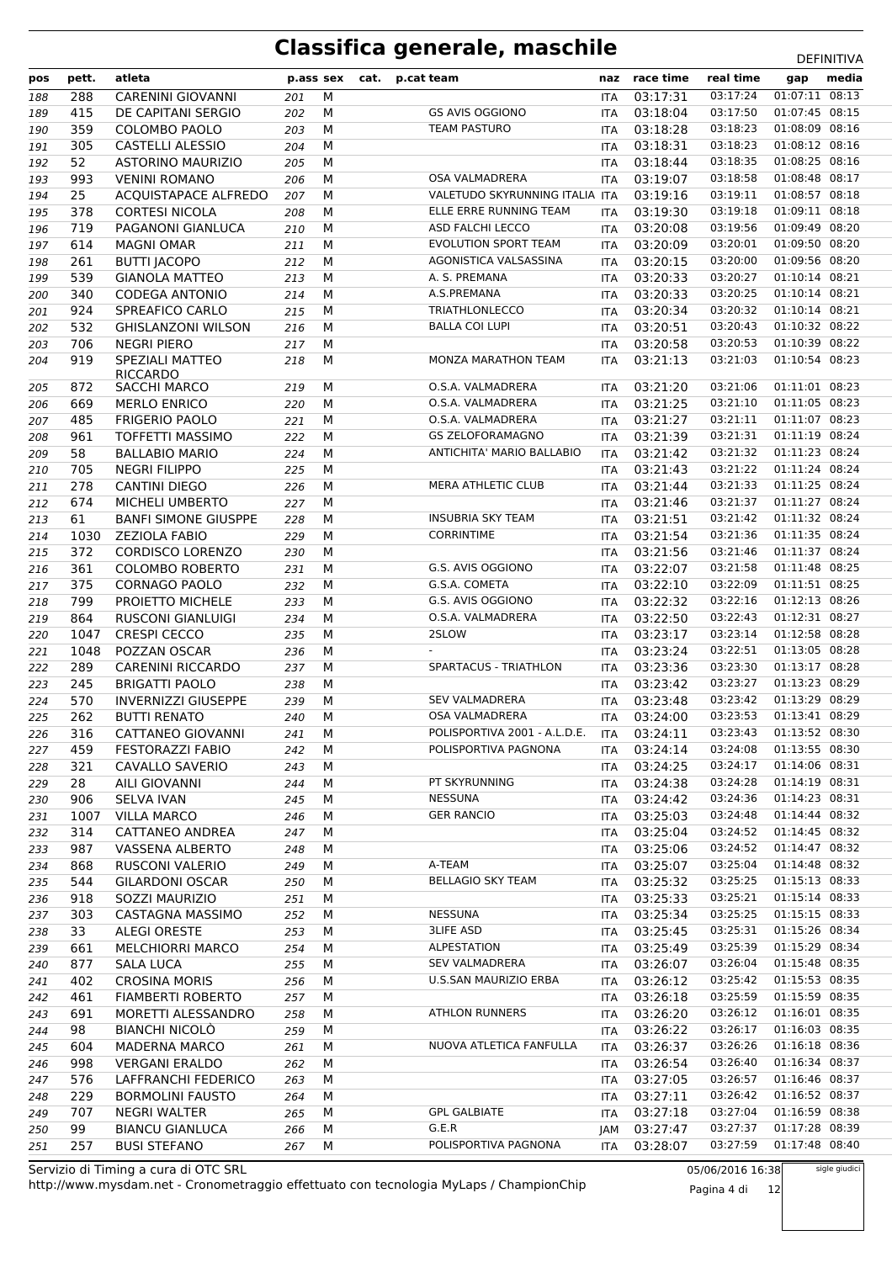| pos | pett. | atleta                                 | p.ass sex |   | cat. | p.cat team                     | naz        | race time    | real time | gap            | media |
|-----|-------|----------------------------------------|-----------|---|------|--------------------------------|------------|--------------|-----------|----------------|-------|
| 188 | 288   | <b>CARENINI GIOVANNI</b>               | 201       | M |      |                                | <b>ITA</b> | 03:17:31     | 03:17:24  | 01:07:11 08:13 |       |
| 189 | 415   | DE CAPITANI SERGIO                     | 202       | М |      | <b>GS AVIS OGGIONO</b>         | ITA        | 03:18:04     | 03:17:50  | 01:07:45 08:15 |       |
| 190 | 359   | <b>COLOMBO PAOLO</b>                   | 203       | М |      | <b>TEAM PASTURO</b>            | <b>ITA</b> | 03:18:28     | 03:18:23  | 01:08:09 08:16 |       |
| 191 | 305   | CASTELLI ALESSIO                       | 204       | M |      |                                | ITA        | 03:18:31     | 03:18:23  | 01:08:12 08:16 |       |
| 192 | 52    | <b>ASTORINO MAURIZIO</b>               | 205       | М |      |                                | <b>ITA</b> | 03:18:44     | 03:18:35  | 01:08:25 08:16 |       |
| 193 | 993   | <b>VENINI ROMANO</b>                   | 206       | M |      | <b>OSA VALMADRERA</b>          | <b>ITA</b> | 03:19:07     | 03:18:58  | 01:08:48 08:17 |       |
| 194 | 25    | ACQUISTAPACE ALFREDO                   | 207       | M |      | VALETUDO SKYRUNNING ITALIA ITA |            | 03:19:16     | 03:19:11  | 01:08:57 08:18 |       |
| 195 | 378   | <b>CORTESI NICOLA</b>                  | 208       | М |      | ELLE ERRE RUNNING TEAM         | <b>ITA</b> | 03:19:30     | 03:19:18  | 01:09:11 08:18 |       |
| 196 | 719   | PAGANONI GIANLUCA                      | 210       | M |      | <b>ASD FALCHI LECCO</b>        | ITA        | 03:20:08     | 03:19:56  | 01:09:49 08:20 |       |
| 197 | 614   | <b>MAGNI OMAR</b>                      | 211       | M |      | EVOLUTION SPORT TEAM           | ITA        | 03:20:09     | 03:20:01  | 01:09:50 08:20 |       |
| 198 | 261   | <b>BUTTI JACOPO</b>                    | 212       | M |      | AGONISTICA VALSASSINA          | ITA        | 03:20:15     | 03:20:00  | 01:09:56 08:20 |       |
| 199 | 539   | <b>GIANOLA MATTEO</b>                  | 213       | M |      | A. S. PREMANA                  | ITA        | 03:20:33     | 03:20:27  | 01:10:14 08:21 |       |
| 200 | 340   | <b>CODEGA ANTONIO</b>                  | 214       | M |      | A.S.PREMANA                    | ITA        | 03:20:33     | 03:20:25  | 01:10:14 08:21 |       |
| 201 | 924   | SPREAFICO CARLO                        | 215       | M |      | <b>TRIATHLONLECCO</b>          | ITA        | 03:20:34     | 03:20:32  | 01:10:14 08:21 |       |
| 202 | 532   | <b>GHISLANZONI WILSON</b>              | 216       | M |      | <b>BALLA COI LUPI</b>          | <b>ITA</b> | 03:20:51     | 03:20:43  | 01:10:32 08:22 |       |
| 203 | 706   | <b>NEGRI PIERO</b>                     | 217       | M |      |                                | ITA        | 03:20:58     | 03:20:53  | 01:10:39 08:22 |       |
| 204 | 919   | SPEZIALI MATTEO                        | 218       | M |      | <b>MONZA MARATHON TEAM</b>     | <b>ITA</b> | 03:21:13     | 03:21:03  | 01:10:54 08:23 |       |
| 205 | 872   | <b>RICCARDO</b><br><b>SACCHI MARCO</b> | 219       | M |      | O.S.A. VALMADRERA              | <b>ITA</b> | 03:21:20     | 03:21:06  | 01:11:01 08:23 |       |
| 206 | 669   | <b>MERLO ENRICO</b>                    | 220       | M |      | O.S.A. VALMADRERA              | ITA        | 03:21:25     | 03:21:10  | 01:11:05 08:23 |       |
| 207 | 485   | <b>FRIGERIO PAOLO</b>                  | 221       | M |      | O.S.A. VALMADRERA              | ITA        | 03:21:27     | 03:21:11  | 01:11:07 08:23 |       |
|     | 961   | <b>TOFFETTI MASSIMO</b>                | 222       | M |      | <b>GS ZELOFORAMAGNO</b>        | <b>ITA</b> | 03:21:39     | 03:21:31  | 01:11:19 08:24 |       |
| 208 | 58    | <b>BALLABIO MARIO</b>                  |           | M |      | ANTICHITA' MARIO BALLABIO      | <b>ITA</b> | 03:21:42     | 03:21:32  | 01:11:23 08:24 |       |
| 209 | 705   | <b>NEGRI FILIPPO</b>                   | 224       | M |      |                                |            | 03:21:43     | 03:21:22  | 01:11:24 08:24 |       |
| 210 |       |                                        | 225       |   |      | <b>MERA ATHLETIC CLUB</b>      | ITA        |              | 03:21:33  | 01:11:25 08:24 |       |
| 211 | 278   | <b>CANTINI DIEGO</b>                   | 226       | M |      |                                | <b>ITA</b> | 03:21:44     |           | 01:11:27 08:24 |       |
| 212 | 674   | MICHELI UMBERTO                        | 227       | M |      |                                | ITA        | 03:21:46     | 03:21:37  |                |       |
| 213 | 61    | <b>BANFI SIMONE GIUSPPE</b>            | 228       | M |      | <b>INSUBRIA SKY TEAM</b>       | ITA        | 03:21:51     | 03:21:42  | 01:11:32 08:24 |       |
| 214 | 1030  | <b>ZEZIOLA FABIO</b>                   | 229       | M |      | <b>CORRINTIME</b>              | <b>ITA</b> | 03:21:54     | 03:21:36  | 01:11:35 08:24 |       |
| 215 | 372   | <b>CORDISCO LORENZO</b>                | 230       | M |      |                                | ITA        | 03:21:56     | 03:21:46  | 01:11:37 08:24 |       |
| 216 | 361   | <b>COLOMBO ROBERTO</b>                 | 231       | M |      | G.S. AVIS OGGIONO              | ITA        | 03:22:07     | 03:21:58  | 01:11:48 08:25 |       |
| 217 | 375   | <b>CORNAGO PAOLO</b>                   | 232       | M |      | G.S.A. COMETA                  | <b>ITA</b> | 03:22:10     | 03:22:09  | 01:11:51 08:25 |       |
| 218 | 799   | PROIETTO MICHELE                       | 233       | M |      | G.S. AVIS OGGIONO              | ITA        | 03:22:32     | 03:22:16  | 01:12:13 08:26 |       |
| 219 | 864   | <b>RUSCONI GIANLUIGI</b>               | 234       | M |      | O.S.A. VALMADRERA              | ITA        | 03:22:50     | 03:22:43  | 01:12:31 08:27 |       |
| 220 | 1047  | <b>CRESPI CECCO</b>                    | 235       | M |      | 2SLOW                          | <b>ITA</b> | 03:23:17     | 03:23:14  | 01:12:58 08:28 |       |
| 221 | 1048  | POZZAN OSCAR                           | 236       | M |      |                                | <b>ITA</b> | 03:23:24     | 03:22:51  | 01:13:05 08:28 |       |
| 222 | 289   | <b>CARENINI RICCARDO</b>               | 237       | M |      | SPARTACUS - TRIATHLON          | ITA        | 03:23:36     | 03:23:30  | 01:13:17 08:28 |       |
| 223 | 245   | <b>BRIGATTI PAOLO</b>                  | 238       | М |      |                                | <b>ITA</b> | 03:23:42     | 03:23:27  | 01:13:23 08:29 |       |
| 224 | 570   | <b>INVERNIZZI GIUSEPPE</b>             | 239       | М |      | <b>SEV VALMADRERA</b>          | ITA        | 03:23:48     | 03:23:42  | 01:13:29 08:29 |       |
| 225 | 262   | <b>BUTTI RENATO</b>                    | 240       | M |      | <b>OSA VALMADRERA</b>          | ITA        | 03:24:00     | 03:23:53  | 01:13:41 08:29 |       |
| 226 | 316   | CATTANEO GIOVANNI                      | 241       | М |      | POLISPORTIVA 2001 - A.L.D.E.   | <b>ITA</b> | 03:24:11     | 03:23:43  | 01:13:52 08:30 |       |
| 227 | 459   | <b>FESTORAZZI FABIO</b>                | 242       | М |      | POLISPORTIVA PAGNONA           | ITA        | 03:24:14     | 03:24:08  | 01:13:55 08:30 |       |
| 228 | 321   | CAVALLO SAVERIO                        | 243       | М |      |                                | ITA        | 03:24:25     | 03:24:17  | 01:14:06 08:31 |       |
| 229 | 28    | AILI GIOVANNI                          | 244       | М |      | PT SKYRUNNING                  | ITA        | 03:24:38     | 03:24:28  | 01:14:19 08:31 |       |
| 230 | 906   | <b>SELVA IVAN</b>                      | 245       | м |      | <b>NESSUNA</b>                 |            | ITA 03:24:42 | 03:24:36  | 01:14:23 08:31 |       |
| 231 | 1007  | <b>VILLA MARCO</b>                     | 246       | М |      | <b>GER RANCIO</b>              | ITA        | 03:25:03     | 03:24:48  | 01:14:44 08:32 |       |
| 232 | 314   | CATTANEO ANDREA                        | 247       | м |      |                                | ITA        | 03:25:04     | 03:24:52  | 01:14:45 08:32 |       |
| 233 | 987   | VASSENA ALBERTO                        | 248       | М |      |                                | ITA        | 03:25:06     | 03:24:52  | 01:14:47 08:32 |       |
| 234 | 868   | RUSCONI VALERIO                        | 249       | М |      | A-TEAM                         | ITA        | 03:25:07     | 03:25:04  | 01:14:48 08:32 |       |
| 235 | 544   | <b>GILARDONI OSCAR</b>                 | 250       | M |      | <b>BELLAGIO SKY TEAM</b>       | ITA        | 03:25:32     | 03:25:25  | 01:15:13 08:33 |       |
| 236 | 918   | SOZZI MAURIZIO                         | 251       | М |      |                                |            | ITA 03:25:33 | 03:25:21  | 01:15:14 08:33 |       |
| 237 | 303   | CASTAGNA MASSIMO                       | 252       | М |      | <b>NESSUNA</b>                 | ITA        | 03:25:34     | 03:25:25  | 01:15:15 08:33 |       |
| 238 | 33    | <b>ALEGI ORESTE</b>                    | 253       | М |      | <b>3LIFE ASD</b>               | ITA        | 03:25:45     | 03:25:31  | 01:15:26 08:34 |       |
| 239 | 661   | <b>MELCHIORRI MARCO</b>                | 254       | М |      | <b>ALPESTATION</b>             |            | ITA 03:25:49 | 03:25:39  | 01:15:29 08:34 |       |
| 240 | 877   | <b>SALA LUCA</b>                       | 255       | М |      | <b>SEV VALMADRERA</b>          |            | ITA 03:26:07 | 03:26:04  | 01:15:48 08:35 |       |
| 241 | 402   | <b>CROSINA MORIS</b>                   | 256       | M |      | U.S.SAN MAURIZIO ERBA          | ITA        | 03:26:12     | 03:25:42  | 01:15:53 08:35 |       |
| 242 | 461   | <b>FIAMBERTI ROBERTO</b>               | 257       | м |      |                                |            | ITA 03:26:18 | 03:25:59  | 01:15:59 08:35 |       |
| 243 | 691   | MORETTI ALESSANDRO                     | 258       | М |      | <b>ATHLON RUNNERS</b>          | ITA        | 03:26:20     | 03:26:12  | 01:16:01 08:35 |       |
| 244 | 98    | <b>BIANCHI NICOLÒ</b>                  | 259       | М |      |                                | ITA        | 03:26:22     | 03:26:17  | 01:16:03 08:35 |       |
| 245 | 604   | <b>MADERNA MARCO</b>                   | 261       | М |      | NUOVA ATLETICA FANFULLA        | ITA        | 03:26:37     | 03:26:26  | 01:16:18 08:36 |       |
| 246 | 998   | <b>VERGANI ERALDO</b>                  | 262       | М |      |                                | ITA        | 03:26:54     | 03:26:40  | 01:16:34 08:37 |       |
| 247 | 576   | LAFFRANCHI FEDERICO                    | 263       | M |      |                                | ITA        | 03:27:05     | 03:26:57  | 01:16:46 08:37 |       |
| 248 | 229   | <b>BORMOLINI FAUSTO</b>                | 264       | м |      |                                |            | ITA 03:27:11 | 03:26:42  | 01:16:52 08:37 |       |
| 249 | 707   | <b>NEGRI WALTER</b>                    | 265       | М |      | <b>GPL GALBIATE</b>            | ITA        | 03:27:18     | 03:27:04  | 01:16:59 08:38 |       |
| 250 | 99    | <b>BIANCU GIANLUCA</b>                 | 266       | М |      | G.E.R                          | JAM        | 03:27:47     | 03:27:37  | 01:17:28 08:39 |       |
| 251 | 257   | <b>BUSI STEFANO</b>                    | 267       | М |      | POLISPORTIVA PAGNONA           | ITA        | 03:28:07     | 03:27:59  | 01:17:48 08:40 |       |

http://www.mysdam.net - Cronometraggio effettuato con tecnologia MyLaps / ChampionChip Servizio di Timing a cura di OTC SRL

05/06/2016 16:38

sigle giudici

Pagina 4 di 12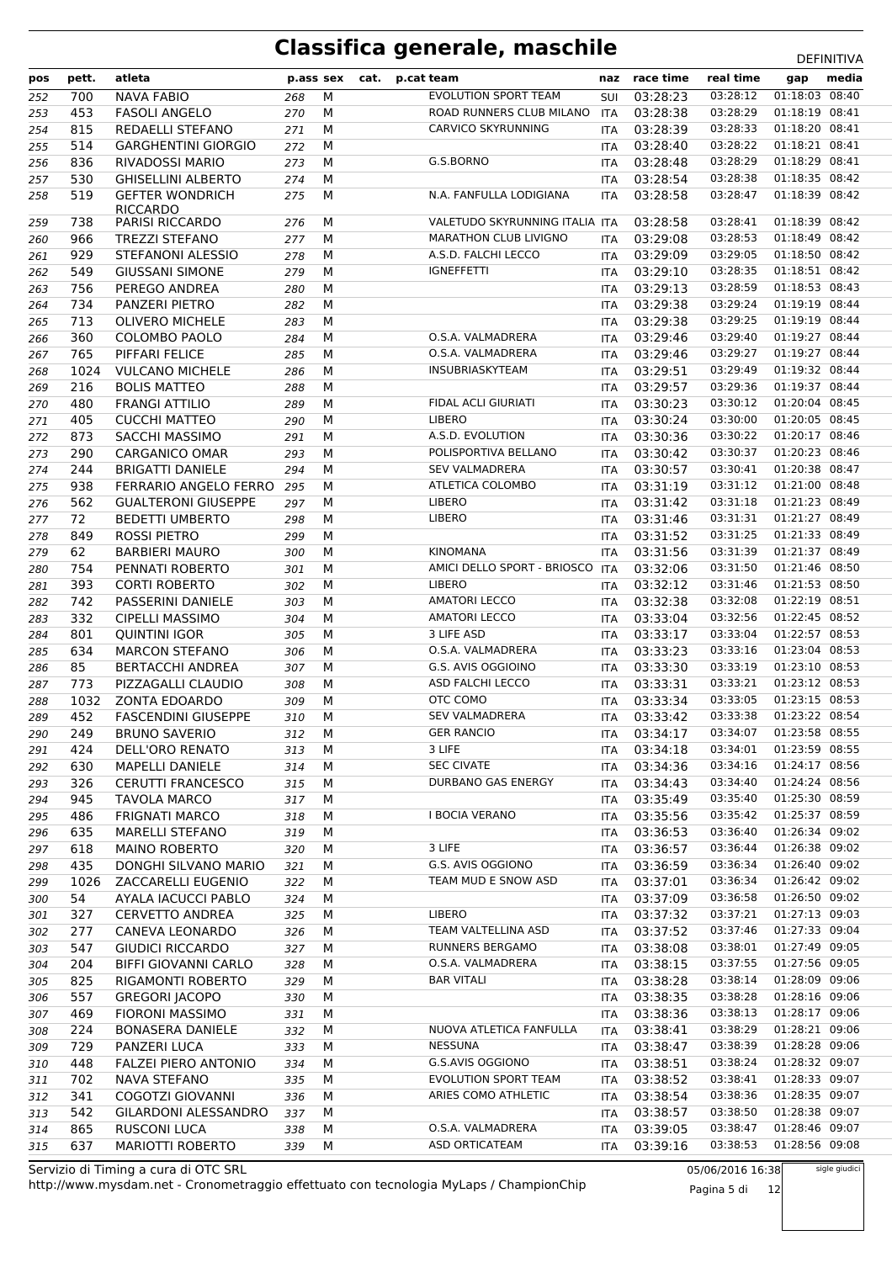| pos | pett. | atleta                                    | p.ass sex |   | cat. | p.cat team                     | naz        | race time    | real time | gap            | media |
|-----|-------|-------------------------------------------|-----------|---|------|--------------------------------|------------|--------------|-----------|----------------|-------|
| 252 | 700   | <b>NAVA FABIO</b>                         | 268       | M |      | <b>EVOLUTION SPORT TEAM</b>    | <b>SUI</b> | 03:28:23     | 03:28:12  | 01:18:03 08:40 |       |
| 253 | 453   | <b>FASOLI ANGELO</b>                      | 270       | M |      | ROAD RUNNERS CLUB MILANO       | <b>ITA</b> | 03:28:38     | 03:28:29  | 01:18:19 08:41 |       |
| 254 | 815   | REDAELLI STEFANO                          | 271       | M |      | <b>CARVICO SKYRUNNING</b>      | <b>ITA</b> | 03:28:39     | 03:28:33  | 01:18:20 08:41 |       |
| 255 | 514   | <b>GARGHENTINI GIORGIO</b>                | 272       | M |      |                                | <b>ITA</b> | 03:28:40     | 03:28:22  | 01:18:21 08:41 |       |
| 256 | 836   | <b>RIVADOSSI MARIO</b>                    | 273       | M |      | G.S.BORNO                      | <b>ITA</b> | 03:28:48     | 03:28:29  | 01:18:29 08:41 |       |
| 257 | 530   | <b>GHISELLINI ALBERTO</b>                 | 274       | M |      |                                | <b>ITA</b> | 03:28:54     | 03:28:38  | 01:18:35 08:42 |       |
| 258 | 519   | <b>GEFTER WONDRICH</b>                    | 275       | M |      | N.A. FANFULLA LODIGIANA        | <b>ITA</b> | 03:28:58     | 03:28:47  | 01:18:39 08:42 |       |
| 259 | 738   | <b>RICCARDO</b><br><b>PARISI RICCARDO</b> | 276       | M |      | VALETUDO SKYRUNNING ITALIA ITA |            | 03:28:58     | 03:28:41  | 01:18:39 08:42 |       |
| 260 | 966   | <b>TREZZI STEFANO</b>                     | 277       | M |      | <b>MARATHON CLUB LIVIGNO</b>   | <b>ITA</b> | 03:29:08     | 03:28:53  | 01:18:49 08:42 |       |
| 261 | 929   | STEFANONI ALESSIO                         | 278       | M |      | A.S.D. FALCHI LECCO            | <b>ITA</b> | 03:29:09     | 03:29:05  | 01:18:50 08:42 |       |
| 262 | 549   | <b>GIUSSANI SIMONE</b>                    | 279       | M |      | <b>IGNEFFETTI</b>              | <b>ITA</b> | 03:29:10     | 03:28:35  | 01:18:51 08:42 |       |
| 263 | 756   | PEREGO ANDREA                             | 280       | M |      |                                | ITA        | 03:29:13     | 03:28:59  | 01:18:53 08:43 |       |
| 264 | 734   | PANZERI PIETRO                            | 282       | M |      |                                | <b>ITA</b> | 03:29:38     | 03:29:24  | 01:19:19 08:44 |       |
| 265 | 713   | <b>OLIVERO MICHELE</b>                    | 283       | M |      |                                | ITA        | 03:29:38     | 03:29:25  | 01:19:19 08:44 |       |
| 266 | 360   | COLOMBO PAOLO                             | 284       | M |      | O.S.A. VALMADRERA              | <b>ITA</b> | 03:29:46     | 03:29:40  | 01:19:27 08:44 |       |
| 267 | 765   | PIFFARI FELICE                            | 285       | M |      | O.S.A. VALMADRERA              | <b>ITA</b> | 03:29:46     | 03:29:27  | 01:19:27 08:44 |       |
| 268 | 1024  | <b>VULCANO MICHELE</b>                    | 286       | M |      | INSUBRIASKYTEAM                | ITA        | 03:29:51     | 03:29:49  | 01:19:32 08:44 |       |
| 269 | 216   | <b>BOLIS MATTEO</b>                       | 288       | M |      |                                | <b>ITA</b> | 03:29:57     | 03:29:36  | 01:19:37 08:44 |       |
| 270 | 480   | <b>FRANGI ATTILIO</b>                     | 289       | M |      | <b>FIDAL ACLI GIURIATI</b>     | <b>ITA</b> | 03:30:23     | 03:30:12  | 01:20:04 08:45 |       |
| 271 | 405   | <b>CUCCHI MATTEO</b>                      | 290       | M |      | <b>LIBERO</b>                  | ITA        | 03:30:24     | 03:30:00  | 01:20:05 08:45 |       |
| 272 | 873   | SACCHI MASSIMO                            | 291       | M |      | A.S.D. EVOLUTION               | <b>ITA</b> | 03:30:36     | 03:30:22  | 01:20:17 08:46 |       |
| 273 | 290   | <b>CARGANICO OMAR</b>                     | 293       | M |      | POLISPORTIVA BELLANO           | <b>ITA</b> | 03:30:42     | 03:30:37  | 01:20:23 08:46 |       |
| 274 | 244   | <b>BRIGATTI DANIELE</b>                   | 294       | M |      | <b>SEV VALMADRERA</b>          | <b>ITA</b> | 03:30:57     | 03:30:41  | 01:20:38 08:47 |       |
| 275 | 938   | FERRARIO ANGELO FERRO                     | 295       | M |      | ATLETICA COLOMBO               | <b>ITA</b> | 03:31:19     | 03:31:12  | 01:21:00 08:48 |       |
| 276 | 562   | <b>GUALTERONI GIUSEPPE</b>                | 297       | M |      | <b>LIBERO</b>                  | <b>ITA</b> | 03:31:42     | 03:31:18  | 01:21:23 08:49 |       |
| 277 | 72    | <b>BEDETTI UMBERTO</b>                    | 298       | M |      | <b>LIBERO</b>                  | ITA        | 03:31:46     | 03:31:31  | 01:21:27 08:49 |       |
| 278 | 849   | <b>ROSSI PIETRO</b>                       | 299       | M |      |                                | <b>ITA</b> | 03:31:52     | 03:31:25  | 01:21:33 08:49 |       |
| 279 | 62    | <b>BARBIERI MAURO</b>                     | 300       | M |      | <b>KINOMANA</b>                | <b>ITA</b> | 03:31:56     | 03:31:39  | 01:21:37 08:49 |       |
| 280 | 754   | PENNATI ROBERTO                           | 301       | M |      | AMICI DELLO SPORT - BRIOSCO    | <b>ITA</b> | 03:32:06     | 03:31:50  | 01:21:46 08:50 |       |
| 281 | 393   | <b>CORTI ROBERTO</b>                      | 302       | M |      | LIBERO                         | <b>ITA</b> | 03:32:12     | 03:31:46  | 01:21:53 08:50 |       |
| 282 | 742   | PASSERINI DANIELE                         | 303       | M |      | <b>AMATORI LECCO</b>           | <b>ITA</b> | 03:32:38     | 03:32:08  | 01:22:19 08:51 |       |
| 283 | 332   | <b>CIPELLI MASSIMO</b>                    | 304       | M |      | <b>AMATORI LECCO</b>           | ITA        | 03:33:04     | 03:32:56  | 01:22:45 08:52 |       |
| 284 | 801   | <b>QUINTINI IGOR</b>                      | 305       | М |      | 3 LIFE ASD                     | <b>ITA</b> | 03:33:17     | 03:33:04  | 01:22:57 08:53 |       |
| 285 | 634   | <b>MARCON STEFANO</b>                     | 306       | М |      | O.S.A. VALMADRERA              | <b>ITA</b> | 03:33:23     | 03:33:16  | 01:23:04 08:53 |       |
| 286 | 85    | <b>BERTACCHI ANDREA</b>                   | 307       | M |      | G.S. AVIS OGGIOINO             | <b>ITA</b> | 03:33:30     | 03:33:19  | 01:23:10 08:53 |       |
| 287 | 773   | PIZZAGALLI CLAUDIO                        | 308       | M |      | <b>ASD FALCHI LECCO</b>        | <b>ITA</b> | 03:33:31     | 03:33:21  | 01:23:12 08:53 |       |
| 288 | 1032  | <b>ZONTA EDOARDO</b>                      | 309       | M |      | OTC COMO                       | <b>ITA</b> | 03:33:34     | 03:33:05  | 01:23:15 08:53 |       |
| 289 | 452   | <b>FASCENDINI GIUSEPPE</b>                | 310       | M |      | <b>SEV VALMADRERA</b>          | ITA        | 03:33:42     | 03:33:38  | 01:23:22 08:54 |       |
| 290 | 249   | <b>BRUNO SAVERIO</b>                      | 312       | M |      | <b>GER RANCIO</b>              | <b>ITA</b> | 03:34:17     | 03:34:07  | 01:23:58 08:55 |       |
| 291 | 424   | DELL'ORO RENATO                           | 313       | М |      | 3 LIFE                         |            | ITA 03:34:18 | 03:34:01  | 01:23:59 08:55 |       |
| 292 | 630   | <b>MAPELLI DANIELE</b>                    | 314       | М |      | <b>SEC CIVATE</b>              | <b>ITA</b> | 03:34:36     | 03:34:16  | 01:24:17 08:56 |       |
| 293 | 326   | <b>CERUTTI FRANCESCO</b>                  | 315       | M |      | DURBANO GAS ENERGY             |            | ITA 03:34:43 | 03:34:40  | 01:24:24 08:56 |       |
| 294 | 945   | <b>TAVOLA MARCO</b>                       | 317       | М |      |                                |            | ITA 03:35:49 | 03:35:40  | 01:25:30 08:59 |       |
| 295 | 486   | <b>FRIGNATI MARCO</b>                     | 318       | М |      | I BOCIA VERANO                 | ITA        | 03:35:56     | 03:35:42  | 01:25:37 08:59 |       |
| 296 | 635   | <b>MARELLI STEFANO</b>                    | 319       | м |      |                                | ITA        | 03:36:53     | 03:36:40  | 01:26:34 09:02 |       |
| 297 | 618   | <b>MAINO ROBERTO</b>                      | 320       | М |      | 3 LIFE                         |            | ITA 03:36:57 | 03:36:44  | 01:26:38 09:02 |       |
| 298 | 435   | DONGHI SILVANO MARIO                      | 321       | M |      | G.S. AVIS OGGIONO              | ITA        | 03:36:59     | 03:36:34  | 01:26:40 09:02 |       |
| 299 | 1026  | ZACCARELLI EUGENIO                        | 322       | M |      | TEAM MUD E SNOW ASD            | ITA        | 03:37:01     | 03:36:34  | 01:26:42 09:02 |       |
| 300 | 54    | AYALA IACUCCI PABLO                       | 324       | М |      |                                | ITA        | 03:37:09     | 03:36:58  | 01:26:50 09:02 |       |
| 301 | 327   | <b>CERVETTO ANDREA</b>                    | 325       | М |      | <b>LIBERO</b>                  | <b>ITA</b> | 03:37:32     | 03:37:21  | 01:27:13 09:03 |       |
| 302 | 277   | CANEVA LEONARDO                           | 326       | М |      | TEAM VALTELLINA ASD            | ITA        | 03:37:52     | 03:37:46  | 01:27:33 09:04 |       |
| 303 | 547   | GIUDICI RICCARDO                          | 327       | М |      | RUNNERS BERGAMO                |            | ITA 03:38:08 | 03:38:01  | 01:27:49 09:05 |       |
| 304 | 204   | <b>BIFFI GIOVANNI CARLO</b>               | 328       | М |      | O.S.A. VALMADRERA              | ITA        | 03:38:15     | 03:37:55  | 01:27:56 09:05 |       |
| 305 | 825   | RIGAMONTI ROBERTO                         | 329       | M |      | <b>BAR VITALI</b>              |            | ITA 03:38:28 | 03:38:14  | 01:28:09 09:06 |       |
| 306 | 557   | <b>GREGORI JACOPO</b>                     | 330       | м |      |                                |            | ITA 03:38:35 | 03:38:28  | 01:28:16 09:06 |       |
| 307 | 469   | <b>FIORONI MASSIMO</b>                    | 331       | М |      |                                | ITA        | 03:38:36     | 03:38:13  | 01:28:17 09:06 |       |
| 308 | 224   | <b>BONASERA DANIELE</b>                   | 332       | М |      | NUOVA ATLETICA FANFULLA        | ITA        | 03:38:41     | 03:38:29  | 01:28:21 09:06 |       |
| 309 | 729   | PANZERI LUCA                              | 333       | М |      | NESSUNA                        |            | ITA 03:38:47 | 03:38:39  | 01:28:28 09:06 |       |
| 310 | 448   | <b>FALZEI PIERO ANTONIO</b>               | 334       | M |      | G.S.AVIS OGGIONO               | <b>ITA</b> | 03:38:51     | 03:38:24  | 01:28:32 09:07 |       |
| 311 | 702   | NAVA STEFANO                              | 335       | M |      | <b>EVOLUTION SPORT TEAM</b>    | ITA        | 03:38:52     | 03:38:41  | 01:28:33 09:07 |       |
| 312 | 341   | COGOTZI GIOVANNI                          | 336       | М |      | ARIES COMO ATHLETIC            | ITA        | 03:38:54     | 03:38:36  | 01:28:35 09:07 |       |
| 313 | 542   | GILARDONI ALESSANDRO                      | 337       | М |      |                                | ITA        | 03:38:57     | 03:38:50  | 01:28:38 09:07 |       |
| 314 | 865   | <b>RUSCONI LUCA</b>                       | 338       | М |      | O.S.A. VALMADRERA              | ITA        | 03:39:05     | 03:38:47  | 01:28:46 09:07 |       |
| 315 | 637   | MARIOTTI ROBERTO                          | 339       | М |      | <b>ASD ORTICATEAM</b>          | ITA        | 03:39:16     | 03:38:53  | 01:28:56 09:08 |       |
|     |       |                                           |           |   |      |                                |            |              |           |                |       |

http://www.mysdam.net - Cronometraggio effettuato con tecnologia MyLaps / ChampionChip Servizio di Timing a cura di OTC SRL

05/06/2016 16:38 Pagina 5 di 12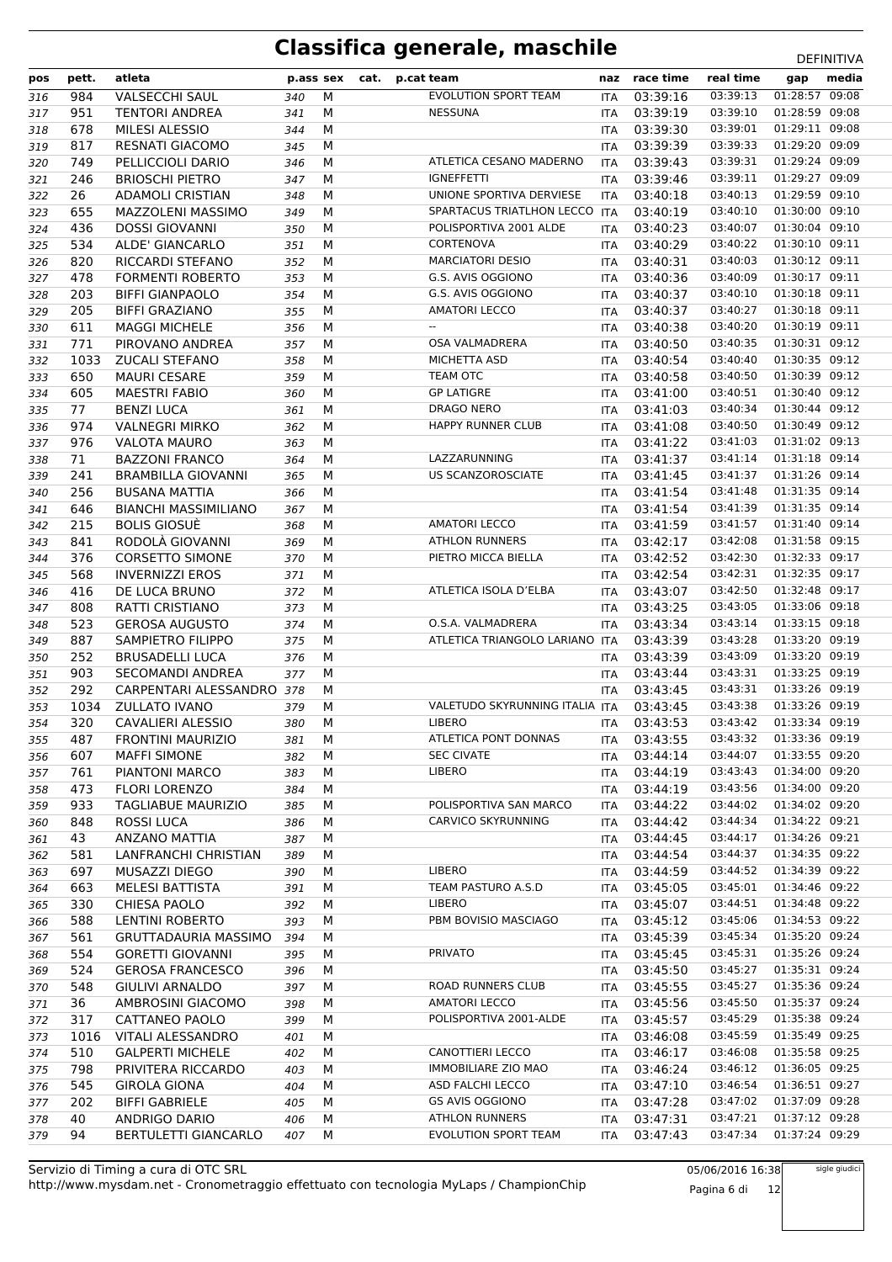| pos | pett. | atleta                      | p.ass sex |   | cat. | p.cat team                                                | naz        | race time    | real time | gap            | media |
|-----|-------|-----------------------------|-----------|---|------|-----------------------------------------------------------|------------|--------------|-----------|----------------|-------|
| 316 | 984   | <b>VALSECCHI SAUL</b>       | 340       | М |      | <b>EVOLUTION SPORT TEAM</b>                               | ITA        | 03:39:16     | 03:39:13  | 01:28:57 09:08 |       |
| 317 | 951   | <b>TENTORI ANDREA</b>       | 341       | м |      | <b>NESSUNA</b>                                            | <b>ITA</b> | 03:39:19     | 03:39:10  | 01:28:59 09:08 |       |
| 318 | 678   | <b>MILESI ALESSIO</b>       | 344       | M |      |                                                           | ITA        | 03:39:30     | 03:39:01  | 01:29:11 09:08 |       |
| 319 | 817   | <b>RESNATI GIACOMO</b>      | 345       | М |      |                                                           | <b>ITA</b> | 03:39:39     | 03:39:33  | 01:29:20 09:09 |       |
| 320 | 749   | PELLICCIOLI DARIO           | 346       | м |      | ATLETICA CESANO MADERNO                                   | <b>ITA</b> | 03:39:43     | 03:39:31  | 01:29:24 09:09 |       |
| 321 | 246   | <b>BRIOSCHI PIETRO</b>      | 347       | M |      | <b>IGNEFFETTI</b>                                         | ITA        | 03:39:46     | 03:39:11  | 01:29:27 09:09 |       |
| 322 | 26    | <b>ADAMOLI CRISTIAN</b>     | 348       | М |      | UNIONE SPORTIVA DERVIESE                                  | <b>ITA</b> | 03:40:18     | 03:40:13  | 01:29:59 09:10 |       |
| 323 | 655   | MAZZOLENI MASSIMO           | 349       | М |      | SPARTACUS TRIATLHON LECCO                                 | <b>ITA</b> | 03:40:19     | 03:40:10  | 01:30:00 09:10 |       |
| 324 | 436   | <b>DOSSI GIOVANNI</b>       | 350       | M |      | POLISPORTIVA 2001 ALDE                                    | ITA        | 03:40:23     | 03:40:07  | 01:30:04 09:10 |       |
| 325 | 534   | ALDE' GIANCARLO             | 351       | M |      | <b>CORTENOVA</b>                                          | ITA        | 03:40:29     | 03:40:22  | 01:30:10 09:11 |       |
| 326 | 820   | <b>RICCARDI STEFANO</b>     | 352       | M |      | <b>MARCIATORI DESIO</b>                                   | ITA        | 03:40:31     | 03:40:03  | 01:30:12 09:11 |       |
| 327 | 478   | <b>FORMENTI ROBERTO</b>     | 353       | M |      | G.S. AVIS OGGIONO                                         | ITA        | 03:40:36     | 03:40:09  | 01:30:17 09:11 |       |
| 328 | 203   | <b>BIFFI GIANPAOLO</b>      | 354       | М |      | G.S. AVIS OGGIONO                                         | ITA        | 03:40:37     | 03:40:10  | 01:30:18 09:11 |       |
| 329 | 205   | <b>BIFFI GRAZIANO</b>       | 355       | М |      | <b>AMATORI LECCO</b>                                      | <b>ITA</b> | 03:40:37     | 03:40:27  | 01:30:18 09:11 |       |
| 330 | 611   | <b>MAGGI MICHELE</b>        | 356       | M |      | $-$                                                       | ITA        | 03:40:38     | 03:40:20  | 01:30:19 09:11 |       |
| 331 | 771   | PIROVANO ANDREA             | 357       | М |      | <b>OSA VALMADRERA</b>                                     | <b>ITA</b> | 03:40:50     | 03:40:35  | 01:30:31 09:12 |       |
| 332 | 1033  | <b>ZUCALI STEFANO</b>       | 358       | М |      | MICHETTA ASD                                              | <b>ITA</b> | 03:40:54     | 03:40:40  | 01:30:35 09:12 |       |
| 333 | 650   | <b>MAURI CESARE</b>         | 359       | M |      | <b>TEAM OTC</b>                                           | ITA        | 03:40:58     | 03:40:50  | 01:30:39 09:12 |       |
| 334 | 605   | <b>MAESTRI FABIO</b>        | 360       | М |      | <b>GP LATIGRE</b>                                         | ITA        | 03:41:00     | 03:40:51  | 01:30:40 09:12 |       |
| 335 | 77    | <b>BENZI LUCA</b>           | 361       | М |      | DRAGO NERO                                                | ITA        | 03:41:03     | 03:40:34  | 01:30:44 09:12 |       |
| 336 | 974   | <b>VALNEGRI MIRKO</b>       | 362       | M |      | <b>HAPPY RUNNER CLUB</b>                                  | ITA        | 03:41:08     | 03:40:50  | 01:30:49 09:12 |       |
| 337 | 976   | <b>VALOTA MAURO</b>         | 363       | M |      |                                                           | <b>ITA</b> | 03:41:22     | 03:41:03  | 01:31:02 09:13 |       |
| 338 | 71    | <b>BAZZONI FRANCO</b>       | 364       | M |      | LAZZARUNNING                                              | ITA        | 03:41:37     | 03:41:14  | 01:31:18 09:14 |       |
| 339 | 241   | <b>BRAMBILLA GIOVANNI</b>   | 365       | M |      | <b>US SCANZOROSCIATE</b>                                  | ITA        | 03:41:45     | 03:41:37  | 01:31:26 09:14 |       |
| 340 | 256   | <b>BUSANA MATTIA</b>        | 366       | М |      |                                                           | ITA        | 03:41:54     | 03:41:48  | 01:31:35 09:14 |       |
| 341 | 646   | <b>BIANCHI MASSIMILIANO</b> | 367       | М |      |                                                           | <b>ITA</b> | 03:41:54     | 03:41:39  | 01:31:35 09:14 |       |
| 342 | 215   | <b>BOLIS GIOSUÈ</b>         | 368       | М |      | <b>AMATORI LECCO</b>                                      | ITA        | 03:41:59     | 03:41:57  | 01:31:40 09:14 |       |
| 343 | 841   | RODOLÀ GIOVANNI             | 369       | М |      | <b>ATHLON RUNNERS</b>                                     | <b>ITA</b> | 03:42:17     | 03:42:08  | 01:31:58 09:15 |       |
| 344 | 376   | <b>CORSETTO SIMONE</b>      | 370       | M |      | PIETRO MICCA BIELLA                                       | <b>ITA</b> | 03:42:52     | 03:42:30  | 01:32:33 09:17 |       |
| 345 | 568   | <b>INVERNIZZI EROS</b>      | 371       | M |      |                                                           | ITA        | 03:42:54     | 03:42:31  | 01:32:35 09:17 |       |
| 346 | 416   | DE LUCA BRUNO               | 372       | M |      | ATLETICA ISOLA D'ELBA                                     | ITA        | 03:43:07     | 03:42:50  | 01:32:48 09:17 |       |
| 347 | 808   | <b>RATTI CRISTIANO</b>      | 373       | М |      |                                                           | ITA        | 03:43:25     | 03:43:05  | 01:33:06 09:18 |       |
| 348 | 523   | <b>GEROSA AUGUSTO</b>       | 374       | M |      | O.S.A. VALMADRERA                                         | ITA        | 03:43:34     | 03:43:14  | 01:33:15 09:18 |       |
| 349 | 887   | SAMPIETRO FILIPPO           | 375       | M |      | ATLETICA TRIANGOLO LARIANO                                | ITA        | 03:43:39     | 03:43:28  | 01:33:20 09:19 |       |
| 350 | 252   | <b>BRUSADELLI LUCA</b>      | 376       | M |      |                                                           | <b>ITA</b> | 03:43:39     | 03:43:09  | 01:33:20 09:19 |       |
| 351 | 903   | SECOMANDI ANDREA            | 377       | M |      |                                                           | ITA        | 03:43:44     | 03:43:31  | 01:33:25 09:19 |       |
| 352 | 292   | CARPENTARI ALESSANDRO 378   |           | М |      |                                                           | ITA        | 03:43:45     | 03:43:31  | 01:33:26 09:19 |       |
| 353 | 1034  | <b>ZULLATO IVANO</b>        | 379       | М |      | VALETUDO SKYRUNNING ITALIA ITA                            |            | 03:43:45     | 03:43:38  | 01:33:26 09:19 |       |
| 354 | 320   | CAVALIERI ALESSIO           | 380       | M |      | <b>LIBERO</b>                                             | ITA        | 03:43:53     | 03:43:42  | 01:33:34 09:19 |       |
| 355 | 487   | FRONTINI MAURIZIO           | 381       | M |      | ATLETICA PONT DONNAS ITA 03:43:55 03:43:32 01:33:36 09:19 |            |              |           |                |       |
| 356 | 607   | <b>MAFFI SIMONE</b>         | 382       | М |      | <b>SEC CIVATE</b>                                         | ITA.       | 03:44:14     | 03:44:07  | 01:33:55 09:20 |       |
| 357 | 761   | PIANTONI MARCO              | 383       | м |      | <b>LIBERO</b>                                             | ITA        | 03:44:19     | 03:43:43  | 01:34:00 09:20 |       |
| 358 | 473   | <b>FLORI LORENZO</b>        | 384       | М |      |                                                           | ITA        | 03:44:19     | 03:43:56  | 01:34:00 09:20 |       |
| 359 | 933   | <b>TAGLIABUE MAURIZIO</b>   | 385       | М |      | POLISPORTIVA SAN MARCO                                    | ITA        | 03:44:22     | 03:44:02  | 01:34:02 09:20 |       |
| 360 | 848   | ROSSI LUCA                  | 386       | М |      | CARVICO SKYRUNNING                                        | ITA        | 03:44:42     | 03:44:34  | 01:34:22 09:21 |       |
| 361 | 43    | <b>ANZANO MATTIA</b>        | 387       | М |      |                                                           | ITA        | 03:44:45     | 03:44:17  | 01:34:26 09:21 |       |
| 362 | 581   | LANFRANCHI CHRISTIAN        | 389       | м |      |                                                           |            | ITA 03:44:54 | 03:44:37  | 01:34:35 09:22 |       |
| 363 | 697   | MUSAZZI DIEGO               | 390       | М |      | <b>LIBERO</b>                                             | ITA        | 03:44:59     | 03:44:52  | 01:34:39 09:22 |       |
| 364 | 663   | MELESI BATTISTA             | 391       | М |      | TEAM PASTURO A.S.D                                        | ITA        | 03:45:05     | 03:45:01  | 01:34:46 09:22 |       |
| 365 | 330   | <b>CHIESA PAOLO</b>         | 392       | М |      | <b>LIBERO</b>                                             | ITA.       | 03:45:07     | 03:44:51  | 01:34:48 09:22 |       |
| 366 | 588   | LENTINI ROBERTO             | 393       | М |      | PBM BOVISIO MASCIAGO                                      | ITA        | 03:45:12     | 03:45:06  | 01:34:53 09:22 |       |
| 367 | 561   | <b>GRUTTADAURIA MASSIMO</b> | 394       | М |      |                                                           | ITA        | 03:45:39     | 03:45:34  | 01:35:20 09:24 |       |
| 368 | 554   | <b>GORETTI GIOVANNI</b>     | 395       | М |      | <b>PRIVATO</b>                                            | ITA        | 03:45:45     | 03:45:31  | 01:35:26 09:24 |       |
| 369 | 524   | <b>GEROSA FRANCESCO</b>     | 396       | М |      |                                                           | ITA        | 03:45:50     | 03:45:27  | 01:35:31 09:24 |       |
| 370 | 548   | <b>GIULIVI ARNALDO</b>      | 397       | М |      | ROAD RUNNERS CLUB                                         | ITA        | 03:45:55     | 03:45:27  | 01:35:36 09:24 |       |
| 371 | 36    | AMBROSINI GIACOMO           | 398       | М |      | <b>AMATORI LECCO</b>                                      | ITA        | 03:45:56     | 03:45:50  | 01:35:37 09:24 |       |
| 372 | 317   | CATTANEO PAOLO              | 399       | М |      | POLISPORTIVA 2001-ALDE                                    | ITA.       | 03:45:57     | 03:45:29  | 01:35:38 09:24 |       |
| 373 | 1016  | VITALI ALESSANDRO           | 401       | М |      |                                                           | <b>ITA</b> | 03:46:08     | 03:45:59  | 01:35:49 09:25 |       |
| 374 | 510   | <b>GALPERTI MICHELE</b>     | 402       | М |      | CANOTTIERI LECCO                                          | ITA        | 03:46:17     | 03:46:08  | 01:35:58 09:25 |       |
| 375 | 798   | PRIVITERA RICCARDO          | 403       | М |      | <b>IMMOBILIARE ZIO MAO</b>                                | ITA        | 03:46:24     | 03:46:12  | 01:36:05 09:25 |       |
| 376 | 545   | <b>GIROLA GIONA</b>         | 404       | М |      | ASD FALCHI LECCO                                          | ITA        | 03:47:10     | 03:46:54  | 01:36:51 09:27 |       |
| 377 | 202   | <b>BIFFI GABRIELE</b>       | 405       | М |      | GS AVIS OGGIONO                                           | ITA        | 03:47:28     | 03:47:02  | 01:37:09 09:28 |       |
| 378 | 40    | ANDRIGO DARIO               | 406       | М |      | <b>ATHLON RUNNERS</b>                                     | ITA        | 03:47:31     | 03:47:21  | 01:37:12 09:28 |       |
| 379 | 94    | <b>BERTULETTI GIANCARLO</b> | 407       | М |      | EVOLUTION SPORT TEAM                                      | ITA        | 03:47:43     | 03:47:34  | 01:37:24 09:29 |       |

http://www.mysdam.net - Cronometraggio effettuato con tecnologia MyLaps / ChampionChip Servizio di Timing a cura di OTC SRL

05/06/2016 16:38 Pagina 6 di 12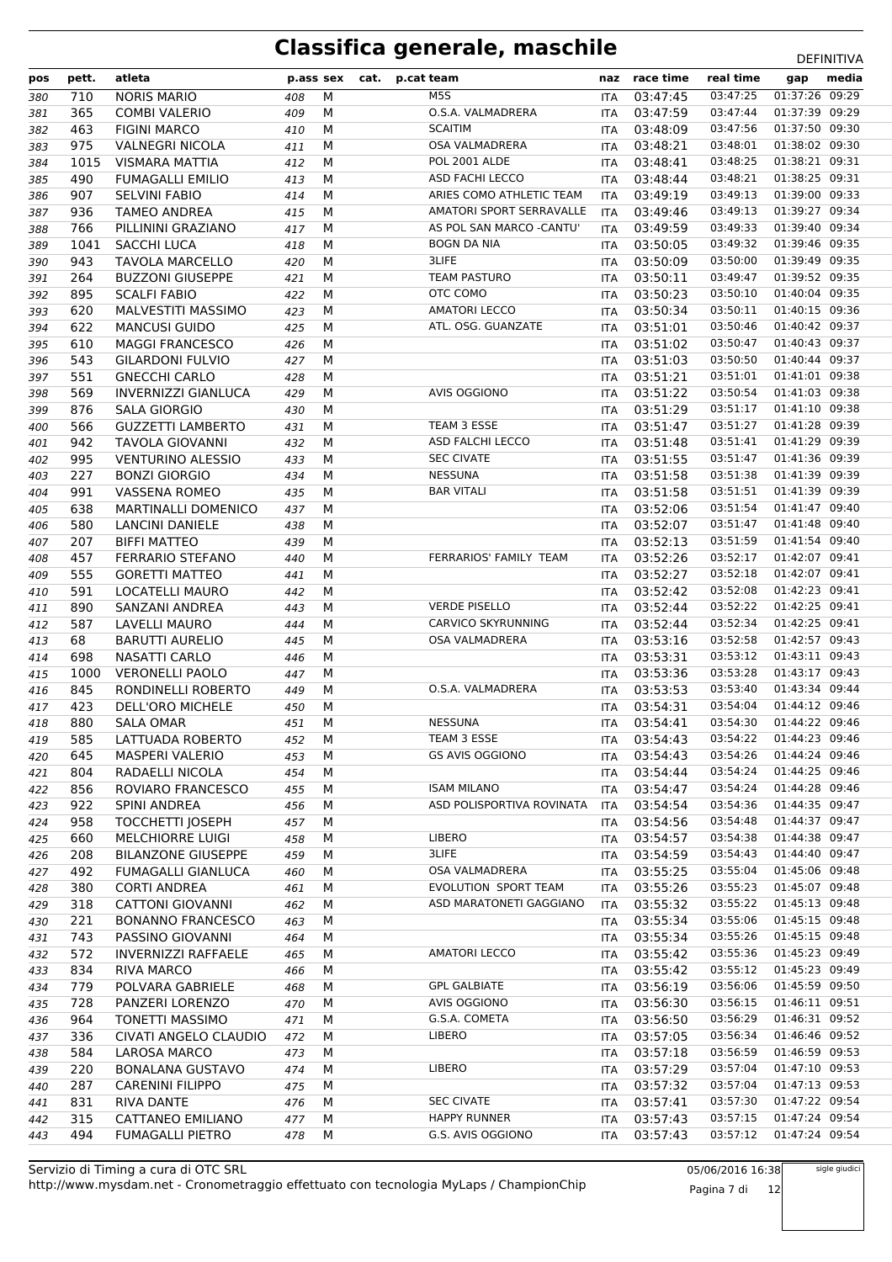| pos        | pett.      | atleta                        | p.ass sex  |        | cat. | p.cat team                | naz               | race time            | real time            | gap                              | media |
|------------|------------|-------------------------------|------------|--------|------|---------------------------|-------------------|----------------------|----------------------|----------------------------------|-------|
| 380        | 710        | <b>NORIS MARIO</b>            | 408        | M      |      | M <sub>5</sub> S          | <b>ITA</b>        | 03:47:45             | 03:47:25             | 01:37:26 09:29                   |       |
| 381        | 365        | <b>COMBI VALERIO</b>          | 409        | M      |      | O.S.A. VALMADRERA         | ITA               | 03:47:59             | 03:47:44             | 01:37:39 09:29                   |       |
| 382        | 463        | <b>FIGINI MARCO</b>           | 410        | M      |      | <b>SCAITIM</b>            | <b>ITA</b>        | 03:48:09             | 03:47:56             | 01:37:50 09:30                   |       |
| 383        | 975        | <b>VALNEGRI NICOLA</b>        | 411        | M      |      | <b>OSA VALMADRERA</b>     | <b>ITA</b>        | 03:48:21             | 03:48:01             | 01:38:02 09:30                   |       |
| 384        | 1015       | VISMARA MATTIA                | 412        | M      |      | <b>POL 2001 ALDE</b>      | <b>ITA</b>        | 03:48:41             | 03:48:25             | 01:38:21 09:31                   |       |
| 385        | 490        | <b>FUMAGALLI EMILIO</b>       | 413        | M      |      | <b>ASD FACHI LECCO</b>    | <b>ITA</b>        | 03:48:44             | 03:48:21             | 01:38:25 09:31                   |       |
| 386        | 907        | <b>SELVINI FABIO</b>          | 414        | M      |      | ARIES COMO ATHLETIC TEAM  | <b>ITA</b>        | 03:49:19             | 03:49:13             | 01:39:00 09:33                   |       |
| 387        | 936        | <b>TAMEO ANDREA</b>           | 415        | M      |      | AMATORI SPORT SERRAVALLE  | <b>ITA</b>        | 03:49:46             | 03:49:13             | 01:39:27 09:34                   |       |
| 388        | 766        | PILLININI GRAZIANO            | 417        | M      |      | AS POL SAN MARCO -CANTU'  | <b>ITA</b>        | 03:49:59             | 03:49:33             | 01:39:40 09:34                   |       |
| 389        | 1041       | <b>SACCHI LUCA</b>            | 418        | M      |      | <b>BOGN DA NIA</b>        | ITA               | 03:50:05             | 03:49:32             | 01:39:46 09:35                   |       |
| 390        | 943        | <b>TAVOLA MARCELLO</b>        | 420        | M      |      | 3LIFE                     | <b>ITA</b>        | 03:50:09             | 03:50:00             | 01:39:49 09:35                   |       |
| 391        | 264        | <b>BUZZONI GIUSEPPE</b>       | 421        | M      |      | <b>TEAM PASTURO</b>       | <b>ITA</b>        | 03:50:11             | 03:49:47             | 01:39:52 09:35                   |       |
| 392        | 895        | <b>SCALFI FABIO</b>           | 422        | M      |      | OTC COMO                  | ITA               | 03:50:23             | 03:50:10             | 01:40:04 09:35                   |       |
| 393        | 620        | <b>MALVESTITI MASSIMO</b>     | 423        | M      |      | <b>AMATORI LECCO</b>      | ITA               | 03:50:34             | 03:50:11             | 01:40:15 09:36                   |       |
| 394        | 622        | <b>MANCUSI GUIDO</b>          | 425        | M      |      | ATL. OSG. GUANZATE        | ITA               | 03:51:01             | 03:50:46             | 01:40:42 09:37                   |       |
| 395        | 610        | <b>MAGGI FRANCESCO</b>        | 426        | M      |      |                           | ITA               | 03:51:02             | 03:50:47             | 01:40:43 09:37                   |       |
| 396        | 543        | <b>GILARDONI FULVIO</b>       | 427        | M      |      |                           | <b>ITA</b>        | 03:51:03             | 03:50:50             | 01:40:44 09:37                   |       |
| 397        | 551        | <b>GNECCHI CARLO</b>          | 428        | M      |      |                           | ITA               | 03:51:21             | 03:51:01             | 01:41:01 09:38                   |       |
| 398        | 569        | <b>INVERNIZZI GIANLUCA</b>    | 429        | M      |      | <b>AVIS OGGIONO</b>       | ITA               | 03:51:22             | 03:50:54             | 01:41:03 09:38                   |       |
| 399        | 876        | SALA GIORGIO                  | 430        | M      |      |                           | <b>ITA</b>        | 03:51:29             | 03:51:17             | 01:41:10 09:38                   |       |
| 400        | 566        | <b>GUZZETTI LAMBERTO</b>      | 431        | M      |      | TEAM 3 ESSE               | ITA               | 03:51:47             | 03:51:27             | 01:41:28 09:39                   |       |
| 401        | 942        | <b>TAVOLA GIOVANNI</b>        | 432        | M      |      | ASD FALCHI LECCO          | ITA               | 03:51:48             | 03:51:41             | 01:41:29 09:39                   |       |
| 402        | 995        | <b>VENTURINO ALESSIO</b>      | 433        | M      |      | <b>SEC CIVATE</b>         | <b>ITA</b>        | 03:51:55             | 03:51:47             | 01:41:36 09:39                   |       |
| 403        | 227        | <b>BONZI GIORGIO</b>          | 434        | M      |      | <b>NESSUNA</b>            | <b>ITA</b>        | 03:51:58             | 03:51:38             | 01:41:39 09:39                   |       |
| 404        | 991        | <b>VASSENA ROMEO</b>          | 435        | M      |      | <b>BAR VITALI</b>         | ITA               | 03:51:58             | 03:51:51             | 01:41:39 09:39                   |       |
| 405        | 638        | <b>MARTINALLI DOMENICO</b>    | 437        | M      |      |                           | <b>ITA</b>        | 03:52:06             | 03:51:54             | 01:41:47 09:40                   |       |
| 406        | 580        | <b>LANCINI DANIELE</b>        | 438        | M      |      |                           | <b>ITA</b>        | 03:52:07             | 03:51:47             | 01:41:48 09:40                   |       |
| 407        | 207        | <b>BIFFI MATTEO</b>           | 439        | M      |      |                           | ITA               | 03:52:13             | 03:51:59             | 01:41:54 09:40                   |       |
| 408        | 457        | <b>FERRARIO STEFANO</b>       | 440        | M      |      | FERRARIOS' FAMILY TEAM    | <b>ITA</b>        | 03:52:26             | 03:52:17             | 01:42:07 09:41                   |       |
| 409        | 555        | <b>GORETTI MATTEO</b>         | 441        | M      |      |                           | ITA               | 03:52:27             | 03:52:18             | 01:42:07 09:41                   |       |
| 410        | 591        | LOCATELLI MAURO               | 442        | M      |      |                           | ITA               | 03:52:42             | 03:52:08             | 01:42:23 09:41                   |       |
| 411        | 890        | SANZANI ANDREA                | 443        | М      |      | <b>VERDE PISELLO</b>      | <b>ITA</b>        | 03:52:44             | 03:52:22             | 01:42:25 09:41                   |       |
| 412        | 587        | LAVELLI MAURO                 | 444        | М      |      | <b>CARVICO SKYRUNNING</b> | <b>ITA</b>        | 03:52:44             | 03:52:34             | 01:42:25 09:41                   |       |
| 413        | 68         | <b>BARUTTI AURELIO</b>        | 445        | M      |      | OSA VALMADRERA            | ITA               | 03:53:16             | 03:52:58             | 01:42:57 09:43                   |       |
| 414        | 698        | NASATTI CARLO                 | 446        | M      |      |                           | <b>ITA</b>        | 03:53:31             | 03:53:12             | 01:43:11 09:43                   |       |
| 415        | 1000       | <b>VERONELLI PAOLO</b>        | 447        | M      |      | O.S.A. VALMADRERA         | ITA               | 03:53:36<br>03:53:53 | 03:53:28             | 01:43:17 09:43<br>01:43:34 09:44 |       |
| 416        | 845        | RONDINELLI ROBERTO            | 449        | М      |      |                           | ITA               |                      | 03:53:40<br>03:54:04 | 01:44:12 09:46                   |       |
| 417        | 423<br>880 | DELL'ORO MICHELE              | 450        | М<br>M |      | <b>NESSUNA</b>            | <b>ITA</b>        | 03:54:31<br>03:54:41 | 03:54:30             | 01:44:22 09:46                   |       |
| 418        | 585        | SALA OMAR<br>LATTUADA ROBERTO | 451        | M      |      | TEAM 3 ESSE               | ITA               | 03:54:43             | 03:54:22             | 01:44:23 09:46                   |       |
| 419<br>420 | 645        | <b>MASPERI VALERIO</b>        | 452<br>453 | М      |      | <b>GS AVIS OGGIONO</b>    | ITA<br><b>ITA</b> | 03:54:43             | 03:54:26             | 01:44:24 09:46                   |       |
| 421        | 804        | RADAELLI NICOLA               | 454        | M      |      |                           | ITA               | 03:54:44             | 03:54:24             | 01:44:25 09:46                   |       |
| 422        | 856        | ROVIARO FRANCESCO             | 455        | М      |      | <b>ISAM MILANO</b>        | ITA               | 03:54:47             | 03:54:24             | 01:44:28 09:46                   |       |
| 423        | 922        | SPINI ANDREA                  | 456        | М      |      | ASD POLISPORTIVA ROVINATA | <b>ITA</b>        | 03:54:54             | 03:54:36             | 01:44:35 09:47                   |       |
| 424        | 958        | <b>TOCCHETTI JOSEPH</b>       | 457        | M      |      |                           | ITA               | 03:54:56             | 03:54:48             | 01:44:37 09:47                   |       |
| 425        | 660        | <b>MELCHIORRE LUIGI</b>       | 458        | M      |      | <b>LIBERO</b>             |                   | ITA 03:54:57         | 03:54:38             | 01:44:38 09:47                   |       |
| 426        | 208        | <b>BILANZONE GIUSEPPE</b>     | 459        | M      |      | 3LIFE                     |                   | ITA 03:54:59         | 03:54:43             | 01:44:40 09:47                   |       |
| 427        | 492        | <b>FUMAGALLI GIANLUCA</b>     | 460        | M      |      | OSA VALMADRERA            |                   | ITA 03:55:25         | 03:55:04             | 01:45:06 09:48                   |       |
| 428        | 380        | <b>CORTI ANDREA</b>           | 461        | M      |      | EVOLUTION SPORT TEAM      | ITA               | 03:55:26             | 03:55:23             | 01:45:07 09:48                   |       |
| 429        | 318        | <b>CATTONI GIOVANNI</b>       | 462        | М      |      | ASD MARATONETI GAGGIANO   | <b>ITA</b>        | 03:55:32             | 03:55:22             | 01:45:13 09:48                   |       |
| 430        | 221        | <b>BONANNO FRANCESCO</b>      | 463        | М      |      |                           | ITA               | 03:55:34             | 03:55:06             | 01:45:15 09:48                   |       |
| 431        | 743        | PASSINO GIOVANNI              | 464        | M      |      |                           | ITA               | 03:55:34             | 03:55:26             | 01:45:15 09:48                   |       |
| 432        | 572        | <b>INVERNIZZI RAFFAELE</b>    | 465        | M      |      | <b>AMATORI LECCO</b>      | ITA               | 03:55:42             | 03:55:36             | 01:45:23 09:49                   |       |
| 433        | 834        | RIVA MARCO                    | 466        | M      |      |                           | ITA               | 03:55:42             | 03:55:12             | 01:45:23 09:49                   |       |
| 434        | 779        | POLVARA GABRIELE              | 468        | М      |      | <b>GPL GALBIATE</b>       | ITA               | 03:56:19             | 03:56:06             | 01:45:59 09:50                   |       |
| 435        | 728        | PANZERI LORENZO               | 470        | М      |      | AVIS OGGIONO              | ITA               | 03:56:30             | 03:56:15             | 01:46:11 09:51                   |       |
| 436        | 964        | <b>TONETTI MASSIMO</b>        | 471        | М      |      | G.S.A. COMETA             |                   | ITA 03:56:50         | 03:56:29             | 01:46:31 09:52                   |       |
| 437        | 336        | CIVATI ANGELO CLAUDIO         | 472        | M      |      | <b>LIBERO</b>             | <b>ITA</b>        | 03:57:05             | 03:56:34             | 01:46:46 09:52                   |       |
| 438        | 584        | <b>LAROSA MARCO</b>           | 473        | M      |      |                           | <b>ITA</b>        | 03:57:18             | 03:56:59             | 01:46:59 09:53                   |       |
| 439        | 220        | <b>BONALANA GUSTAVO</b>       | 474        | M      |      | LIBERO                    |                   | ITA 03:57:29         | 03:57:04             | 01:47:10 09:53                   |       |
| 440        | 287        | <b>CARENINI FILIPPO</b>       | 475        | M      |      |                           | ITA               | 03:57:32             | 03:57:04             | 01:47:13 09:53                   |       |
| 441        | 831        | <b>RIVA DANTE</b>             | 476        | М      |      | <b>SEC CIVATE</b>         | ITA               | 03:57:41             | 03:57:30             | 01:47:22 09:54                   |       |
| 442        | 315        | CATTANEO EMILIANO             | 477        | M      |      | <b>HAPPY RUNNER</b>       | ITA               | 03:57:43             | 03:57:15             | 01:47:24 09:54                   |       |
| 443        | 494        | <b>FUMAGALLI PIETRO</b>       | 478        | M      |      | G.S. AVIS OGGIONO         | ITA               | 03:57:43             | 03:57:12             | 01:47:24 09:54                   |       |

05/06/2016 16:38 Pagina 7 di 12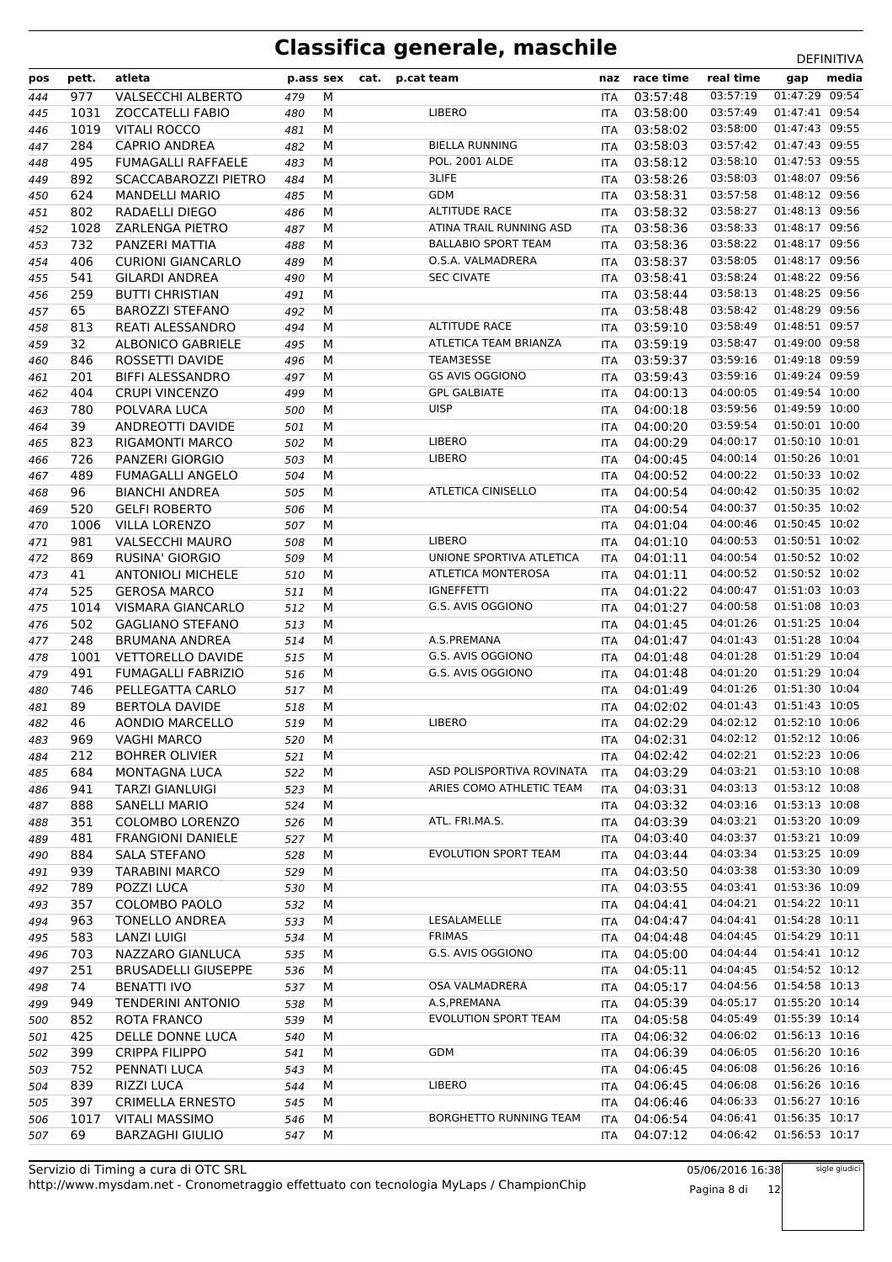| pos | pett. | atleta                     | p.ass sex |   | cat. | p.cat team                    | naz        | race time                            | real time | gap            | media |
|-----|-------|----------------------------|-----------|---|------|-------------------------------|------------|--------------------------------------|-----------|----------------|-------|
| 444 | 977   | <b>VALSECCHI ALBERTO</b>   | 479       | M |      |                               | ITA        | 03:57:48                             | 03:57:19  | 01:47:29 09:54 |       |
| 445 | 1031  | <b>ZOCCATELLI FABIO</b>    | 480       | м |      | LIBERO                        | <b>ITA</b> | 03:58:00                             | 03:57:49  | 01:47:41 09:54 |       |
| 446 | 1019  | <b>VITALI ROCCO</b>        | 481       | M |      |                               | ITA        | 03:58:02                             | 03:58:00  | 01:47:43 09:55 |       |
| 447 | 284   | <b>CAPRIO ANDREA</b>       | 482       | М |      | <b>BIELLA RUNNING</b>         | <b>ITA</b> | 03:58:03                             | 03:57:42  | 01:47:43 09:55 |       |
| 448 | 495   | <b>FUMAGALLI RAFFAELE</b>  | 483       | М |      | <b>POL. 2001 ALDE</b>         | <b>ITA</b> | 03:58:12                             | 03:58:10  | 01:47:53 09:55 |       |
| 449 | 892   | SCACCABAROZZI PIETRO       | 484       | М |      | 3LIFE                         | ITA        | 03:58:26                             | 03:58:03  | 01:48:07 09:56 |       |
| 450 | 624   | <b>MANDELLI MARIO</b>      | 485       | M |      | <b>GDM</b>                    | ITA        | 03:58:31                             | 03:57:58  | 01:48:12 09:56 |       |
| 451 | 802   | RADAELLI DIEGO             | 486       | M |      | <b>ALTITUDE RACE</b>          | ITA        | 03:58:32                             | 03:58:27  | 01:48:13 09:56 |       |
| 452 | 1028  | <b>ZARLENGA PIETRO</b>     | 487       | M |      | ATINA TRAIL RUNNING ASD       | ITA        | 03:58:36                             | 03:58:33  | 01:48:17 09:56 |       |
| 453 | 732   | PANZERI MATTIA             | 488       | M |      | <b>BALLABIO SPORT TEAM</b>    | <b>ITA</b> | 03:58:36                             | 03:58:22  | 01:48:17 09:56 |       |
| 454 | 406   | <b>CURIONI GIANCARLO</b>   | 489       | M |      | O.S.A. VALMADRERA             | <b>ITA</b> | 03:58:37                             | 03:58:05  | 01:48:17 09:56 |       |
| 455 | 541   | <b>GILARDI ANDREA</b>      | 490       | M |      | <b>SEC CIVATE</b>             | ITA        | 03:58:41                             | 03:58:24  | 01:48:22 09:56 |       |
| 456 | 259   | <b>BUTTI CHRISTIAN</b>     | 491       | M |      |                               | <b>ITA</b> | 03:58:44                             | 03:58:13  | 01:48:25 09:56 |       |
| 457 | 65    | <b>BAROZZI STEFANO</b>     | 492       | М |      |                               | <b>ITA</b> | 03:58:48                             | 03:58:42  | 01:48:29 09:56 |       |
| 458 | 813   | <b>REATI ALESSANDRO</b>    | 494       | M |      | <b>ALTITUDE RACE</b>          | ITA        | 03:59:10                             | 03:58:49  | 01:48:51 09:57 |       |
| 459 | 32    | <b>ALBONICO GABRIELE</b>   | 495       | М |      | ATLETICA TEAM BRIANZA         | <b>ITA</b> | 03:59:19                             | 03:58:47  | 01:49:00 09:58 |       |
|     | 846   | ROSSETTI DAVIDE            | 496       | м |      | TEAM3ESSE                     | <b>ITA</b> | 03:59:37                             | 03:59:16  | 01:49:18 09:59 |       |
| 460 | 201   | <b>BIFFI ALESSANDRO</b>    | 497       | М |      | <b>GS AVIS OGGIONO</b>        |            | 03:59:43                             | 03:59:16  | 01:49:24 09:59 |       |
| 461 |       |                            |           | М |      | <b>GPL GALBIATE</b>           | ITA        |                                      | 04:00:05  | 01:49:54 10:00 |       |
| 462 | 404   | <b>CRUPI VINCENZO</b>      | 499       |   |      | <b>UISP</b>                   | ITA        | 04:00:13                             |           | 01:49:59 10:00 |       |
| 463 | 780   | POLVARA LUCA               | 500       | М |      |                               | <b>ITA</b> | 04:00:18                             | 03:59:56  | 01:50:01 10:00 |       |
| 464 | 39    | ANDREOTTI DAVIDE           | 501       | M |      |                               | ITA        | 04:00:20                             | 03:59:54  |                |       |
| 465 | 823   | <b>RIGAMONTI MARCO</b>     | 502       | M |      | <b>LIBERO</b>                 | ITA        | 04:00:29                             | 04:00:17  | 01:50:10 10:01 |       |
| 466 | 726   | <b>PANZERI GIORGIO</b>     | 503       | М |      | LIBERO                        | <b>ITA</b> | 04:00:45                             | 04:00:14  | 01:50:26 10:01 |       |
| 467 | 489   | <b>FUMAGALLI ANGELO</b>    | 504       | M |      |                               | ITA        | 04:00:52                             | 04:00:22  | 01:50:33 10:02 |       |
| 468 | 96    | <b>BIANCHI ANDREA</b>      | 505       | M |      | <b>ATLETICA CINISELLO</b>     | ITA        | 04:00:54                             | 04:00:42  | 01:50:35 10:02 |       |
| 469 | 520   | <b>GELFI ROBERTO</b>       | 506       | м |      |                               | <b>ITA</b> | 04:00:54                             | 04:00:37  | 01:50:35 10:02 |       |
| 470 | 1006  | <b>VILLA LORENZO</b>       | 507       | M |      |                               | ITA        | 04:01:04                             | 04:00:46  | 01:50:45 10:02 |       |
| 471 | 981   | <b>VALSECCHI MAURO</b>     | 508       | M |      | <b>LIBERO</b>                 | <b>ITA</b> | 04:01:10                             | 04:00:53  | 01:50:51 10:02 |       |
| 472 | 869   | <b>RUSINA' GIORGIO</b>     | 509       | М |      | UNIONE SPORTIVA ATLETICA      | <b>ITA</b> | 04:01:11                             | 04:00:54  | 01:50:52 10:02 |       |
| 473 | 41    | <b>ANTONIOLI MICHELE</b>   | 510       | M |      | <b>ATLETICA MONTEROSA</b>     | ITA        | 04:01:11                             | 04:00:52  | 01:50:52 10:02 |       |
| 474 | 525   | <b>GEROSA MARCO</b>        | 511       | M |      | <b>IGNEFFETTI</b>             | ITA        | 04:01:22                             | 04:00:47  | 01:51:03 10:03 |       |
| 475 | 1014  | VISMARA GIANCARLO          | 512       | М |      | G.S. AVIS OGGIONO             | <b>ITA</b> | 04:01:27                             | 04:00:58  | 01:51:08 10:03 |       |
| 476 | 502   | <b>GAGLIANO STEFANO</b>    | 513       | M |      |                               | ITA        | 04:01:45                             | 04:01:26  | 01:51:25 10:04 |       |
| 477 | 248   | <b>BRUMANA ANDREA</b>      | 514       | М |      | A.S.PREMANA                   | <b>ITA</b> | 04:01:47                             | 04:01:43  | 01:51:28 10:04 |       |
| 478 | 1001  | <b>VETTORELLO DAVIDE</b>   | 515       | M |      | G.S. AVIS OGGIONO             | <b>ITA</b> | 04:01:48                             | 04:01:28  | 01:51:29 10:04 |       |
| 479 | 491   | <b>FUMAGALLI FABRIZIO</b>  | 516       | M |      | G.S. AVIS OGGIONO             | ITA        | 04:01:48                             | 04:01:20  | 01:51:29 10:04 |       |
| 480 | 746   | PELLEGATTA CARLO           | 517       | М |      |                               | <b>ITA</b> | 04:01:49                             | 04:01:26  | 01:51:30 10:04 |       |
| 481 | 89    | <b>BERTOLA DAVIDE</b>      | 518       | м |      |                               | ITA        | 04:02:02                             | 04:01:43  | 01:51:43 10:05 |       |
| 482 | 46    | AONDIO MARCELLO            | 519       | M |      | <b>LIBERO</b>                 | ITA        | 04:02:29                             | 04:02:12  | 01:52:10 10:06 |       |
| 483 |       | 969 VAGHI MARCO            | 520 M     |   |      |                               |            | ITA 04:02:31 04:02:12 01:52:12 10:06 |           |                |       |
| 484 | 212   | <b>BOHRER OLIVIER</b>      | 521       | М |      |                               | ITA        | 04:02:42                             | 04:02:21  | 01:52:23 10:06 |       |
| 485 | 684   | MONTAGNA LUCA              | 522       | М |      | ASD POLISPORTIVA ROVINATA     | ITA        | 04:03:29                             | 04:03:21  | 01:53:10 10:08 |       |
| 486 | 941   | TARZI GIANLUIGI            | 523       | М |      | ARIES COMO ATHLETIC TEAM      | <b>ITA</b> | 04:03:31                             | 04:03:13  | 01:53:12 10:08 |       |
| 487 | 888   | <b>SANELLI MARIO</b>       | 524       | М |      |                               | ITA.       | 04:03:32                             | 04:03:16  | 01:53:13 10:08 |       |
| 488 | 351   | COLOMBO LORENZO            | 526       | М |      | ATL. FRI.MA.S.                | ITA.       | 04:03:39                             | 04:03:21  | 01:53:20 10:09 |       |
| 489 | 481   | <b>FRANGIONI DANIELE</b>   | 527       | М |      |                               | <b>ITA</b> | 04:03:40                             | 04:03:37  | 01:53:21 10:09 |       |
| 490 | 884   | SALA STEFANO               | 528       | М |      | EVOLUTION SPORT TEAM          | ITA        | 04:03:44                             | 04:03:34  | 01:53:25 10:09 |       |
| 491 | 939   | <b>TARABINI MARCO</b>      | 529       | М |      |                               | ITA        | 04:03:50                             | 04:03:38  | 01:53:30 10:09 |       |
| 492 | 789   | POZZI LUCA                 | 530       | М |      |                               | ITA        | 04:03:55                             | 04:03:41  | 01:53:36 10:09 |       |
| 493 | 357   | <b>COLOMBO PAOLO</b>       | 532       | М |      |                               | ITA.       | 04:04:41                             | 04:04:21  | 01:54:22 10:11 |       |
| 494 | 963   | <b>TONELLO ANDREA</b>      | 533       | М |      | LESALAMELLE                   | ITA        | 04:04:47                             | 04:04:41  | 01:54:28 10:11 |       |
| 495 | 583   | <b>LANZI LUIGI</b>         | 534       | М |      | <b>FRIMAS</b>                 | <b>ITA</b> | 04:04:48                             | 04:04:45  | 01:54:29 10:11 |       |
| 496 | 703   | NAZZARO GIANLUCA           | 535       | М |      | G.S. AVIS OGGIONO             | ITA.       | 04:05:00                             | 04:04:44  | 01:54:41 10:12 |       |
| 497 | 251   | <b>BRUSADELLI GIUSEPPE</b> | 536       | М |      |                               | ITA        | 04:05:11                             | 04:04:45  | 01:54:52 10:12 |       |
| 498 | 74    | <b>BENATTI IVO</b>         | 537       | М |      | OSA VALMADRERA                | ITA        | 04:05:17                             | 04:04:56  | 01:54:58 10:13 |       |
| 499 | 949   | <b>TENDERINI ANTONIO</b>   | 538       | М |      | A.S, PREMANA                  | ITA.       | 04:05:39                             | 04:05:17  | 01:55:20 10:14 |       |
| 500 | 852   | ROTA FRANCO                | 539       | М |      | EVOLUTION SPORT TEAM          | ITA        | 04:05:58                             | 04:05:49  | 01:55:39 10:14 |       |
| 501 | 425   | DELLE DONNE LUCA           | 540       | М |      |                               | <b>ITA</b> | 04:06:32                             | 04:06:02  | 01:56:13 10:16 |       |
| 502 | 399   | <b>CRIPPA FILIPPO</b>      | 541       | М |      | GDM                           | <b>ITA</b> | 04:06:39                             | 04:06:05  | 01:56:20 10:16 |       |
| 503 | 752   | PENNATI LUCA               | 543       | м |      |                               | ITA        | 04:06:45                             | 04:06:08  | 01:56:26 10:16 |       |
| 504 | 839   | RIZZI LUCA                 | 544       | М |      | LIBERO                        | ITA        | 04:06:45                             | 04:06:08  | 01:56:26 10:16 |       |
| 505 | 397   | <b>CRIMELLA ERNESTO</b>    | 545       | М |      |                               | ITA.       | 04:06:46                             | 04:06:33  | 01:56:27 10:16 |       |
| 506 | 1017  | <b>VITALI MASSIMO</b>      | 546       | м |      | <b>BORGHETTO RUNNING TEAM</b> | ITA        | 04:06:54                             | 04:06:41  | 01:56:35 10:17 |       |
| 507 | 69    | <b>BARZAGHI GIULIO</b>     | 547       | М |      |                               | ITA        | 04:07:12                             | 04:06:42  | 01:56:53 10:17 |       |
|     |       |                            |           |   |      |                               |            |                                      |           |                |       |

05/06/2016 16:38 Pagina 8 di 12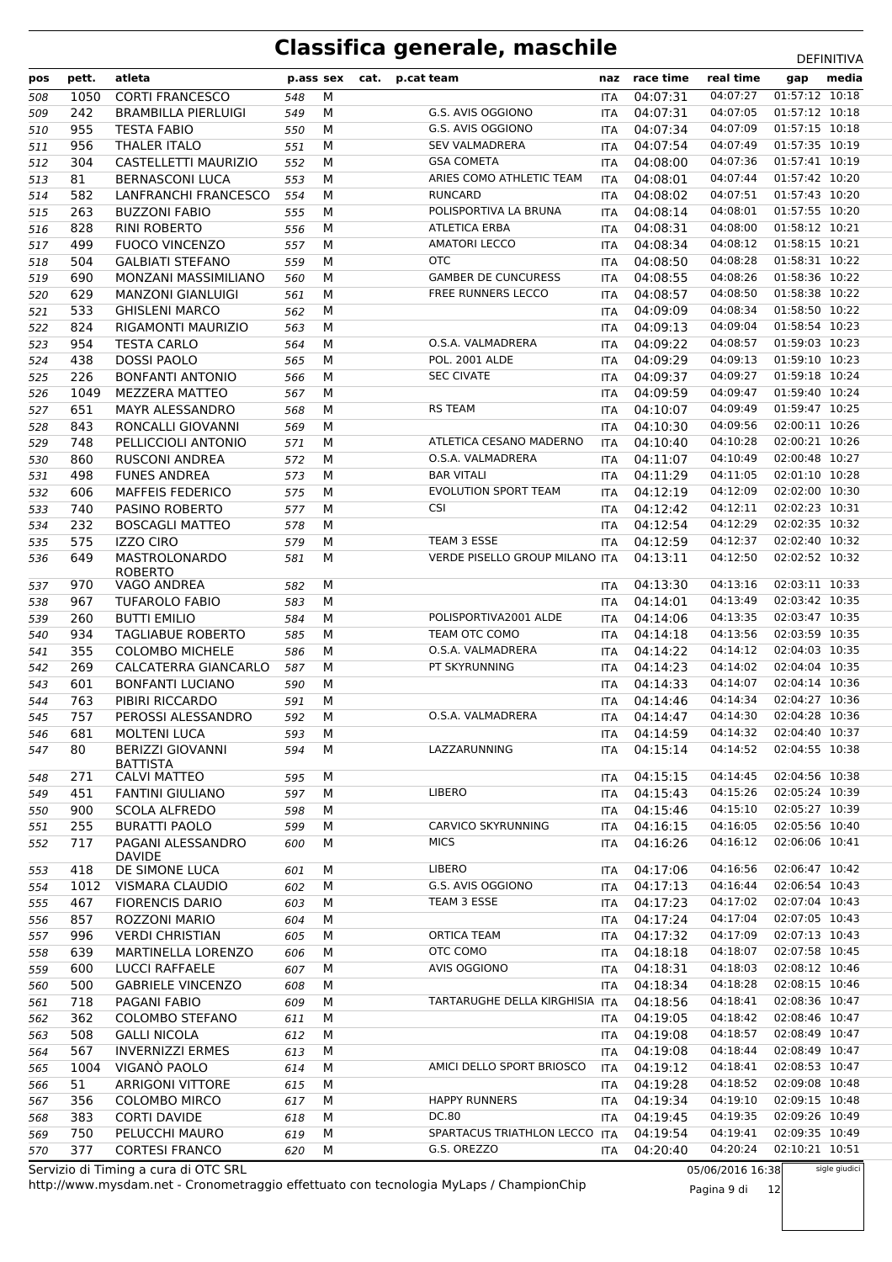| 04:07:27<br>01:57:12 10:18<br>1050<br><b>CORTI FRANCESCO</b><br>M<br>04:07:31<br>508<br>548<br><b>ITA</b><br>01:57:12 10:18<br>242<br>М<br>G.S. AVIS OGGIONO<br>04:07:31<br>04:07:05<br><b>BRAMBILLA PIERLUIGI</b><br>509<br>549<br>ITA<br>04:07:09<br>01:57:15 10:18<br>G.S. AVIS OGGIONO<br>04:07:34<br>955<br><b>TESTA FABIO</b><br>М<br>550<br><b>ITA</b><br>510<br>01:57:35 10:19<br><b>SEV VALMADRERA</b><br>04:07:49<br>956<br><b>THALER ITALO</b><br>М<br>04:07:54<br>551<br><b>ITA</b><br>511<br>01:57:41 10:19<br>304<br>CASTELLETTI MAURIZIO<br>М<br><b>GSA COMETA</b><br>04:08:00<br>04:07:36<br>552<br>512<br>ITA<br>01:57:42 10:20<br>ARIES COMO ATHLETIC TEAM<br>04:07:44<br>81<br><b>BERNASCONI LUCA</b><br>М<br>04:08:01<br>513<br>553<br><b>ITA</b><br>01:57:43 10:20<br><b>RUNCARD</b><br>04:07:51<br>582<br>LANFRANCHI FRANCESCO<br>M<br>04:08:02<br>514<br>554<br><b>ITA</b><br>01:57:55 10:20<br>263<br>M<br>POLISPORTIVA LA BRUNA<br>04:08:14<br>04:08:01<br><b>BUZZONI FABIO</b><br>515<br>555<br>ITA<br>01:58:12 10:21<br><b>ATLETICA ERBA</b><br>04:08:00<br>828<br><b>RINI ROBERTO</b><br>М<br>04:08:31<br>556<br>516<br><b>ITA</b><br>01:58:15 10:21<br><b>AMATORI LECCO</b><br>04:08:12<br>499<br><b>FUOCO VINCENZO</b><br>M<br>04:08:34<br>517<br>557<br><b>ITA</b><br><b>OTC</b><br>01:58:31 10:22<br>504<br>М<br>04:08:50<br>04:08:28<br><b>GALBIATI STEFANO</b><br>559<br>518<br>ITA<br>01:58:36 10:22<br><b>GAMBER DE CUNCURESS</b><br>04:08:26<br>MONZANI MASSIMILIANO<br>М<br>04:08:55<br>519<br>690<br>560<br><b>ITA</b><br>FREE RUNNERS LECCO<br>04:08:50<br>01:58:38 10:22<br>629<br><b>MANZONI GIANLUIGI</b><br>M<br>04:08:57<br>561<br>520<br>ITA<br>01:58:50 10:22<br>533<br>M<br>04:09:09<br>04:08:34<br><b>GHISLENI MARCO</b><br>521<br>562<br>ITA<br>01:58:54 10:23<br>04:09:04<br>824<br>RIGAMONTI MAURIZIO<br>М<br>04:09:13<br>563<br>522<br><b>ITA</b><br>01:59:03 10:23<br>954<br><b>TESTA CARLO</b><br>М<br>O.S.A. VALMADRERA<br>04:09:22<br>04:08:57<br>523<br><b>ITA</b><br>564<br>01:59:10 10:23<br>438<br><b>DOSSI PAOLO</b><br>M<br><b>POL. 2001 ALDE</b><br>04:09:29<br>04:09:13<br>565<br>524<br><b>ITA</b><br>01:59:18 10:24<br><b>SEC CIVATE</b><br>04:09:27<br>226<br><b>BONFANTI ANTONIO</b><br>М<br>04:09:37<br>525<br>566<br><b>ITA</b><br>01:59:40 10:24<br><b>MEZZERA MATTEO</b><br>M<br>04:09:47<br>526<br>1049<br>567<br>04:09:59<br>ITA<br>01:59:47 10:25<br>651<br>MAYR ALESSANDRO<br>M<br><b>RS TEAM</b><br>04:10:07<br>04:09:49<br>568<br>527<br>ITA<br>02:00:11 10:26<br>04:09:56<br>843<br>RONCALLI GIOVANNI<br>М<br>04:10:30<br>569<br>528<br>ITA<br>02:00:21 10:26<br>748<br>PELLICCIOLI ANTONIO<br>M<br>ATLETICA CESANO MADERNO<br>04:10:40<br>04:10:28<br>529<br>571<br><b>ITA</b><br>02:00:48 10:27<br>860<br>M<br>O.S.A. VALMADRERA<br>04:11:07<br>04:10:49<br><b>RUSCONI ANDREA</b><br>572<br>530<br><b>ITA</b><br><b>BAR VITALI</b><br>02:01:10 10:28<br>04:11:05<br>М<br>04:11:29<br>531<br>498<br><b>FUNES ANDREA</b><br>573<br><b>ITA</b><br>02:02:00 10:30<br><b>MAFFEIS FEDERICO</b><br>M<br><b>EVOLUTION SPORT TEAM</b><br>04:12:19<br>04:12:09<br>532<br>606<br>575<br>ITA<br>02:02:23 10:31<br>740<br>M<br><b>CSI</b><br>04:12:42<br>04:12:11<br>PASINO ROBERTO<br>577<br>533<br><b>ITA</b><br>02:02:35 10:32<br>04:12:54<br>04:12:29<br>232<br><b>BOSCAGLI MATTEO</b><br>М<br>578<br>534<br><b>ITA</b><br>02:02:40 10:32<br>575<br><b>IZZO CIRO</b><br>М<br>TEAM 3 ESSE<br>04:12:59<br>04:12:37<br>579<br><b>ITA</b><br>535<br>VERDE PISELLO GROUP MILANO ITA<br>02:02:52 10:32<br>649<br>MASTROLONARDO<br>M<br>04:13:11<br>04:12:50<br>536<br>581<br><b>ROBERTO</b><br>02:03:11 10:33<br>970<br>M<br>04:13:30<br>04:13:16<br>VAGO ANDREA<br>582<br>537<br><b>ITA</b><br>02:03:42 10:35<br>04:13:49<br>М<br>04:14:01<br>967<br><b>TUFAROLO FABIO</b><br>583<br>538<br><b>ITA</b><br>M<br>POLISPORTIVA2001 ALDE<br>04:14:06<br>04:13:35<br>02:03:47 10:35<br>260<br><b>BUTTI EMILIO</b><br>584<br><b>ITA</b><br>539<br>02:03:59 10:35<br>934<br><b>TAGLIABUE ROBERTO</b><br>M<br>TEAM OTC COMO<br>04:14:18<br>04:13:56<br>540<br>585<br><b>ITA</b><br>02:04:03 10:35<br>O.S.A. VALMADRERA<br>04:14:12<br>355<br><b>COLOMBO MICHELE</b><br>М<br>04:14:22<br>586<br>541<br><b>ITA</b><br>02:04:04 10:35<br>269<br>CALCATERRA GIANCARLO<br>М<br>PT SKYRUNNING<br>04:14:23<br>04:14:02<br>542<br>587<br>ITA<br>02:04:14 10:36<br>04:14:07<br><b>BONFANTI LUCIANO</b><br>М<br>04:14:33<br>601<br>543<br>590<br>ITA<br>02:04:27 10:36<br>04:14:34<br>763<br>PIBIRI RICCARDO<br>М<br>544<br>591<br>04:14:46<br>ITA<br>02:04:28 10:36<br>757<br>PEROSSI ALESSANDRO<br>M<br>O.S.A. VALMADRERA<br>04:14:30<br>545<br>592<br><b>ITA</b><br>04:14:47<br>02:04:40 10:37<br>M<br>04:14:32<br>681<br><b>MOLTENI LUCA</b><br>04:14:59<br>593<br>546<br>ITA<br>02:04:55 10:38<br>LAZZARUNNING<br>04:14:52<br>80<br><b>BERIZZI GIOVANNI</b><br>М<br>04:15:14<br>594<br>ITA<br>547<br><b>BATTISTA</b><br>04:14:45<br>02:04:56 10:38<br>271<br><b>CALVI MATTEO</b><br>М<br>04:15:15<br>595<br>548<br><b>ITA</b><br>м<br><b>LIBERO</b><br>04:15:43<br>04:15:26<br>02:05:24 10:39<br>451<br>549<br><b>FANTINI GIULIANO</b><br>597<br>ITA<br>02:05:27 10:39<br>04:15:10<br>04:15:46<br>900<br><b>SCOLA ALFREDO</b><br>м<br>598<br>ITA<br>550<br>04:16:05<br>02:05:56 10:40<br>CARVICO SKYRUNNING<br>255<br><b>BURATTI PAOLO</b><br>599<br>м<br>04:16:15<br>551<br>ITA<br><b>MICS</b><br>04:16:26<br>04:16:12<br>02:06:06 10:41<br>717<br>PAGANI ALESSANDRO<br>М<br>600<br>552<br>ITA<br><b>DAVIDE</b><br><b>LIBERO</b><br>04:16:56<br>02:06:47 10:42<br>418<br>DE SIMONE LUCA<br>М<br>04:17:06<br>553<br>601<br>ITA<br>G.S. AVIS OGGIONO<br>04:16:44<br>02:06:54 10:43<br>1012<br>VISMARA CLAUDIO<br>М<br>04:17:13<br>554<br>602<br>ITA<br>04:17:02<br>02:07:04 10:43<br>M<br>TEAM 3 ESSE<br>04:17:23<br>467<br><b>FIORENCIS DARIO</b><br>555<br>603<br>ITA<br>04:17:24<br>04:17:04<br>02:07:05 10:43<br>857<br>ROZZONI MARIO<br>М<br>556<br>604<br>ITA<br>02:07:13 10:43<br><b>ORTICA TEAM</b><br>04:17:09<br>04:17:32<br>996<br><b>VERDI CHRISTIAN</b><br>м<br>557<br>605<br>ITA<br>OTC COMO<br>02:07:58 10:45<br>639<br><b>MARTINELLA LORENZO</b><br>М<br>04:18:18<br>04:18:07<br>558<br>606<br>ITA<br><b>AVIS OGGIONO</b><br>04:18:03<br>02:08:12 10:46<br>600<br><b>LUCCI RAFFAELE</b><br>М<br>04:18:31<br>559<br>607<br>ITA<br>04:18:28<br>02:08:15 10:46<br>04:18:34<br>500<br><b>GABRIELE VINCENZO</b><br>М<br>608<br><b>ITA</b><br>560<br>02:08:36 10:47<br>04:18:56<br>04:18:41<br>718<br>PAGANI FABIO<br>М<br>TARTARUGHE DELLA KIRGHISIA ITA<br>609<br>561<br>04:19:05<br>04:18:42<br>02:08:46 10:47<br>362<br><b>COLOMBO STEFANO</b><br>М<br>562<br>611<br>ITA<br>02:08:49 10:47<br>04:18:57<br>508<br>04:19:08<br><b>GALLI NICOLA</b><br>м<br>563<br>612<br>ITA<br>04:18:44<br>02:08:49 10:47<br>567<br><b>INVERNIZZI ERMES</b><br>613<br>М<br>04:19:08<br>564<br><b>ITA</b><br>02:08:53 10:47<br>VIGANÒ PAOLO<br>AMICI DELLO SPORT BRIOSCO<br>04:18:41<br>1004<br>М<br>04:19:12<br>565<br>614<br>ITA<br>02:09:08 10:48<br>04:18:52<br>51<br>ARRIGONI VITTORE<br>М<br>04:19:28<br>615<br>ITA<br>566<br>02:09:15 10:48<br><b>HAPPY RUNNERS</b><br>04:19:10<br>356<br><b>COLOMBO MIRCO</b><br>М<br>04:19:34<br>617<br>567<br>ITA<br>383<br>DC.80<br>04:19:35<br>02:09:26 10:49<br><b>CORTI DAVIDE</b><br>М<br>04:19:45<br>618<br>ITA<br>568<br>SPARTACUS TRIATHLON LECCO<br>04:19:41<br>02:09:35 10:49<br>750<br>PELUCCHI MAURO<br>М<br><b>ITA</b><br>04:19:54<br>619<br>569<br>04:20:24<br>02:10:21 10:51<br>377<br><b>CORTESI FRANCO</b><br>М<br>G.S. OREZZO<br>04:20:40<br>570<br>620<br><b>ITA</b> | pos | pett. | atleta | p.ass sex | cat. | p.cat team | naz | race time | real time | gap | media |
|-------------------------------------------------------------------------------------------------------------------------------------------------------------------------------------------------------------------------------------------------------------------------------------------------------------------------------------------------------------------------------------------------------------------------------------------------------------------------------------------------------------------------------------------------------------------------------------------------------------------------------------------------------------------------------------------------------------------------------------------------------------------------------------------------------------------------------------------------------------------------------------------------------------------------------------------------------------------------------------------------------------------------------------------------------------------------------------------------------------------------------------------------------------------------------------------------------------------------------------------------------------------------------------------------------------------------------------------------------------------------------------------------------------------------------------------------------------------------------------------------------------------------------------------------------------------------------------------------------------------------------------------------------------------------------------------------------------------------------------------------------------------------------------------------------------------------------------------------------------------------------------------------------------------------------------------------------------------------------------------------------------------------------------------------------------------------------------------------------------------------------------------------------------------------------------------------------------------------------------------------------------------------------------------------------------------------------------------------------------------------------------------------------------------------------------------------------------------------------------------------------------------------------------------------------------------------------------------------------------------------------------------------------------------------------------------------------------------------------------------------------------------------------------------------------------------------------------------------------------------------------------------------------------------------------------------------------------------------------------------------------------------------------------------------------------------------------------------------------------------------------------------------------------------------------------------------------------------------------------------------------------------------------------------------------------------------------------------------------------------------------------------------------------------------------------------------------------------------------------------------------------------------------------------------------------------------------------------------------------------------------------------------------------------------------------------------------------------------------------------------------------------------------------------------------------------------------------------------------------------------------------------------------------------------------------------------------------------------------------------------------------------------------------------------------------------------------------------------------------------------------------------------------------------------------------------------------------------------------------------------------------------------------------------------------------------------------------------------------------------------------------------------------------------------------------------------------------------------------------------------------------------------------------------------------------------------------------------------------------------------------------------------------------------------------------------------------------------------------------------------------------------------------------------------------------------------------------------------------------------------------------------------------------------------------------------------------------------------------------------------------------------------------------------------------------------------------------------------------------------------------------------------------------------------------------------------------------------------------------------------------------------------------------------------------------------------------------------------------------------------------------------------------------------------------------------------------------------------------------------------------------------------------------------------------------------------------------------------------------------------------------------------------------------------------------------------------------------------------------------------------------------------------------------------------------------------------------------------------------------------------------------------------------------------------------------------------------------------------------------------------------------------------------------------------------------------------------------------------------------------------------------------------------------------------------------------------------------------------------------------------------------------------------------------------------------------------------------------------------------------------------------------------------------------------------------------------------------------------------------------------------------------------------------------------------------------------------------------------------------------------------------------------------------------------------------------------------------------------------------------------------------------------------------------------------------------------------------------------------------------------------------------------------------------------------------------------------------------------------------------------------------------------------------------------------------------------------------------------------------------------------------------------------------------------------------------------------------------------------------------------------------------------------------------------------------------------------------------------------------------------------------------------------------------------------------------------------------------------------------------------------------------------------------------------------------------------------------------------------------------------------------------------------------------------------|-----|-------|--------|-----------|------|------------|-----|-----------|-----------|-----|-------|
|                                                                                                                                                                                                                                                                                                                                                                                                                                                                                                                                                                                                                                                                                                                                                                                                                                                                                                                                                                                                                                                                                                                                                                                                                                                                                                                                                                                                                                                                                                                                                                                                                                                                                                                                                                                                                                                                                                                                                                                                                                                                                                                                                                                                                                                                                                                                                                                                                                                                                                                                                                                                                                                                                                                                                                                                                                                                                                                                                                                                                                                                                                                                                                                                                                                                                                                                                                                                                                                                                                                                                                                                                                                                                                                                                                                                                                                                                                                                                                                                                                                                                                                                                                                                                                                                                                                                                                                                                                                                                                                                                                                                                                                                                                                                                                                                                                                                                                                                                                                                                                                                                                                                                                                                                                                                                                                                                                                                                                                                                                                                                                                                                                                                                                                                                                                                                                                                                                                                                                                                                                                                                                                                                                                                                                                                                                                                                                                                                                                                                                                                                                                                                                                                                                                                                                                                                                                                                                                                                                                                                                                                                                                                                                                                                                                                                                                                                                                                                                                                                                                                                                                                                                                                                     |     |       |        |           |      |            |     |           |           |     |       |
|                                                                                                                                                                                                                                                                                                                                                                                                                                                                                                                                                                                                                                                                                                                                                                                                                                                                                                                                                                                                                                                                                                                                                                                                                                                                                                                                                                                                                                                                                                                                                                                                                                                                                                                                                                                                                                                                                                                                                                                                                                                                                                                                                                                                                                                                                                                                                                                                                                                                                                                                                                                                                                                                                                                                                                                                                                                                                                                                                                                                                                                                                                                                                                                                                                                                                                                                                                                                                                                                                                                                                                                                                                                                                                                                                                                                                                                                                                                                                                                                                                                                                                                                                                                                                                                                                                                                                                                                                                                                                                                                                                                                                                                                                                                                                                                                                                                                                                                                                                                                                                                                                                                                                                                                                                                                                                                                                                                                                                                                                                                                                                                                                                                                                                                                                                                                                                                                                                                                                                                                                                                                                                                                                                                                                                                                                                                                                                                                                                                                                                                                                                                                                                                                                                                                                                                                                                                                                                                                                                                                                                                                                                                                                                                                                                                                                                                                                                                                                                                                                                                                                                                                                                                                                     |     |       |        |           |      |            |     |           |           |     |       |
|                                                                                                                                                                                                                                                                                                                                                                                                                                                                                                                                                                                                                                                                                                                                                                                                                                                                                                                                                                                                                                                                                                                                                                                                                                                                                                                                                                                                                                                                                                                                                                                                                                                                                                                                                                                                                                                                                                                                                                                                                                                                                                                                                                                                                                                                                                                                                                                                                                                                                                                                                                                                                                                                                                                                                                                                                                                                                                                                                                                                                                                                                                                                                                                                                                                                                                                                                                                                                                                                                                                                                                                                                                                                                                                                                                                                                                                                                                                                                                                                                                                                                                                                                                                                                                                                                                                                                                                                                                                                                                                                                                                                                                                                                                                                                                                                                                                                                                                                                                                                                                                                                                                                                                                                                                                                                                                                                                                                                                                                                                                                                                                                                                                                                                                                                                                                                                                                                                                                                                                                                                                                                                                                                                                                                                                                                                                                                                                                                                                                                                                                                                                                                                                                                                                                                                                                                                                                                                                                                                                                                                                                                                                                                                                                                                                                                                                                                                                                                                                                                                                                                                                                                                                                                     |     |       |        |           |      |            |     |           |           |     |       |
|                                                                                                                                                                                                                                                                                                                                                                                                                                                                                                                                                                                                                                                                                                                                                                                                                                                                                                                                                                                                                                                                                                                                                                                                                                                                                                                                                                                                                                                                                                                                                                                                                                                                                                                                                                                                                                                                                                                                                                                                                                                                                                                                                                                                                                                                                                                                                                                                                                                                                                                                                                                                                                                                                                                                                                                                                                                                                                                                                                                                                                                                                                                                                                                                                                                                                                                                                                                                                                                                                                                                                                                                                                                                                                                                                                                                                                                                                                                                                                                                                                                                                                                                                                                                                                                                                                                                                                                                                                                                                                                                                                                                                                                                                                                                                                                                                                                                                                                                                                                                                                                                                                                                                                                                                                                                                                                                                                                                                                                                                                                                                                                                                                                                                                                                                                                                                                                                                                                                                                                                                                                                                                                                                                                                                                                                                                                                                                                                                                                                                                                                                                                                                                                                                                                                                                                                                                                                                                                                                                                                                                                                                                                                                                                                                                                                                                                                                                                                                                                                                                                                                                                                                                                                                     |     |       |        |           |      |            |     |           |           |     |       |
|                                                                                                                                                                                                                                                                                                                                                                                                                                                                                                                                                                                                                                                                                                                                                                                                                                                                                                                                                                                                                                                                                                                                                                                                                                                                                                                                                                                                                                                                                                                                                                                                                                                                                                                                                                                                                                                                                                                                                                                                                                                                                                                                                                                                                                                                                                                                                                                                                                                                                                                                                                                                                                                                                                                                                                                                                                                                                                                                                                                                                                                                                                                                                                                                                                                                                                                                                                                                                                                                                                                                                                                                                                                                                                                                                                                                                                                                                                                                                                                                                                                                                                                                                                                                                                                                                                                                                                                                                                                                                                                                                                                                                                                                                                                                                                                                                                                                                                                                                                                                                                                                                                                                                                                                                                                                                                                                                                                                                                                                                                                                                                                                                                                                                                                                                                                                                                                                                                                                                                                                                                                                                                                                                                                                                                                                                                                                                                                                                                                                                                                                                                                                                                                                                                                                                                                                                                                                                                                                                                                                                                                                                                                                                                                                                                                                                                                                                                                                                                                                                                                                                                                                                                                                                     |     |       |        |           |      |            |     |           |           |     |       |
|                                                                                                                                                                                                                                                                                                                                                                                                                                                                                                                                                                                                                                                                                                                                                                                                                                                                                                                                                                                                                                                                                                                                                                                                                                                                                                                                                                                                                                                                                                                                                                                                                                                                                                                                                                                                                                                                                                                                                                                                                                                                                                                                                                                                                                                                                                                                                                                                                                                                                                                                                                                                                                                                                                                                                                                                                                                                                                                                                                                                                                                                                                                                                                                                                                                                                                                                                                                                                                                                                                                                                                                                                                                                                                                                                                                                                                                                                                                                                                                                                                                                                                                                                                                                                                                                                                                                                                                                                                                                                                                                                                                                                                                                                                                                                                                                                                                                                                                                                                                                                                                                                                                                                                                                                                                                                                                                                                                                                                                                                                                                                                                                                                                                                                                                                                                                                                                                                                                                                                                                                                                                                                                                                                                                                                                                                                                                                                                                                                                                                                                                                                                                                                                                                                                                                                                                                                                                                                                                                                                                                                                                                                                                                                                                                                                                                                                                                                                                                                                                                                                                                                                                                                                                                     |     |       |        |           |      |            |     |           |           |     |       |
|                                                                                                                                                                                                                                                                                                                                                                                                                                                                                                                                                                                                                                                                                                                                                                                                                                                                                                                                                                                                                                                                                                                                                                                                                                                                                                                                                                                                                                                                                                                                                                                                                                                                                                                                                                                                                                                                                                                                                                                                                                                                                                                                                                                                                                                                                                                                                                                                                                                                                                                                                                                                                                                                                                                                                                                                                                                                                                                                                                                                                                                                                                                                                                                                                                                                                                                                                                                                                                                                                                                                                                                                                                                                                                                                                                                                                                                                                                                                                                                                                                                                                                                                                                                                                                                                                                                                                                                                                                                                                                                                                                                                                                                                                                                                                                                                                                                                                                                                                                                                                                                                                                                                                                                                                                                                                                                                                                                                                                                                                                                                                                                                                                                                                                                                                                                                                                                                                                                                                                                                                                                                                                                                                                                                                                                                                                                                                                                                                                                                                                                                                                                                                                                                                                                                                                                                                                                                                                                                                                                                                                                                                                                                                                                                                                                                                                                                                                                                                                                                                                                                                                                                                                                                                     |     |       |        |           |      |            |     |           |           |     |       |
|                                                                                                                                                                                                                                                                                                                                                                                                                                                                                                                                                                                                                                                                                                                                                                                                                                                                                                                                                                                                                                                                                                                                                                                                                                                                                                                                                                                                                                                                                                                                                                                                                                                                                                                                                                                                                                                                                                                                                                                                                                                                                                                                                                                                                                                                                                                                                                                                                                                                                                                                                                                                                                                                                                                                                                                                                                                                                                                                                                                                                                                                                                                                                                                                                                                                                                                                                                                                                                                                                                                                                                                                                                                                                                                                                                                                                                                                                                                                                                                                                                                                                                                                                                                                                                                                                                                                                                                                                                                                                                                                                                                                                                                                                                                                                                                                                                                                                                                                                                                                                                                                                                                                                                                                                                                                                                                                                                                                                                                                                                                                                                                                                                                                                                                                                                                                                                                                                                                                                                                                                                                                                                                                                                                                                                                                                                                                                                                                                                                                                                                                                                                                                                                                                                                                                                                                                                                                                                                                                                                                                                                                                                                                                                                                                                                                                                                                                                                                                                                                                                                                                                                                                                                                                     |     |       |        |           |      |            |     |           |           |     |       |
|                                                                                                                                                                                                                                                                                                                                                                                                                                                                                                                                                                                                                                                                                                                                                                                                                                                                                                                                                                                                                                                                                                                                                                                                                                                                                                                                                                                                                                                                                                                                                                                                                                                                                                                                                                                                                                                                                                                                                                                                                                                                                                                                                                                                                                                                                                                                                                                                                                                                                                                                                                                                                                                                                                                                                                                                                                                                                                                                                                                                                                                                                                                                                                                                                                                                                                                                                                                                                                                                                                                                                                                                                                                                                                                                                                                                                                                                                                                                                                                                                                                                                                                                                                                                                                                                                                                                                                                                                                                                                                                                                                                                                                                                                                                                                                                                                                                                                                                                                                                                                                                                                                                                                                                                                                                                                                                                                                                                                                                                                                                                                                                                                                                                                                                                                                                                                                                                                                                                                                                                                                                                                                                                                                                                                                                                                                                                                                                                                                                                                                                                                                                                                                                                                                                                                                                                                                                                                                                                                                                                                                                                                                                                                                                                                                                                                                                                                                                                                                                                                                                                                                                                                                                                                     |     |       |        |           |      |            |     |           |           |     |       |
|                                                                                                                                                                                                                                                                                                                                                                                                                                                                                                                                                                                                                                                                                                                                                                                                                                                                                                                                                                                                                                                                                                                                                                                                                                                                                                                                                                                                                                                                                                                                                                                                                                                                                                                                                                                                                                                                                                                                                                                                                                                                                                                                                                                                                                                                                                                                                                                                                                                                                                                                                                                                                                                                                                                                                                                                                                                                                                                                                                                                                                                                                                                                                                                                                                                                                                                                                                                                                                                                                                                                                                                                                                                                                                                                                                                                                                                                                                                                                                                                                                                                                                                                                                                                                                                                                                                                                                                                                                                                                                                                                                                                                                                                                                                                                                                                                                                                                                                                                                                                                                                                                                                                                                                                                                                                                                                                                                                                                                                                                                                                                                                                                                                                                                                                                                                                                                                                                                                                                                                                                                                                                                                                                                                                                                                                                                                                                                                                                                                                                                                                                                                                                                                                                                                                                                                                                                                                                                                                                                                                                                                                                                                                                                                                                                                                                                                                                                                                                                                                                                                                                                                                                                                                                     |     |       |        |           |      |            |     |           |           |     |       |
|                                                                                                                                                                                                                                                                                                                                                                                                                                                                                                                                                                                                                                                                                                                                                                                                                                                                                                                                                                                                                                                                                                                                                                                                                                                                                                                                                                                                                                                                                                                                                                                                                                                                                                                                                                                                                                                                                                                                                                                                                                                                                                                                                                                                                                                                                                                                                                                                                                                                                                                                                                                                                                                                                                                                                                                                                                                                                                                                                                                                                                                                                                                                                                                                                                                                                                                                                                                                                                                                                                                                                                                                                                                                                                                                                                                                                                                                                                                                                                                                                                                                                                                                                                                                                                                                                                                                                                                                                                                                                                                                                                                                                                                                                                                                                                                                                                                                                                                                                                                                                                                                                                                                                                                                                                                                                                                                                                                                                                                                                                                                                                                                                                                                                                                                                                                                                                                                                                                                                                                                                                                                                                                                                                                                                                                                                                                                                                                                                                                                                                                                                                                                                                                                                                                                                                                                                                                                                                                                                                                                                                                                                                                                                                                                                                                                                                                                                                                                                                                                                                                                                                                                                                                                                     |     |       |        |           |      |            |     |           |           |     |       |
|                                                                                                                                                                                                                                                                                                                                                                                                                                                                                                                                                                                                                                                                                                                                                                                                                                                                                                                                                                                                                                                                                                                                                                                                                                                                                                                                                                                                                                                                                                                                                                                                                                                                                                                                                                                                                                                                                                                                                                                                                                                                                                                                                                                                                                                                                                                                                                                                                                                                                                                                                                                                                                                                                                                                                                                                                                                                                                                                                                                                                                                                                                                                                                                                                                                                                                                                                                                                                                                                                                                                                                                                                                                                                                                                                                                                                                                                                                                                                                                                                                                                                                                                                                                                                                                                                                                                                                                                                                                                                                                                                                                                                                                                                                                                                                                                                                                                                                                                                                                                                                                                                                                                                                                                                                                                                                                                                                                                                                                                                                                                                                                                                                                                                                                                                                                                                                                                                                                                                                                                                                                                                                                                                                                                                                                                                                                                                                                                                                                                                                                                                                                                                                                                                                                                                                                                                                                                                                                                                                                                                                                                                                                                                                                                                                                                                                                                                                                                                                                                                                                                                                                                                                                                                     |     |       |        |           |      |            |     |           |           |     |       |
|                                                                                                                                                                                                                                                                                                                                                                                                                                                                                                                                                                                                                                                                                                                                                                                                                                                                                                                                                                                                                                                                                                                                                                                                                                                                                                                                                                                                                                                                                                                                                                                                                                                                                                                                                                                                                                                                                                                                                                                                                                                                                                                                                                                                                                                                                                                                                                                                                                                                                                                                                                                                                                                                                                                                                                                                                                                                                                                                                                                                                                                                                                                                                                                                                                                                                                                                                                                                                                                                                                                                                                                                                                                                                                                                                                                                                                                                                                                                                                                                                                                                                                                                                                                                                                                                                                                                                                                                                                                                                                                                                                                                                                                                                                                                                                                                                                                                                                                                                                                                                                                                                                                                                                                                                                                                                                                                                                                                                                                                                                                                                                                                                                                                                                                                                                                                                                                                                                                                                                                                                                                                                                                                                                                                                                                                                                                                                                                                                                                                                                                                                                                                                                                                                                                                                                                                                                                                                                                                                                                                                                                                                                                                                                                                                                                                                                                                                                                                                                                                                                                                                                                                                                                                                     |     |       |        |           |      |            |     |           |           |     |       |
|                                                                                                                                                                                                                                                                                                                                                                                                                                                                                                                                                                                                                                                                                                                                                                                                                                                                                                                                                                                                                                                                                                                                                                                                                                                                                                                                                                                                                                                                                                                                                                                                                                                                                                                                                                                                                                                                                                                                                                                                                                                                                                                                                                                                                                                                                                                                                                                                                                                                                                                                                                                                                                                                                                                                                                                                                                                                                                                                                                                                                                                                                                                                                                                                                                                                                                                                                                                                                                                                                                                                                                                                                                                                                                                                                                                                                                                                                                                                                                                                                                                                                                                                                                                                                                                                                                                                                                                                                                                                                                                                                                                                                                                                                                                                                                                                                                                                                                                                                                                                                                                                                                                                                                                                                                                                                                                                                                                                                                                                                                                                                                                                                                                                                                                                                                                                                                                                                                                                                                                                                                                                                                                                                                                                                                                                                                                                                                                                                                                                                                                                                                                                                                                                                                                                                                                                                                                                                                                                                                                                                                                                                                                                                                                                                                                                                                                                                                                                                                                                                                                                                                                                                                                                                     |     |       |        |           |      |            |     |           |           |     |       |
|                                                                                                                                                                                                                                                                                                                                                                                                                                                                                                                                                                                                                                                                                                                                                                                                                                                                                                                                                                                                                                                                                                                                                                                                                                                                                                                                                                                                                                                                                                                                                                                                                                                                                                                                                                                                                                                                                                                                                                                                                                                                                                                                                                                                                                                                                                                                                                                                                                                                                                                                                                                                                                                                                                                                                                                                                                                                                                                                                                                                                                                                                                                                                                                                                                                                                                                                                                                                                                                                                                                                                                                                                                                                                                                                                                                                                                                                                                                                                                                                                                                                                                                                                                                                                                                                                                                                                                                                                                                                                                                                                                                                                                                                                                                                                                                                                                                                                                                                                                                                                                                                                                                                                                                                                                                                                                                                                                                                                                                                                                                                                                                                                                                                                                                                                                                                                                                                                                                                                                                                                                                                                                                                                                                                                                                                                                                                                                                                                                                                                                                                                                                                                                                                                                                                                                                                                                                                                                                                                                                                                                                                                                                                                                                                                                                                                                                                                                                                                                                                                                                                                                                                                                                                                     |     |       |        |           |      |            |     |           |           |     |       |
|                                                                                                                                                                                                                                                                                                                                                                                                                                                                                                                                                                                                                                                                                                                                                                                                                                                                                                                                                                                                                                                                                                                                                                                                                                                                                                                                                                                                                                                                                                                                                                                                                                                                                                                                                                                                                                                                                                                                                                                                                                                                                                                                                                                                                                                                                                                                                                                                                                                                                                                                                                                                                                                                                                                                                                                                                                                                                                                                                                                                                                                                                                                                                                                                                                                                                                                                                                                                                                                                                                                                                                                                                                                                                                                                                                                                                                                                                                                                                                                                                                                                                                                                                                                                                                                                                                                                                                                                                                                                                                                                                                                                                                                                                                                                                                                                                                                                                                                                                                                                                                                                                                                                                                                                                                                                                                                                                                                                                                                                                                                                                                                                                                                                                                                                                                                                                                                                                                                                                                                                                                                                                                                                                                                                                                                                                                                                                                                                                                                                                                                                                                                                                                                                                                                                                                                                                                                                                                                                                                                                                                                                                                                                                                                                                                                                                                                                                                                                                                                                                                                                                                                                                                                                                     |     |       |        |           |      |            |     |           |           |     |       |
|                                                                                                                                                                                                                                                                                                                                                                                                                                                                                                                                                                                                                                                                                                                                                                                                                                                                                                                                                                                                                                                                                                                                                                                                                                                                                                                                                                                                                                                                                                                                                                                                                                                                                                                                                                                                                                                                                                                                                                                                                                                                                                                                                                                                                                                                                                                                                                                                                                                                                                                                                                                                                                                                                                                                                                                                                                                                                                                                                                                                                                                                                                                                                                                                                                                                                                                                                                                                                                                                                                                                                                                                                                                                                                                                                                                                                                                                                                                                                                                                                                                                                                                                                                                                                                                                                                                                                                                                                                                                                                                                                                                                                                                                                                                                                                                                                                                                                                                                                                                                                                                                                                                                                                                                                                                                                                                                                                                                                                                                                                                                                                                                                                                                                                                                                                                                                                                                                                                                                                                                                                                                                                                                                                                                                                                                                                                                                                                                                                                                                                                                                                                                                                                                                                                                                                                                                                                                                                                                                                                                                                                                                                                                                                                                                                                                                                                                                                                                                                                                                                                                                                                                                                                                                     |     |       |        |           |      |            |     |           |           |     |       |
|                                                                                                                                                                                                                                                                                                                                                                                                                                                                                                                                                                                                                                                                                                                                                                                                                                                                                                                                                                                                                                                                                                                                                                                                                                                                                                                                                                                                                                                                                                                                                                                                                                                                                                                                                                                                                                                                                                                                                                                                                                                                                                                                                                                                                                                                                                                                                                                                                                                                                                                                                                                                                                                                                                                                                                                                                                                                                                                                                                                                                                                                                                                                                                                                                                                                                                                                                                                                                                                                                                                                                                                                                                                                                                                                                                                                                                                                                                                                                                                                                                                                                                                                                                                                                                                                                                                                                                                                                                                                                                                                                                                                                                                                                                                                                                                                                                                                                                                                                                                                                                                                                                                                                                                                                                                                                                                                                                                                                                                                                                                                                                                                                                                                                                                                                                                                                                                                                                                                                                                                                                                                                                                                                                                                                                                                                                                                                                                                                                                                                                                                                                                                                                                                                                                                                                                                                                                                                                                                                                                                                                                                                                                                                                                                                                                                                                                                                                                                                                                                                                                                                                                                                                                                                     |     |       |        |           |      |            |     |           |           |     |       |
|                                                                                                                                                                                                                                                                                                                                                                                                                                                                                                                                                                                                                                                                                                                                                                                                                                                                                                                                                                                                                                                                                                                                                                                                                                                                                                                                                                                                                                                                                                                                                                                                                                                                                                                                                                                                                                                                                                                                                                                                                                                                                                                                                                                                                                                                                                                                                                                                                                                                                                                                                                                                                                                                                                                                                                                                                                                                                                                                                                                                                                                                                                                                                                                                                                                                                                                                                                                                                                                                                                                                                                                                                                                                                                                                                                                                                                                                                                                                                                                                                                                                                                                                                                                                                                                                                                                                                                                                                                                                                                                                                                                                                                                                                                                                                                                                                                                                                                                                                                                                                                                                                                                                                                                                                                                                                                                                                                                                                                                                                                                                                                                                                                                                                                                                                                                                                                                                                                                                                                                                                                                                                                                                                                                                                                                                                                                                                                                                                                                                                                                                                                                                                                                                                                                                                                                                                                                                                                                                                                                                                                                                                                                                                                                                                                                                                                                                                                                                                                                                                                                                                                                                                                                                                     |     |       |        |           |      |            |     |           |           |     |       |
|                                                                                                                                                                                                                                                                                                                                                                                                                                                                                                                                                                                                                                                                                                                                                                                                                                                                                                                                                                                                                                                                                                                                                                                                                                                                                                                                                                                                                                                                                                                                                                                                                                                                                                                                                                                                                                                                                                                                                                                                                                                                                                                                                                                                                                                                                                                                                                                                                                                                                                                                                                                                                                                                                                                                                                                                                                                                                                                                                                                                                                                                                                                                                                                                                                                                                                                                                                                                                                                                                                                                                                                                                                                                                                                                                                                                                                                                                                                                                                                                                                                                                                                                                                                                                                                                                                                                                                                                                                                                                                                                                                                                                                                                                                                                                                                                                                                                                                                                                                                                                                                                                                                                                                                                                                                                                                                                                                                                                                                                                                                                                                                                                                                                                                                                                                                                                                                                                                                                                                                                                                                                                                                                                                                                                                                                                                                                                                                                                                                                                                                                                                                                                                                                                                                                                                                                                                                                                                                                                                                                                                                                                                                                                                                                                                                                                                                                                                                                                                                                                                                                                                                                                                                                                     |     |       |        |           |      |            |     |           |           |     |       |
|                                                                                                                                                                                                                                                                                                                                                                                                                                                                                                                                                                                                                                                                                                                                                                                                                                                                                                                                                                                                                                                                                                                                                                                                                                                                                                                                                                                                                                                                                                                                                                                                                                                                                                                                                                                                                                                                                                                                                                                                                                                                                                                                                                                                                                                                                                                                                                                                                                                                                                                                                                                                                                                                                                                                                                                                                                                                                                                                                                                                                                                                                                                                                                                                                                                                                                                                                                                                                                                                                                                                                                                                                                                                                                                                                                                                                                                                                                                                                                                                                                                                                                                                                                                                                                                                                                                                                                                                                                                                                                                                                                                                                                                                                                                                                                                                                                                                                                                                                                                                                                                                                                                                                                                                                                                                                                                                                                                                                                                                                                                                                                                                                                                                                                                                                                                                                                                                                                                                                                                                                                                                                                                                                                                                                                                                                                                                                                                                                                                                                                                                                                                                                                                                                                                                                                                                                                                                                                                                                                                                                                                                                                                                                                                                                                                                                                                                                                                                                                                                                                                                                                                                                                                                                     |     |       |        |           |      |            |     |           |           |     |       |
|                                                                                                                                                                                                                                                                                                                                                                                                                                                                                                                                                                                                                                                                                                                                                                                                                                                                                                                                                                                                                                                                                                                                                                                                                                                                                                                                                                                                                                                                                                                                                                                                                                                                                                                                                                                                                                                                                                                                                                                                                                                                                                                                                                                                                                                                                                                                                                                                                                                                                                                                                                                                                                                                                                                                                                                                                                                                                                                                                                                                                                                                                                                                                                                                                                                                                                                                                                                                                                                                                                                                                                                                                                                                                                                                                                                                                                                                                                                                                                                                                                                                                                                                                                                                                                                                                                                                                                                                                                                                                                                                                                                                                                                                                                                                                                                                                                                                                                                                                                                                                                                                                                                                                                                                                                                                                                                                                                                                                                                                                                                                                                                                                                                                                                                                                                                                                                                                                                                                                                                                                                                                                                                                                                                                                                                                                                                                                                                                                                                                                                                                                                                                                                                                                                                                                                                                                                                                                                                                                                                                                                                                                                                                                                                                                                                                                                                                                                                                                                                                                                                                                                                                                                                                                     |     |       |        |           |      |            |     |           |           |     |       |
|                                                                                                                                                                                                                                                                                                                                                                                                                                                                                                                                                                                                                                                                                                                                                                                                                                                                                                                                                                                                                                                                                                                                                                                                                                                                                                                                                                                                                                                                                                                                                                                                                                                                                                                                                                                                                                                                                                                                                                                                                                                                                                                                                                                                                                                                                                                                                                                                                                                                                                                                                                                                                                                                                                                                                                                                                                                                                                                                                                                                                                                                                                                                                                                                                                                                                                                                                                                                                                                                                                                                                                                                                                                                                                                                                                                                                                                                                                                                                                                                                                                                                                                                                                                                                                                                                                                                                                                                                                                                                                                                                                                                                                                                                                                                                                                                                                                                                                                                                                                                                                                                                                                                                                                                                                                                                                                                                                                                                                                                                                                                                                                                                                                                                                                                                                                                                                                                                                                                                                                                                                                                                                                                                                                                                                                                                                                                                                                                                                                                                                                                                                                                                                                                                                                                                                                                                                                                                                                                                                                                                                                                                                                                                                                                                                                                                                                                                                                                                                                                                                                                                                                                                                                                                     |     |       |        |           |      |            |     |           |           |     |       |
|                                                                                                                                                                                                                                                                                                                                                                                                                                                                                                                                                                                                                                                                                                                                                                                                                                                                                                                                                                                                                                                                                                                                                                                                                                                                                                                                                                                                                                                                                                                                                                                                                                                                                                                                                                                                                                                                                                                                                                                                                                                                                                                                                                                                                                                                                                                                                                                                                                                                                                                                                                                                                                                                                                                                                                                                                                                                                                                                                                                                                                                                                                                                                                                                                                                                                                                                                                                                                                                                                                                                                                                                                                                                                                                                                                                                                                                                                                                                                                                                                                                                                                                                                                                                                                                                                                                                                                                                                                                                                                                                                                                                                                                                                                                                                                                                                                                                                                                                                                                                                                                                                                                                                                                                                                                                                                                                                                                                                                                                                                                                                                                                                                                                                                                                                                                                                                                                                                                                                                                                                                                                                                                                                                                                                                                                                                                                                                                                                                                                                                                                                                                                                                                                                                                                                                                                                                                                                                                                                                                                                                                                                                                                                                                                                                                                                                                                                                                                                                                                                                                                                                                                                                                                                     |     |       |        |           |      |            |     |           |           |     |       |
|                                                                                                                                                                                                                                                                                                                                                                                                                                                                                                                                                                                                                                                                                                                                                                                                                                                                                                                                                                                                                                                                                                                                                                                                                                                                                                                                                                                                                                                                                                                                                                                                                                                                                                                                                                                                                                                                                                                                                                                                                                                                                                                                                                                                                                                                                                                                                                                                                                                                                                                                                                                                                                                                                                                                                                                                                                                                                                                                                                                                                                                                                                                                                                                                                                                                                                                                                                                                                                                                                                                                                                                                                                                                                                                                                                                                                                                                                                                                                                                                                                                                                                                                                                                                                                                                                                                                                                                                                                                                                                                                                                                                                                                                                                                                                                                                                                                                                                                                                                                                                                                                                                                                                                                                                                                                                                                                                                                                                                                                                                                                                                                                                                                                                                                                                                                                                                                                                                                                                                                                                                                                                                                                                                                                                                                                                                                                                                                                                                                                                                                                                                                                                                                                                                                                                                                                                                                                                                                                                                                                                                                                                                                                                                                                                                                                                                                                                                                                                                                                                                                                                                                                                                                                                     |     |       |        |           |      |            |     |           |           |     |       |
|                                                                                                                                                                                                                                                                                                                                                                                                                                                                                                                                                                                                                                                                                                                                                                                                                                                                                                                                                                                                                                                                                                                                                                                                                                                                                                                                                                                                                                                                                                                                                                                                                                                                                                                                                                                                                                                                                                                                                                                                                                                                                                                                                                                                                                                                                                                                                                                                                                                                                                                                                                                                                                                                                                                                                                                                                                                                                                                                                                                                                                                                                                                                                                                                                                                                                                                                                                                                                                                                                                                                                                                                                                                                                                                                                                                                                                                                                                                                                                                                                                                                                                                                                                                                                                                                                                                                                                                                                                                                                                                                                                                                                                                                                                                                                                                                                                                                                                                                                                                                                                                                                                                                                                                                                                                                                                                                                                                                                                                                                                                                                                                                                                                                                                                                                                                                                                                                                                                                                                                                                                                                                                                                                                                                                                                                                                                                                                                                                                                                                                                                                                                                                                                                                                                                                                                                                                                                                                                                                                                                                                                                                                                                                                                                                                                                                                                                                                                                                                                                                                                                                                                                                                                                                     |     |       |        |           |      |            |     |           |           |     |       |
|                                                                                                                                                                                                                                                                                                                                                                                                                                                                                                                                                                                                                                                                                                                                                                                                                                                                                                                                                                                                                                                                                                                                                                                                                                                                                                                                                                                                                                                                                                                                                                                                                                                                                                                                                                                                                                                                                                                                                                                                                                                                                                                                                                                                                                                                                                                                                                                                                                                                                                                                                                                                                                                                                                                                                                                                                                                                                                                                                                                                                                                                                                                                                                                                                                                                                                                                                                                                                                                                                                                                                                                                                                                                                                                                                                                                                                                                                                                                                                                                                                                                                                                                                                                                                                                                                                                                                                                                                                                                                                                                                                                                                                                                                                                                                                                                                                                                                                                                                                                                                                                                                                                                                                                                                                                                                                                                                                                                                                                                                                                                                                                                                                                                                                                                                                                                                                                                                                                                                                                                                                                                                                                                                                                                                                                                                                                                                                                                                                                                                                                                                                                                                                                                                                                                                                                                                                                                                                                                                                                                                                                                                                                                                                                                                                                                                                                                                                                                                                                                                                                                                                                                                                                                                     |     |       |        |           |      |            |     |           |           |     |       |
|                                                                                                                                                                                                                                                                                                                                                                                                                                                                                                                                                                                                                                                                                                                                                                                                                                                                                                                                                                                                                                                                                                                                                                                                                                                                                                                                                                                                                                                                                                                                                                                                                                                                                                                                                                                                                                                                                                                                                                                                                                                                                                                                                                                                                                                                                                                                                                                                                                                                                                                                                                                                                                                                                                                                                                                                                                                                                                                                                                                                                                                                                                                                                                                                                                                                                                                                                                                                                                                                                                                                                                                                                                                                                                                                                                                                                                                                                                                                                                                                                                                                                                                                                                                                                                                                                                                                                                                                                                                                                                                                                                                                                                                                                                                                                                                                                                                                                                                                                                                                                                                                                                                                                                                                                                                                                                                                                                                                                                                                                                                                                                                                                                                                                                                                                                                                                                                                                                                                                                                                                                                                                                                                                                                                                                                                                                                                                                                                                                                                                                                                                                                                                                                                                                                                                                                                                                                                                                                                                                                                                                                                                                                                                                                                                                                                                                                                                                                                                                                                                                                                                                                                                                                                                     |     |       |        |           |      |            |     |           |           |     |       |
|                                                                                                                                                                                                                                                                                                                                                                                                                                                                                                                                                                                                                                                                                                                                                                                                                                                                                                                                                                                                                                                                                                                                                                                                                                                                                                                                                                                                                                                                                                                                                                                                                                                                                                                                                                                                                                                                                                                                                                                                                                                                                                                                                                                                                                                                                                                                                                                                                                                                                                                                                                                                                                                                                                                                                                                                                                                                                                                                                                                                                                                                                                                                                                                                                                                                                                                                                                                                                                                                                                                                                                                                                                                                                                                                                                                                                                                                                                                                                                                                                                                                                                                                                                                                                                                                                                                                                                                                                                                                                                                                                                                                                                                                                                                                                                                                                                                                                                                                                                                                                                                                                                                                                                                                                                                                                                                                                                                                                                                                                                                                                                                                                                                                                                                                                                                                                                                                                                                                                                                                                                                                                                                                                                                                                                                                                                                                                                                                                                                                                                                                                                                                                                                                                                                                                                                                                                                                                                                                                                                                                                                                                                                                                                                                                                                                                                                                                                                                                                                                                                                                                                                                                                                                                     |     |       |        |           |      |            |     |           |           |     |       |
|                                                                                                                                                                                                                                                                                                                                                                                                                                                                                                                                                                                                                                                                                                                                                                                                                                                                                                                                                                                                                                                                                                                                                                                                                                                                                                                                                                                                                                                                                                                                                                                                                                                                                                                                                                                                                                                                                                                                                                                                                                                                                                                                                                                                                                                                                                                                                                                                                                                                                                                                                                                                                                                                                                                                                                                                                                                                                                                                                                                                                                                                                                                                                                                                                                                                                                                                                                                                                                                                                                                                                                                                                                                                                                                                                                                                                                                                                                                                                                                                                                                                                                                                                                                                                                                                                                                                                                                                                                                                                                                                                                                                                                                                                                                                                                                                                                                                                                                                                                                                                                                                                                                                                                                                                                                                                                                                                                                                                                                                                                                                                                                                                                                                                                                                                                                                                                                                                                                                                                                                                                                                                                                                                                                                                                                                                                                                                                                                                                                                                                                                                                                                                                                                                                                                                                                                                                                                                                                                                                                                                                                                                                                                                                                                                                                                                                                                                                                                                                                                                                                                                                                                                                                                                     |     |       |        |           |      |            |     |           |           |     |       |
|                                                                                                                                                                                                                                                                                                                                                                                                                                                                                                                                                                                                                                                                                                                                                                                                                                                                                                                                                                                                                                                                                                                                                                                                                                                                                                                                                                                                                                                                                                                                                                                                                                                                                                                                                                                                                                                                                                                                                                                                                                                                                                                                                                                                                                                                                                                                                                                                                                                                                                                                                                                                                                                                                                                                                                                                                                                                                                                                                                                                                                                                                                                                                                                                                                                                                                                                                                                                                                                                                                                                                                                                                                                                                                                                                                                                                                                                                                                                                                                                                                                                                                                                                                                                                                                                                                                                                                                                                                                                                                                                                                                                                                                                                                                                                                                                                                                                                                                                                                                                                                                                                                                                                                                                                                                                                                                                                                                                                                                                                                                                                                                                                                                                                                                                                                                                                                                                                                                                                                                                                                                                                                                                                                                                                                                                                                                                                                                                                                                                                                                                                                                                                                                                                                                                                                                                                                                                                                                                                                                                                                                                                                                                                                                                                                                                                                                                                                                                                                                                                                                                                                                                                                                                                     |     |       |        |           |      |            |     |           |           |     |       |
|                                                                                                                                                                                                                                                                                                                                                                                                                                                                                                                                                                                                                                                                                                                                                                                                                                                                                                                                                                                                                                                                                                                                                                                                                                                                                                                                                                                                                                                                                                                                                                                                                                                                                                                                                                                                                                                                                                                                                                                                                                                                                                                                                                                                                                                                                                                                                                                                                                                                                                                                                                                                                                                                                                                                                                                                                                                                                                                                                                                                                                                                                                                                                                                                                                                                                                                                                                                                                                                                                                                                                                                                                                                                                                                                                                                                                                                                                                                                                                                                                                                                                                                                                                                                                                                                                                                                                                                                                                                                                                                                                                                                                                                                                                                                                                                                                                                                                                                                                                                                                                                                                                                                                                                                                                                                                                                                                                                                                                                                                                                                                                                                                                                                                                                                                                                                                                                                                                                                                                                                                                                                                                                                                                                                                                                                                                                                                                                                                                                                                                                                                                                                                                                                                                                                                                                                                                                                                                                                                                                                                                                                                                                                                                                                                                                                                                                                                                                                                                                                                                                                                                                                                                                                                     |     |       |        |           |      |            |     |           |           |     |       |
|                                                                                                                                                                                                                                                                                                                                                                                                                                                                                                                                                                                                                                                                                                                                                                                                                                                                                                                                                                                                                                                                                                                                                                                                                                                                                                                                                                                                                                                                                                                                                                                                                                                                                                                                                                                                                                                                                                                                                                                                                                                                                                                                                                                                                                                                                                                                                                                                                                                                                                                                                                                                                                                                                                                                                                                                                                                                                                                                                                                                                                                                                                                                                                                                                                                                                                                                                                                                                                                                                                                                                                                                                                                                                                                                                                                                                                                                                                                                                                                                                                                                                                                                                                                                                                                                                                                                                                                                                                                                                                                                                                                                                                                                                                                                                                                                                                                                                                                                                                                                                                                                                                                                                                                                                                                                                                                                                                                                                                                                                                                                                                                                                                                                                                                                                                                                                                                                                                                                                                                                                                                                                                                                                                                                                                                                                                                                                                                                                                                                                                                                                                                                                                                                                                                                                                                                                                                                                                                                                                                                                                                                                                                                                                                                                                                                                                                                                                                                                                                                                                                                                                                                                                                                                     |     |       |        |           |      |            |     |           |           |     |       |
|                                                                                                                                                                                                                                                                                                                                                                                                                                                                                                                                                                                                                                                                                                                                                                                                                                                                                                                                                                                                                                                                                                                                                                                                                                                                                                                                                                                                                                                                                                                                                                                                                                                                                                                                                                                                                                                                                                                                                                                                                                                                                                                                                                                                                                                                                                                                                                                                                                                                                                                                                                                                                                                                                                                                                                                                                                                                                                                                                                                                                                                                                                                                                                                                                                                                                                                                                                                                                                                                                                                                                                                                                                                                                                                                                                                                                                                                                                                                                                                                                                                                                                                                                                                                                                                                                                                                                                                                                                                                                                                                                                                                                                                                                                                                                                                                                                                                                                                                                                                                                                                                                                                                                                                                                                                                                                                                                                                                                                                                                                                                                                                                                                                                                                                                                                                                                                                                                                                                                                                                                                                                                                                                                                                                                                                                                                                                                                                                                                                                                                                                                                                                                                                                                                                                                                                                                                                                                                                                                                                                                                                                                                                                                                                                                                                                                                                                                                                                                                                                                                                                                                                                                                                                                     |     |       |        |           |      |            |     |           |           |     |       |
|                                                                                                                                                                                                                                                                                                                                                                                                                                                                                                                                                                                                                                                                                                                                                                                                                                                                                                                                                                                                                                                                                                                                                                                                                                                                                                                                                                                                                                                                                                                                                                                                                                                                                                                                                                                                                                                                                                                                                                                                                                                                                                                                                                                                                                                                                                                                                                                                                                                                                                                                                                                                                                                                                                                                                                                                                                                                                                                                                                                                                                                                                                                                                                                                                                                                                                                                                                                                                                                                                                                                                                                                                                                                                                                                                                                                                                                                                                                                                                                                                                                                                                                                                                                                                                                                                                                                                                                                                                                                                                                                                                                                                                                                                                                                                                                                                                                                                                                                                                                                                                                                                                                                                                                                                                                                                                                                                                                                                                                                                                                                                                                                                                                                                                                                                                                                                                                                                                                                                                                                                                                                                                                                                                                                                                                                                                                                                                                                                                                                                                                                                                                                                                                                                                                                                                                                                                                                                                                                                                                                                                                                                                                                                                                                                                                                                                                                                                                                                                                                                                                                                                                                                                                                                     |     |       |        |           |      |            |     |           |           |     |       |
|                                                                                                                                                                                                                                                                                                                                                                                                                                                                                                                                                                                                                                                                                                                                                                                                                                                                                                                                                                                                                                                                                                                                                                                                                                                                                                                                                                                                                                                                                                                                                                                                                                                                                                                                                                                                                                                                                                                                                                                                                                                                                                                                                                                                                                                                                                                                                                                                                                                                                                                                                                                                                                                                                                                                                                                                                                                                                                                                                                                                                                                                                                                                                                                                                                                                                                                                                                                                                                                                                                                                                                                                                                                                                                                                                                                                                                                                                                                                                                                                                                                                                                                                                                                                                                                                                                                                                                                                                                                                                                                                                                                                                                                                                                                                                                                                                                                                                                                                                                                                                                                                                                                                                                                                                                                                                                                                                                                                                                                                                                                                                                                                                                                                                                                                                                                                                                                                                                                                                                                                                                                                                                                                                                                                                                                                                                                                                                                                                                                                                                                                                                                                                                                                                                                                                                                                                                                                                                                                                                                                                                                                                                                                                                                                                                                                                                                                                                                                                                                                                                                                                                                                                                                                                     |     |       |        |           |      |            |     |           |           |     |       |
|                                                                                                                                                                                                                                                                                                                                                                                                                                                                                                                                                                                                                                                                                                                                                                                                                                                                                                                                                                                                                                                                                                                                                                                                                                                                                                                                                                                                                                                                                                                                                                                                                                                                                                                                                                                                                                                                                                                                                                                                                                                                                                                                                                                                                                                                                                                                                                                                                                                                                                                                                                                                                                                                                                                                                                                                                                                                                                                                                                                                                                                                                                                                                                                                                                                                                                                                                                                                                                                                                                                                                                                                                                                                                                                                                                                                                                                                                                                                                                                                                                                                                                                                                                                                                                                                                                                                                                                                                                                                                                                                                                                                                                                                                                                                                                                                                                                                                                                                                                                                                                                                                                                                                                                                                                                                                                                                                                                                                                                                                                                                                                                                                                                                                                                                                                                                                                                                                                                                                                                                                                                                                                                                                                                                                                                                                                                                                                                                                                                                                                                                                                                                                                                                                                                                                                                                                                                                                                                                                                                                                                                                                                                                                                                                                                                                                                                                                                                                                                                                                                                                                                                                                                                                                     |     |       |        |           |      |            |     |           |           |     |       |
|                                                                                                                                                                                                                                                                                                                                                                                                                                                                                                                                                                                                                                                                                                                                                                                                                                                                                                                                                                                                                                                                                                                                                                                                                                                                                                                                                                                                                                                                                                                                                                                                                                                                                                                                                                                                                                                                                                                                                                                                                                                                                                                                                                                                                                                                                                                                                                                                                                                                                                                                                                                                                                                                                                                                                                                                                                                                                                                                                                                                                                                                                                                                                                                                                                                                                                                                                                                                                                                                                                                                                                                                                                                                                                                                                                                                                                                                                                                                                                                                                                                                                                                                                                                                                                                                                                                                                                                                                                                                                                                                                                                                                                                                                                                                                                                                                                                                                                                                                                                                                                                                                                                                                                                                                                                                                                                                                                                                                                                                                                                                                                                                                                                                                                                                                                                                                                                                                                                                                                                                                                                                                                                                                                                                                                                                                                                                                                                                                                                                                                                                                                                                                                                                                                                                                                                                                                                                                                                                                                                                                                                                                                                                                                                                                                                                                                                                                                                                                                                                                                                                                                                                                                                                                     |     |       |        |           |      |            |     |           |           |     |       |
|                                                                                                                                                                                                                                                                                                                                                                                                                                                                                                                                                                                                                                                                                                                                                                                                                                                                                                                                                                                                                                                                                                                                                                                                                                                                                                                                                                                                                                                                                                                                                                                                                                                                                                                                                                                                                                                                                                                                                                                                                                                                                                                                                                                                                                                                                                                                                                                                                                                                                                                                                                                                                                                                                                                                                                                                                                                                                                                                                                                                                                                                                                                                                                                                                                                                                                                                                                                                                                                                                                                                                                                                                                                                                                                                                                                                                                                                                                                                                                                                                                                                                                                                                                                                                                                                                                                                                                                                                                                                                                                                                                                                                                                                                                                                                                                                                                                                                                                                                                                                                                                                                                                                                                                                                                                                                                                                                                                                                                                                                                                                                                                                                                                                                                                                                                                                                                                                                                                                                                                                                                                                                                                                                                                                                                                                                                                                                                                                                                                                                                                                                                                                                                                                                                                                                                                                                                                                                                                                                                                                                                                                                                                                                                                                                                                                                                                                                                                                                                                                                                                                                                                                                                                                                     |     |       |        |           |      |            |     |           |           |     |       |
|                                                                                                                                                                                                                                                                                                                                                                                                                                                                                                                                                                                                                                                                                                                                                                                                                                                                                                                                                                                                                                                                                                                                                                                                                                                                                                                                                                                                                                                                                                                                                                                                                                                                                                                                                                                                                                                                                                                                                                                                                                                                                                                                                                                                                                                                                                                                                                                                                                                                                                                                                                                                                                                                                                                                                                                                                                                                                                                                                                                                                                                                                                                                                                                                                                                                                                                                                                                                                                                                                                                                                                                                                                                                                                                                                                                                                                                                                                                                                                                                                                                                                                                                                                                                                                                                                                                                                                                                                                                                                                                                                                                                                                                                                                                                                                                                                                                                                                                                                                                                                                                                                                                                                                                                                                                                                                                                                                                                                                                                                                                                                                                                                                                                                                                                                                                                                                                                                                                                                                                                                                                                                                                                                                                                                                                                                                                                                                                                                                                                                                                                                                                                                                                                                                                                                                                                                                                                                                                                                                                                                                                                                                                                                                                                                                                                                                                                                                                                                                                                                                                                                                                                                                                                                     |     |       |        |           |      |            |     |           |           |     |       |
|                                                                                                                                                                                                                                                                                                                                                                                                                                                                                                                                                                                                                                                                                                                                                                                                                                                                                                                                                                                                                                                                                                                                                                                                                                                                                                                                                                                                                                                                                                                                                                                                                                                                                                                                                                                                                                                                                                                                                                                                                                                                                                                                                                                                                                                                                                                                                                                                                                                                                                                                                                                                                                                                                                                                                                                                                                                                                                                                                                                                                                                                                                                                                                                                                                                                                                                                                                                                                                                                                                                                                                                                                                                                                                                                                                                                                                                                                                                                                                                                                                                                                                                                                                                                                                                                                                                                                                                                                                                                                                                                                                                                                                                                                                                                                                                                                                                                                                                                                                                                                                                                                                                                                                                                                                                                                                                                                                                                                                                                                                                                                                                                                                                                                                                                                                                                                                                                                                                                                                                                                                                                                                                                                                                                                                                                                                                                                                                                                                                                                                                                                                                                                                                                                                                                                                                                                                                                                                                                                                                                                                                                                                                                                                                                                                                                                                                                                                                                                                                                                                                                                                                                                                                                                     |     |       |        |           |      |            |     |           |           |     |       |
|                                                                                                                                                                                                                                                                                                                                                                                                                                                                                                                                                                                                                                                                                                                                                                                                                                                                                                                                                                                                                                                                                                                                                                                                                                                                                                                                                                                                                                                                                                                                                                                                                                                                                                                                                                                                                                                                                                                                                                                                                                                                                                                                                                                                                                                                                                                                                                                                                                                                                                                                                                                                                                                                                                                                                                                                                                                                                                                                                                                                                                                                                                                                                                                                                                                                                                                                                                                                                                                                                                                                                                                                                                                                                                                                                                                                                                                                                                                                                                                                                                                                                                                                                                                                                                                                                                                                                                                                                                                                                                                                                                                                                                                                                                                                                                                                                                                                                                                                                                                                                                                                                                                                                                                                                                                                                                                                                                                                                                                                                                                                                                                                                                                                                                                                                                                                                                                                                                                                                                                                                                                                                                                                                                                                                                                                                                                                                                                                                                                                                                                                                                                                                                                                                                                                                                                                                                                                                                                                                                                                                                                                                                                                                                                                                                                                                                                                                                                                                                                                                                                                                                                                                                                                                     |     |       |        |           |      |            |     |           |           |     |       |
|                                                                                                                                                                                                                                                                                                                                                                                                                                                                                                                                                                                                                                                                                                                                                                                                                                                                                                                                                                                                                                                                                                                                                                                                                                                                                                                                                                                                                                                                                                                                                                                                                                                                                                                                                                                                                                                                                                                                                                                                                                                                                                                                                                                                                                                                                                                                                                                                                                                                                                                                                                                                                                                                                                                                                                                                                                                                                                                                                                                                                                                                                                                                                                                                                                                                                                                                                                                                                                                                                                                                                                                                                                                                                                                                                                                                                                                                                                                                                                                                                                                                                                                                                                                                                                                                                                                                                                                                                                                                                                                                                                                                                                                                                                                                                                                                                                                                                                                                                                                                                                                                                                                                                                                                                                                                                                                                                                                                                                                                                                                                                                                                                                                                                                                                                                                                                                                                                                                                                                                                                                                                                                                                                                                                                                                                                                                                                                                                                                                                                                                                                                                                                                                                                                                                                                                                                                                                                                                                                                                                                                                                                                                                                                                                                                                                                                                                                                                                                                                                                                                                                                                                                                                                                     |     |       |        |           |      |            |     |           |           |     |       |
|                                                                                                                                                                                                                                                                                                                                                                                                                                                                                                                                                                                                                                                                                                                                                                                                                                                                                                                                                                                                                                                                                                                                                                                                                                                                                                                                                                                                                                                                                                                                                                                                                                                                                                                                                                                                                                                                                                                                                                                                                                                                                                                                                                                                                                                                                                                                                                                                                                                                                                                                                                                                                                                                                                                                                                                                                                                                                                                                                                                                                                                                                                                                                                                                                                                                                                                                                                                                                                                                                                                                                                                                                                                                                                                                                                                                                                                                                                                                                                                                                                                                                                                                                                                                                                                                                                                                                                                                                                                                                                                                                                                                                                                                                                                                                                                                                                                                                                                                                                                                                                                                                                                                                                                                                                                                                                                                                                                                                                                                                                                                                                                                                                                                                                                                                                                                                                                                                                                                                                                                                                                                                                                                                                                                                                                                                                                                                                                                                                                                                                                                                                                                                                                                                                                                                                                                                                                                                                                                                                                                                                                                                                                                                                                                                                                                                                                                                                                                                                                                                                                                                                                                                                                                                     |     |       |        |           |      |            |     |           |           |     |       |
|                                                                                                                                                                                                                                                                                                                                                                                                                                                                                                                                                                                                                                                                                                                                                                                                                                                                                                                                                                                                                                                                                                                                                                                                                                                                                                                                                                                                                                                                                                                                                                                                                                                                                                                                                                                                                                                                                                                                                                                                                                                                                                                                                                                                                                                                                                                                                                                                                                                                                                                                                                                                                                                                                                                                                                                                                                                                                                                                                                                                                                                                                                                                                                                                                                                                                                                                                                                                                                                                                                                                                                                                                                                                                                                                                                                                                                                                                                                                                                                                                                                                                                                                                                                                                                                                                                                                                                                                                                                                                                                                                                                                                                                                                                                                                                                                                                                                                                                                                                                                                                                                                                                                                                                                                                                                                                                                                                                                                                                                                                                                                                                                                                                                                                                                                                                                                                                                                                                                                                                                                                                                                                                                                                                                                                                                                                                                                                                                                                                                                                                                                                                                                                                                                                                                                                                                                                                                                                                                                                                                                                                                                                                                                                                                                                                                                                                                                                                                                                                                                                                                                                                                                                                                                     |     |       |        |           |      |            |     |           |           |     |       |
|                                                                                                                                                                                                                                                                                                                                                                                                                                                                                                                                                                                                                                                                                                                                                                                                                                                                                                                                                                                                                                                                                                                                                                                                                                                                                                                                                                                                                                                                                                                                                                                                                                                                                                                                                                                                                                                                                                                                                                                                                                                                                                                                                                                                                                                                                                                                                                                                                                                                                                                                                                                                                                                                                                                                                                                                                                                                                                                                                                                                                                                                                                                                                                                                                                                                                                                                                                                                                                                                                                                                                                                                                                                                                                                                                                                                                                                                                                                                                                                                                                                                                                                                                                                                                                                                                                                                                                                                                                                                                                                                                                                                                                                                                                                                                                                                                                                                                                                                                                                                                                                                                                                                                                                                                                                                                                                                                                                                                                                                                                                                                                                                                                                                                                                                                                                                                                                                                                                                                                                                                                                                                                                                                                                                                                                                                                                                                                                                                                                                                                                                                                                                                                                                                                                                                                                                                                                                                                                                                                                                                                                                                                                                                                                                                                                                                                                                                                                                                                                                                                                                                                                                                                                                                     |     |       |        |           |      |            |     |           |           |     |       |
|                                                                                                                                                                                                                                                                                                                                                                                                                                                                                                                                                                                                                                                                                                                                                                                                                                                                                                                                                                                                                                                                                                                                                                                                                                                                                                                                                                                                                                                                                                                                                                                                                                                                                                                                                                                                                                                                                                                                                                                                                                                                                                                                                                                                                                                                                                                                                                                                                                                                                                                                                                                                                                                                                                                                                                                                                                                                                                                                                                                                                                                                                                                                                                                                                                                                                                                                                                                                                                                                                                                                                                                                                                                                                                                                                                                                                                                                                                                                                                                                                                                                                                                                                                                                                                                                                                                                                                                                                                                                                                                                                                                                                                                                                                                                                                                                                                                                                                                                                                                                                                                                                                                                                                                                                                                                                                                                                                                                                                                                                                                                                                                                                                                                                                                                                                                                                                                                                                                                                                                                                                                                                                                                                                                                                                                                                                                                                                                                                                                                                                                                                                                                                                                                                                                                                                                                                                                                                                                                                                                                                                                                                                                                                                                                                                                                                                                                                                                                                                                                                                                                                                                                                                                                                     |     |       |        |           |      |            |     |           |           |     |       |
|                                                                                                                                                                                                                                                                                                                                                                                                                                                                                                                                                                                                                                                                                                                                                                                                                                                                                                                                                                                                                                                                                                                                                                                                                                                                                                                                                                                                                                                                                                                                                                                                                                                                                                                                                                                                                                                                                                                                                                                                                                                                                                                                                                                                                                                                                                                                                                                                                                                                                                                                                                                                                                                                                                                                                                                                                                                                                                                                                                                                                                                                                                                                                                                                                                                                                                                                                                                                                                                                                                                                                                                                                                                                                                                                                                                                                                                                                                                                                                                                                                                                                                                                                                                                                                                                                                                                                                                                                                                                                                                                                                                                                                                                                                                                                                                                                                                                                                                                                                                                                                                                                                                                                                                                                                                                                                                                                                                                                                                                                                                                                                                                                                                                                                                                                                                                                                                                                                                                                                                                                                                                                                                                                                                                                                                                                                                                                                                                                                                                                                                                                                                                                                                                                                                                                                                                                                                                                                                                                                                                                                                                                                                                                                                                                                                                                                                                                                                                                                                                                                                                                                                                                                                                                     |     |       |        |           |      |            |     |           |           |     |       |
|                                                                                                                                                                                                                                                                                                                                                                                                                                                                                                                                                                                                                                                                                                                                                                                                                                                                                                                                                                                                                                                                                                                                                                                                                                                                                                                                                                                                                                                                                                                                                                                                                                                                                                                                                                                                                                                                                                                                                                                                                                                                                                                                                                                                                                                                                                                                                                                                                                                                                                                                                                                                                                                                                                                                                                                                                                                                                                                                                                                                                                                                                                                                                                                                                                                                                                                                                                                                                                                                                                                                                                                                                                                                                                                                                                                                                                                                                                                                                                                                                                                                                                                                                                                                                                                                                                                                                                                                                                                                                                                                                                                                                                                                                                                                                                                                                                                                                                                                                                                                                                                                                                                                                                                                                                                                                                                                                                                                                                                                                                                                                                                                                                                                                                                                                                                                                                                                                                                                                                                                                                                                                                                                                                                                                                                                                                                                                                                                                                                                                                                                                                                                                                                                                                                                                                                                                                                                                                                                                                                                                                                                                                                                                                                                                                                                                                                                                                                                                                                                                                                                                                                                                                                                                     |     |       |        |           |      |            |     |           |           |     |       |
|                                                                                                                                                                                                                                                                                                                                                                                                                                                                                                                                                                                                                                                                                                                                                                                                                                                                                                                                                                                                                                                                                                                                                                                                                                                                                                                                                                                                                                                                                                                                                                                                                                                                                                                                                                                                                                                                                                                                                                                                                                                                                                                                                                                                                                                                                                                                                                                                                                                                                                                                                                                                                                                                                                                                                                                                                                                                                                                                                                                                                                                                                                                                                                                                                                                                                                                                                                                                                                                                                                                                                                                                                                                                                                                                                                                                                                                                                                                                                                                                                                                                                                                                                                                                                                                                                                                                                                                                                                                                                                                                                                                                                                                                                                                                                                                                                                                                                                                                                                                                                                                                                                                                                                                                                                                                                                                                                                                                                                                                                                                                                                                                                                                                                                                                                                                                                                                                                                                                                                                                                                                                                                                                                                                                                                                                                                                                                                                                                                                                                                                                                                                                                                                                                                                                                                                                                                                                                                                                                                                                                                                                                                                                                                                                                                                                                                                                                                                                                                                                                                                                                                                                                                                                                     |     |       |        |           |      |            |     |           |           |     |       |
|                                                                                                                                                                                                                                                                                                                                                                                                                                                                                                                                                                                                                                                                                                                                                                                                                                                                                                                                                                                                                                                                                                                                                                                                                                                                                                                                                                                                                                                                                                                                                                                                                                                                                                                                                                                                                                                                                                                                                                                                                                                                                                                                                                                                                                                                                                                                                                                                                                                                                                                                                                                                                                                                                                                                                                                                                                                                                                                                                                                                                                                                                                                                                                                                                                                                                                                                                                                                                                                                                                                                                                                                                                                                                                                                                                                                                                                                                                                                                                                                                                                                                                                                                                                                                                                                                                                                                                                                                                                                                                                                                                                                                                                                                                                                                                                                                                                                                                                                                                                                                                                                                                                                                                                                                                                                                                                                                                                                                                                                                                                                                                                                                                                                                                                                                                                                                                                                                                                                                                                                                                                                                                                                                                                                                                                                                                                                                                                                                                                                                                                                                                                                                                                                                                                                                                                                                                                                                                                                                                                                                                                                                                                                                                                                                                                                                                                                                                                                                                                                                                                                                                                                                                                                                     |     |       |        |           |      |            |     |           |           |     |       |
|                                                                                                                                                                                                                                                                                                                                                                                                                                                                                                                                                                                                                                                                                                                                                                                                                                                                                                                                                                                                                                                                                                                                                                                                                                                                                                                                                                                                                                                                                                                                                                                                                                                                                                                                                                                                                                                                                                                                                                                                                                                                                                                                                                                                                                                                                                                                                                                                                                                                                                                                                                                                                                                                                                                                                                                                                                                                                                                                                                                                                                                                                                                                                                                                                                                                                                                                                                                                                                                                                                                                                                                                                                                                                                                                                                                                                                                                                                                                                                                                                                                                                                                                                                                                                                                                                                                                                                                                                                                                                                                                                                                                                                                                                                                                                                                                                                                                                                                                                                                                                                                                                                                                                                                                                                                                                                                                                                                                                                                                                                                                                                                                                                                                                                                                                                                                                                                                                                                                                                                                                                                                                                                                                                                                                                                                                                                                                                                                                                                                                                                                                                                                                                                                                                                                                                                                                                                                                                                                                                                                                                                                                                                                                                                                                                                                                                                                                                                                                                                                                                                                                                                                                                                                                     |     |       |        |           |      |            |     |           |           |     |       |
|                                                                                                                                                                                                                                                                                                                                                                                                                                                                                                                                                                                                                                                                                                                                                                                                                                                                                                                                                                                                                                                                                                                                                                                                                                                                                                                                                                                                                                                                                                                                                                                                                                                                                                                                                                                                                                                                                                                                                                                                                                                                                                                                                                                                                                                                                                                                                                                                                                                                                                                                                                                                                                                                                                                                                                                                                                                                                                                                                                                                                                                                                                                                                                                                                                                                                                                                                                                                                                                                                                                                                                                                                                                                                                                                                                                                                                                                                                                                                                                                                                                                                                                                                                                                                                                                                                                                                                                                                                                                                                                                                                                                                                                                                                                                                                                                                                                                                                                                                                                                                                                                                                                                                                                                                                                                                                                                                                                                                                                                                                                                                                                                                                                                                                                                                                                                                                                                                                                                                                                                                                                                                                                                                                                                                                                                                                                                                                                                                                                                                                                                                                                                                                                                                                                                                                                                                                                                                                                                                                                                                                                                                                                                                                                                                                                                                                                                                                                                                                                                                                                                                                                                                                                                                     |     |       |        |           |      |            |     |           |           |     |       |
|                                                                                                                                                                                                                                                                                                                                                                                                                                                                                                                                                                                                                                                                                                                                                                                                                                                                                                                                                                                                                                                                                                                                                                                                                                                                                                                                                                                                                                                                                                                                                                                                                                                                                                                                                                                                                                                                                                                                                                                                                                                                                                                                                                                                                                                                                                                                                                                                                                                                                                                                                                                                                                                                                                                                                                                                                                                                                                                                                                                                                                                                                                                                                                                                                                                                                                                                                                                                                                                                                                                                                                                                                                                                                                                                                                                                                                                                                                                                                                                                                                                                                                                                                                                                                                                                                                                                                                                                                                                                                                                                                                                                                                                                                                                                                                                                                                                                                                                                                                                                                                                                                                                                                                                                                                                                                                                                                                                                                                                                                                                                                                                                                                                                                                                                                                                                                                                                                                                                                                                                                                                                                                                                                                                                                                                                                                                                                                                                                                                                                                                                                                                                                                                                                                                                                                                                                                                                                                                                                                                                                                                                                                                                                                                                                                                                                                                                                                                                                                                                                                                                                                                                                                                                                     |     |       |        |           |      |            |     |           |           |     |       |
|                                                                                                                                                                                                                                                                                                                                                                                                                                                                                                                                                                                                                                                                                                                                                                                                                                                                                                                                                                                                                                                                                                                                                                                                                                                                                                                                                                                                                                                                                                                                                                                                                                                                                                                                                                                                                                                                                                                                                                                                                                                                                                                                                                                                                                                                                                                                                                                                                                                                                                                                                                                                                                                                                                                                                                                                                                                                                                                                                                                                                                                                                                                                                                                                                                                                                                                                                                                                                                                                                                                                                                                                                                                                                                                                                                                                                                                                                                                                                                                                                                                                                                                                                                                                                                                                                                                                                                                                                                                                                                                                                                                                                                                                                                                                                                                                                                                                                                                                                                                                                                                                                                                                                                                                                                                                                                                                                                                                                                                                                                                                                                                                                                                                                                                                                                                                                                                                                                                                                                                                                                                                                                                                                                                                                                                                                                                                                                                                                                                                                                                                                                                                                                                                                                                                                                                                                                                                                                                                                                                                                                                                                                                                                                                                                                                                                                                                                                                                                                                                                                                                                                                                                                                                                     |     |       |        |           |      |            |     |           |           |     |       |
|                                                                                                                                                                                                                                                                                                                                                                                                                                                                                                                                                                                                                                                                                                                                                                                                                                                                                                                                                                                                                                                                                                                                                                                                                                                                                                                                                                                                                                                                                                                                                                                                                                                                                                                                                                                                                                                                                                                                                                                                                                                                                                                                                                                                                                                                                                                                                                                                                                                                                                                                                                                                                                                                                                                                                                                                                                                                                                                                                                                                                                                                                                                                                                                                                                                                                                                                                                                                                                                                                                                                                                                                                                                                                                                                                                                                                                                                                                                                                                                                                                                                                                                                                                                                                                                                                                                                                                                                                                                                                                                                                                                                                                                                                                                                                                                                                                                                                                                                                                                                                                                                                                                                                                                                                                                                                                                                                                                                                                                                                                                                                                                                                                                                                                                                                                                                                                                                                                                                                                                                                                                                                                                                                                                                                                                                                                                                                                                                                                                                                                                                                                                                                                                                                                                                                                                                                                                                                                                                                                                                                                                                                                                                                                                                                                                                                                                                                                                                                                                                                                                                                                                                                                                                                     |     |       |        |           |      |            |     |           |           |     |       |
|                                                                                                                                                                                                                                                                                                                                                                                                                                                                                                                                                                                                                                                                                                                                                                                                                                                                                                                                                                                                                                                                                                                                                                                                                                                                                                                                                                                                                                                                                                                                                                                                                                                                                                                                                                                                                                                                                                                                                                                                                                                                                                                                                                                                                                                                                                                                                                                                                                                                                                                                                                                                                                                                                                                                                                                                                                                                                                                                                                                                                                                                                                                                                                                                                                                                                                                                                                                                                                                                                                                                                                                                                                                                                                                                                                                                                                                                                                                                                                                                                                                                                                                                                                                                                                                                                                                                                                                                                                                                                                                                                                                                                                                                                                                                                                                                                                                                                                                                                                                                                                                                                                                                                                                                                                                                                                                                                                                                                                                                                                                                                                                                                                                                                                                                                                                                                                                                                                                                                                                                                                                                                                                                                                                                                                                                                                                                                                                                                                                                                                                                                                                                                                                                                                                                                                                                                                                                                                                                                                                                                                                                                                                                                                                                                                                                                                                                                                                                                                                                                                                                                                                                                                                                                     |     |       |        |           |      |            |     |           |           |     |       |
|                                                                                                                                                                                                                                                                                                                                                                                                                                                                                                                                                                                                                                                                                                                                                                                                                                                                                                                                                                                                                                                                                                                                                                                                                                                                                                                                                                                                                                                                                                                                                                                                                                                                                                                                                                                                                                                                                                                                                                                                                                                                                                                                                                                                                                                                                                                                                                                                                                                                                                                                                                                                                                                                                                                                                                                                                                                                                                                                                                                                                                                                                                                                                                                                                                                                                                                                                                                                                                                                                                                                                                                                                                                                                                                                                                                                                                                                                                                                                                                                                                                                                                                                                                                                                                                                                                                                                                                                                                                                                                                                                                                                                                                                                                                                                                                                                                                                                                                                                                                                                                                                                                                                                                                                                                                                                                                                                                                                                                                                                                                                                                                                                                                                                                                                                                                                                                                                                                                                                                                                                                                                                                                                                                                                                                                                                                                                                                                                                                                                                                                                                                                                                                                                                                                                                                                                                                                                                                                                                                                                                                                                                                                                                                                                                                                                                                                                                                                                                                                                                                                                                                                                                                                                                     |     |       |        |           |      |            |     |           |           |     |       |
|                                                                                                                                                                                                                                                                                                                                                                                                                                                                                                                                                                                                                                                                                                                                                                                                                                                                                                                                                                                                                                                                                                                                                                                                                                                                                                                                                                                                                                                                                                                                                                                                                                                                                                                                                                                                                                                                                                                                                                                                                                                                                                                                                                                                                                                                                                                                                                                                                                                                                                                                                                                                                                                                                                                                                                                                                                                                                                                                                                                                                                                                                                                                                                                                                                                                                                                                                                                                                                                                                                                                                                                                                                                                                                                                                                                                                                                                                                                                                                                                                                                                                                                                                                                                                                                                                                                                                                                                                                                                                                                                                                                                                                                                                                                                                                                                                                                                                                                                                                                                                                                                                                                                                                                                                                                                                                                                                                                                                                                                                                                                                                                                                                                                                                                                                                                                                                                                                                                                                                                                                                                                                                                                                                                                                                                                                                                                                                                                                                                                                                                                                                                                                                                                                                                                                                                                                                                                                                                                                                                                                                                                                                                                                                                                                                                                                                                                                                                                                                                                                                                                                                                                                                                                                     |     |       |        |           |      |            |     |           |           |     |       |
|                                                                                                                                                                                                                                                                                                                                                                                                                                                                                                                                                                                                                                                                                                                                                                                                                                                                                                                                                                                                                                                                                                                                                                                                                                                                                                                                                                                                                                                                                                                                                                                                                                                                                                                                                                                                                                                                                                                                                                                                                                                                                                                                                                                                                                                                                                                                                                                                                                                                                                                                                                                                                                                                                                                                                                                                                                                                                                                                                                                                                                                                                                                                                                                                                                                                                                                                                                                                                                                                                                                                                                                                                                                                                                                                                                                                                                                                                                                                                                                                                                                                                                                                                                                                                                                                                                                                                                                                                                                                                                                                                                                                                                                                                                                                                                                                                                                                                                                                                                                                                                                                                                                                                                                                                                                                                                                                                                                                                                                                                                                                                                                                                                                                                                                                                                                                                                                                                                                                                                                                                                                                                                                                                                                                                                                                                                                                                                                                                                                                                                                                                                                                                                                                                                                                                                                                                                                                                                                                                                                                                                                                                                                                                                                                                                                                                                                                                                                                                                                                                                                                                                                                                                                                                     |     |       |        |           |      |            |     |           |           |     |       |
|                                                                                                                                                                                                                                                                                                                                                                                                                                                                                                                                                                                                                                                                                                                                                                                                                                                                                                                                                                                                                                                                                                                                                                                                                                                                                                                                                                                                                                                                                                                                                                                                                                                                                                                                                                                                                                                                                                                                                                                                                                                                                                                                                                                                                                                                                                                                                                                                                                                                                                                                                                                                                                                                                                                                                                                                                                                                                                                                                                                                                                                                                                                                                                                                                                                                                                                                                                                                                                                                                                                                                                                                                                                                                                                                                                                                                                                                                                                                                                                                                                                                                                                                                                                                                                                                                                                                                                                                                                                                                                                                                                                                                                                                                                                                                                                                                                                                                                                                                                                                                                                                                                                                                                                                                                                                                                                                                                                                                                                                                                                                                                                                                                                                                                                                                                                                                                                                                                                                                                                                                                                                                                                                                                                                                                                                                                                                                                                                                                                                                                                                                                                                                                                                                                                                                                                                                                                                                                                                                                                                                                                                                                                                                                                                                                                                                                                                                                                                                                                                                                                                                                                                                                                                                     |     |       |        |           |      |            |     |           |           |     |       |
|                                                                                                                                                                                                                                                                                                                                                                                                                                                                                                                                                                                                                                                                                                                                                                                                                                                                                                                                                                                                                                                                                                                                                                                                                                                                                                                                                                                                                                                                                                                                                                                                                                                                                                                                                                                                                                                                                                                                                                                                                                                                                                                                                                                                                                                                                                                                                                                                                                                                                                                                                                                                                                                                                                                                                                                                                                                                                                                                                                                                                                                                                                                                                                                                                                                                                                                                                                                                                                                                                                                                                                                                                                                                                                                                                                                                                                                                                                                                                                                                                                                                                                                                                                                                                                                                                                                                                                                                                                                                                                                                                                                                                                                                                                                                                                                                                                                                                                                                                                                                                                                                                                                                                                                                                                                                                                                                                                                                                                                                                                                                                                                                                                                                                                                                                                                                                                                                                                                                                                                                                                                                                                                                                                                                                                                                                                                                                                                                                                                                                                                                                                                                                                                                                                                                                                                                                                                                                                                                                                                                                                                                                                                                                                                                                                                                                                                                                                                                                                                                                                                                                                                                                                                                                     |     |       |        |           |      |            |     |           |           |     |       |
|                                                                                                                                                                                                                                                                                                                                                                                                                                                                                                                                                                                                                                                                                                                                                                                                                                                                                                                                                                                                                                                                                                                                                                                                                                                                                                                                                                                                                                                                                                                                                                                                                                                                                                                                                                                                                                                                                                                                                                                                                                                                                                                                                                                                                                                                                                                                                                                                                                                                                                                                                                                                                                                                                                                                                                                                                                                                                                                                                                                                                                                                                                                                                                                                                                                                                                                                                                                                                                                                                                                                                                                                                                                                                                                                                                                                                                                                                                                                                                                                                                                                                                                                                                                                                                                                                                                                                                                                                                                                                                                                                                                                                                                                                                                                                                                                                                                                                                                                                                                                                                                                                                                                                                                                                                                                                                                                                                                                                                                                                                                                                                                                                                                                                                                                                                                                                                                                                                                                                                                                                                                                                                                                                                                                                                                                                                                                                                                                                                                                                                                                                                                                                                                                                                                                                                                                                                                                                                                                                                                                                                                                                                                                                                                                                                                                                                                                                                                                                                                                                                                                                                                                                                                                                     |     |       |        |           |      |            |     |           |           |     |       |
|                                                                                                                                                                                                                                                                                                                                                                                                                                                                                                                                                                                                                                                                                                                                                                                                                                                                                                                                                                                                                                                                                                                                                                                                                                                                                                                                                                                                                                                                                                                                                                                                                                                                                                                                                                                                                                                                                                                                                                                                                                                                                                                                                                                                                                                                                                                                                                                                                                                                                                                                                                                                                                                                                                                                                                                                                                                                                                                                                                                                                                                                                                                                                                                                                                                                                                                                                                                                                                                                                                                                                                                                                                                                                                                                                                                                                                                                                                                                                                                                                                                                                                                                                                                                                                                                                                                                                                                                                                                                                                                                                                                                                                                                                                                                                                                                                                                                                                                                                                                                                                                                                                                                                                                                                                                                                                                                                                                                                                                                                                                                                                                                                                                                                                                                                                                                                                                                                                                                                                                                                                                                                                                                                                                                                                                                                                                                                                                                                                                                                                                                                                                                                                                                                                                                                                                                                                                                                                                                                                                                                                                                                                                                                                                                                                                                                                                                                                                                                                                                                                                                                                                                                                                                                     |     |       |        |           |      |            |     |           |           |     |       |
| sigle giudici<br>Servizio di Timing a cura di OTC SRL<br>$05/06/2016$ 16:38                                                                                                                                                                                                                                                                                                                                                                                                                                                                                                                                                                                                                                                                                                                                                                                                                                                                                                                                                                                                                                                                                                                                                                                                                                                                                                                                                                                                                                                                                                                                                                                                                                                                                                                                                                                                                                                                                                                                                                                                                                                                                                                                                                                                                                                                                                                                                                                                                                                                                                                                                                                                                                                                                                                                                                                                                                                                                                                                                                                                                                                                                                                                                                                                                                                                                                                                                                                                                                                                                                                                                                                                                                                                                                                                                                                                                                                                                                                                                                                                                                                                                                                                                                                                                                                                                                                                                                                                                                                                                                                                                                                                                                                                                                                                                                                                                                                                                                                                                                                                                                                                                                                                                                                                                                                                                                                                                                                                                                                                                                                                                                                                                                                                                                                                                                                                                                                                                                                                                                                                                                                                                                                                                                                                                                                                                                                                                                                                                                                                                                                                                                                                                                                                                                                                                                                                                                                                                                                                                                                                                                                                                                                                                                                                                                                                                                                                                                                                                                                                                                                                                                                                         |     |       |        |           |      |            |     |           |           |     |       |

http://www.mysdam.net - Cronometraggio effettuato con tecnologia MyLaps / ChampionChip Servizio di Timing a cura di OTC SRL

05/06/2016 16:38 Pagina 9 di 12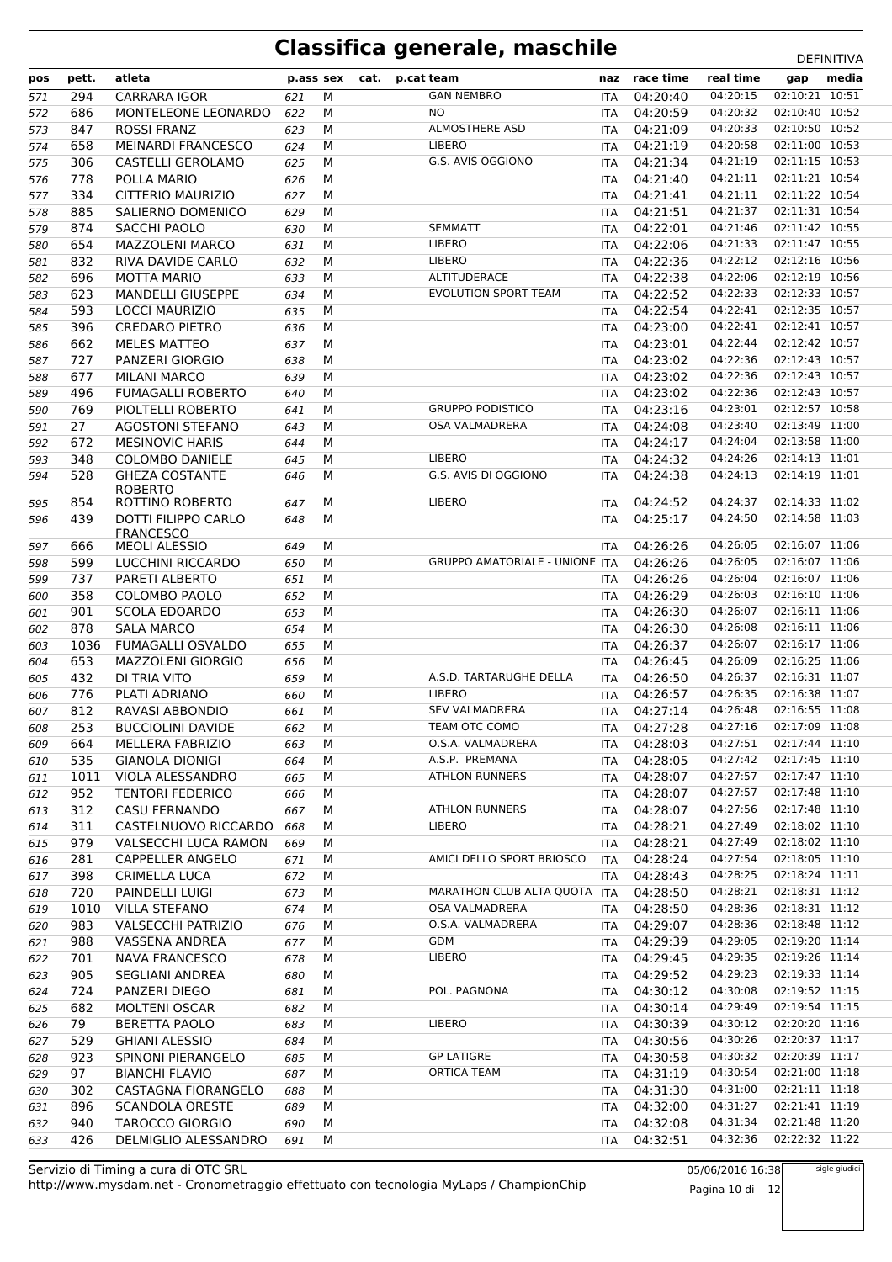| pos | pett. | atleta                                         | p.ass sex |   | cat. | p.cat team |                                       | naz        | race time | real time                 | gap            | media |
|-----|-------|------------------------------------------------|-----------|---|------|------------|---------------------------------------|------------|-----------|---------------------------|----------------|-------|
| 571 | 294   | <b>CARRARA IGOR</b>                            | 621       | M |      |            | <b>GAN NEMBRO</b>                     | <b>ITA</b> | 04:20:40  | 04:20:15                  | 02:10:21 10:51 |       |
| 572 | 686   | MONTELEONE LEONARDO                            | 622       | М |      |            | NO.                                   | ITA        | 04:20:59  | 04:20:32                  | 02:10:40 10:52 |       |
| 573 | 847   | <b>ROSSI FRANZ</b>                             | 623       | M |      |            | <b>ALMOSTHERE ASD</b>                 | <b>ITA</b> | 04:21:09  | 04:20:33                  | 02:10:50 10:52 |       |
| 574 | 658   | <b>MEINARDI FRANCESCO</b>                      | 624       | M |      |            | LIBERO                                | ITA        | 04:21:19  | 04:20:58                  | 02:11:00 10:53 |       |
| 575 | 306   | CASTELLI GEROLAMO                              | 625       | М |      |            | G.S. AVIS OGGIONO                     | ITA        | 04:21:34  | 04:21:19                  | 02:11:15 10:53 |       |
| 576 | 778   | POLLA MARIO                                    | 626       | M |      |            |                                       | <b>ITA</b> | 04:21:40  | 04:21:11                  | 02:11:21 10:54 |       |
| 577 | 334   | CITTERIO MAURIZIO                              | 627       | M |      |            |                                       | ITA        | 04:21:41  | 04:21:11                  | 02:11:22 10:54 |       |
| 578 | 885   | SALIERNO DOMENICO                              | 629       | M |      |            |                                       | ITA        | 04:21:51  | 04:21:37                  | 02:11:31 10:54 |       |
| 579 | 874   | <b>SACCHI PAOLO</b>                            | 630       | M |      |            | <b>SEMMATT</b>                        | <b>ITA</b> | 04:22:01  | 04:21:46                  | 02:11:42 10:55 |       |
| 580 | 654   | <b>MAZZOLENI MARCO</b>                         | 631       | М |      |            | LIBERO                                | ITA        | 04:22:06  | 04:21:33                  | 02:11:47 10:55 |       |
| 581 | 832   | RIVA DAVIDE CARLO                              | 632       | М |      |            | LIBERO                                | ITA        | 04:22:36  | 04:22:12                  | 02:12:16 10:56 |       |
| 582 | 696   | <b>MOTTA MARIO</b>                             | 633       | М |      |            | ALTITUDERACE                          | <b>ITA</b> | 04:22:38  | 04:22:06                  | 02:12:19 10:56 |       |
| 583 | 623   | <b>MANDELLI GIUSEPPE</b>                       | 634       | M |      |            | <b>EVOLUTION SPORT TEAM</b>           | <b>ITA</b> | 04:22:52  | 04:22:33                  | 02:12:33 10:57 |       |
| 584 | 593   | LOCCI MAURIZIO                                 | 635       | M |      |            |                                       | ITA        | 04:22:54  | 04:22:41                  | 02:12:35 10:57 |       |
| 585 | 396   | <b>CREDARO PIETRO</b>                          | 636       | M |      |            |                                       | <b>ITA</b> | 04:23:00  | 04:22:41                  | 02:12:41 10:57 |       |
| 586 | 662   | <b>MELES MATTEO</b>                            | 637       | M |      |            |                                       | ITA        | 04:23:01  | 04:22:44                  | 02:12:42 10:57 |       |
| 587 | 727   | PANZERI GIORGIO                                | 638       | М |      |            |                                       | ITA        | 04:23:02  | 04:22:36                  | 02:12:43 10:57 |       |
| 588 | 677   | <b>MILANI MARCO</b>                            | 639       | M |      |            |                                       | <b>ITA</b> | 04:23:02  | 04:22:36                  | 02:12:43 10:57 |       |
| 589 | 496   | <b>FUMAGALLI ROBERTO</b>                       | 640       | M |      |            |                                       | ITA        | 04:23:02  | 04:22:36                  | 02:12:43 10:57 |       |
| 590 | 769   | PIOLTELLI ROBERTO                              | 641       | M |      |            | <b>GRUPPO PODISTICO</b>               | <b>ITA</b> | 04:23:16  | 04:23:01                  | 02:12:57 10:58 |       |
| 591 | 27    | <b>AGOSTONI STEFANO</b>                        | 643       | M |      |            | <b>OSA VALMADRERA</b>                 | <b>ITA</b> | 04:24:08  | 04:23:40                  | 02:13:49 11:00 |       |
| 592 | 672   | <b>MESINOVIC HARIS</b>                         | 644       | М |      |            |                                       | <b>ITA</b> | 04:24:17  | 04:24:04                  | 02:13:58 11:00 |       |
| 593 | 348   | <b>COLOMBO DANIELE</b>                         | 645       | М |      |            | <b>LIBERO</b>                         | <b>ITA</b> | 04:24:32  | 04:24:26                  | 02:14:13 11:01 |       |
| 594 | 528   | <b>GHEZA COSTANTE</b>                          | 646       | М |      |            | G.S. AVIS DI OGGIONO                  | <b>ITA</b> | 04:24:38  | 04:24:13                  | 02:14:19 11:01 |       |
|     |       | <b>ROBERTO</b>                                 |           |   |      |            |                                       |            |           |                           |                |       |
| 595 | 854   | ROTTINO ROBERTO                                | 647       | М |      |            | <b>LIBERO</b>                         | <b>ITA</b> | 04:24:52  | 04:24:37                  | 02:14:33 11:02 |       |
| 596 | 439   | <b>DOTTI FILIPPO CARLO</b><br><b>FRANCESCO</b> | 648       | M |      |            |                                       | <b>ITA</b> | 04:25:17  | 04:24:50                  | 02:14:58 11:03 |       |
| 597 | 666   | <b>MEOLI ALESSIO</b>                           | 649       | М |      |            |                                       | <b>ITA</b> | 04:26:26  | 04:26:05                  | 02:16:07 11:06 |       |
| 598 | 599   | LUCCHINI RICCARDO                              | 650       | М |      |            | <b>GRUPPO AMATORIALE - UNIONE ITA</b> |            | 04:26:26  | 04:26:05                  | 02:16:07 11:06 |       |
| 599 | 737   | PARETI ALBERTO                                 | 651       | M |      |            |                                       | <b>ITA</b> | 04:26:26  | 04:26:04                  | 02:16:07 11:06 |       |
| 600 | 358   | COLOMBO PAOLO                                  | 652       | М |      |            |                                       | ITA        | 04:26:29  | 04:26:03                  | 02:16:10 11:06 |       |
| 601 | 901   | <b>SCOLA EDOARDO</b>                           | 653       | М |      |            |                                       | ITA        | 04:26:30  | 04:26:07                  | 02:16:11 11:06 |       |
| 602 | 878   | <b>SALA MARCO</b>                              | 654       | М |      |            |                                       | <b>ITA</b> | 04:26:30  | 04:26:08                  | 02:16:11 11:06 |       |
| 603 | 1036  | <b>FUMAGALLI OSVALDO</b>                       | 655       | M |      |            |                                       | ITA        | 04:26:37  | 04:26:07                  | 02:16:17 11:06 |       |
| 604 | 653   | MAZZOLENI GIORGIO                              | 656       | М |      |            |                                       | ITA        | 04:26:45  | 04:26:09                  | 02:16:25 11:06 |       |
| 605 | 432   | DI TRIA VITO                                   | 659       | М |      |            | A.S.D. TARTARUGHE DELLA               | <b>ITA</b> | 04:26:50  | 04:26:37                  | 02:16:31 11:07 |       |
| 606 | 776   | PLATI ADRIANO                                  | 660       | М |      |            | LIBERO                                | ITA        | 04:26:57  | 04:26:35                  | 02:16:38 11:07 |       |
| 607 | 812   | RAVASI ABBONDIO                                | 661       | М |      |            | <b>SEV VALMADRERA</b>                 | ITA        | 04:27:14  | 04:26:48                  | 02:16:55 11:08 |       |
| 608 | 253   | <b>BUCCIOLINI DAVIDE</b>                       | 662       | M |      |            | TEAM OTC COMO                         | <b>ITA</b> | 04:27:28  | 04:27:16                  | 02:17:09 11:08 |       |
| 609 | 664   | MELLERA FABRIZIO                               | 663       | M |      |            | O.S.A. VALMADRERA                     | <b>ITA</b> | 04:28:03  | 04:27:51  02:17:44  11:10 |                |       |
| 610 | 535   | <b>GIANOLA DIONIGI</b>                         | 664       | М |      |            | A.S.P. PREMANA                        | ITA        | 04:28:05  | 04:27:42                  | 02:17:45 11:10 |       |
| 611 | 1011  | VIOLA ALESSANDRO                               | 665       | м |      |            | <b>ATHLON RUNNERS</b>                 | ITA        | 04:28:07  | 04:27:57                  | 02:17:47 11:10 |       |
| 612 | 952   | <b>TENTORI FEDERICO</b>                        | 666       | М |      |            |                                       | ITA        | 04:28:07  | 04:27:57                  | 02:17:48 11:10 |       |
| 613 | 312   | <b>CASU FERNANDO</b>                           | 667       | м |      |            | <b>ATHLON RUNNERS</b>                 | ITA        | 04:28:07  | 04:27:56                  | 02:17:48 11:10 |       |
| 614 | 311   | CASTELNUOVO RICCARDO                           | 668       | М |      |            | <b>LIBERO</b>                         | ITA        | 04:28:21  | 04:27:49                  | 02:18:02 11:10 |       |
| 615 | 979   | VALSECCHI LUCA RAMON                           | 669       | М |      |            |                                       | <b>ITA</b> | 04:28:21  | 04:27:49                  | 02:18:02 11:10 |       |
| 616 | 281   | <b>CAPPELLER ANGELO</b>                        | 671       | М |      |            | AMICI DELLO SPORT BRIOSCO             | ITA        | 04:28:24  | 04:27:54                  | 02:18:05 11:10 |       |
| 617 | 398   | CRIMELLA LUCA                                  | 672       | М |      |            |                                       | ITA        | 04:28:43  | 04:28:25                  | 02:18:24 11:11 |       |
| 618 | 720   | PAINDELLI LUIGI                                | 673       | М |      |            | MARATHON CLUB ALTA QUOTA              | <b>ITA</b> | 04:28:50  | 04:28:21                  | 02:18:31 11:12 |       |
| 619 | 1010  | <b>VILLA STEFANO</b>                           | 674       | М |      |            | OSA VALMADRERA                        | ITA        | 04:28:50  | 04:28:36                  | 02:18:31 11:12 |       |
| 620 | 983   | <b>VALSECCHI PATRIZIO</b>                      | 676       | М |      |            | O.S.A. VALMADRERA                     | ITA        | 04:29:07  | 04:28:36                  | 02:18:48 11:12 |       |
| 621 | 988   | VASSENA ANDREA                                 | 677       | М |      |            | GDM                                   | ITA        | 04:29:39  | 04:29:05                  | 02:19:20 11:14 |       |
| 622 | 701   | <b>NAVA FRANCESCO</b>                          | 678       | M |      |            | <b>LIBERO</b>                         | ITA        | 04:29:45  | 04:29:35                  | 02:19:26 11:14 |       |
| 623 | 905   | <b>SEGLIANI ANDREA</b>                         | 680       | М |      |            |                                       | ITA        | 04:29:52  | 04:29:23                  | 02:19:33 11:14 |       |
| 624 | 724   | PANZERI DIEGO                                  | 681       | М |      |            | POL. PAGNONA                          | <b>ITA</b> | 04:30:12  | 04:30:08                  | 02:19:52 11:15 |       |
| 625 | 682   | MOLTENI OSCAR                                  | 682       | М |      |            |                                       | ITA        | 04:30:14  | 04:29:49                  | 02:19:54 11:15 |       |
| 626 | 79    | <b>BERETTA PAOLO</b>                           | 683       | м |      |            | LIBERO                                | ITA        | 04:30:39  | 04:30:12                  | 02:20:20 11:16 |       |
| 627 | 529   | <b>GHIANI ALESSIO</b>                          | 684       | М |      |            |                                       | ITA        | 04:30:56  | 04:30:26                  | 02:20:37 11:17 |       |
| 628 | 923   | SPINONI PIERANGELO                             | 685       | М |      |            | <b>GP LATIGRE</b>                     | ITA        | 04:30:58  | 04:30:32                  | 02:20:39 11:17 |       |
| 629 | 97    | <b>BIANCHI FLAVIO</b>                          | 687       | М |      |            | <b>ORTICA TEAM</b>                    | ITA        | 04:31:19  | 04:30:54                  | 02:21:00 11:18 |       |
| 630 | 302   | CASTAGNA FIORANGELO                            | 688       | М |      |            |                                       | ITA        | 04:31:30  | 04:31:00                  | 02:21:11 11:18 |       |
| 631 | 896   | <b>SCANDOLA ORESTE</b>                         | 689       | М |      |            |                                       | ITA        | 04:32:00  | 04:31:27                  | 02:21:41 11:19 |       |
| 632 | 940   | <b>TAROCCO GIORGIO</b>                         | 690       | м |      |            |                                       | ITA        | 04:32:08  | 04:31:34                  | 02:21:48 11:20 |       |
| 633 | 426   | DELMIGLIO ALESSANDRO                           | 691       | М |      |            |                                       | ITA        | 04:32:51  | 04:32:36                  | 02:22:32 11:22 |       |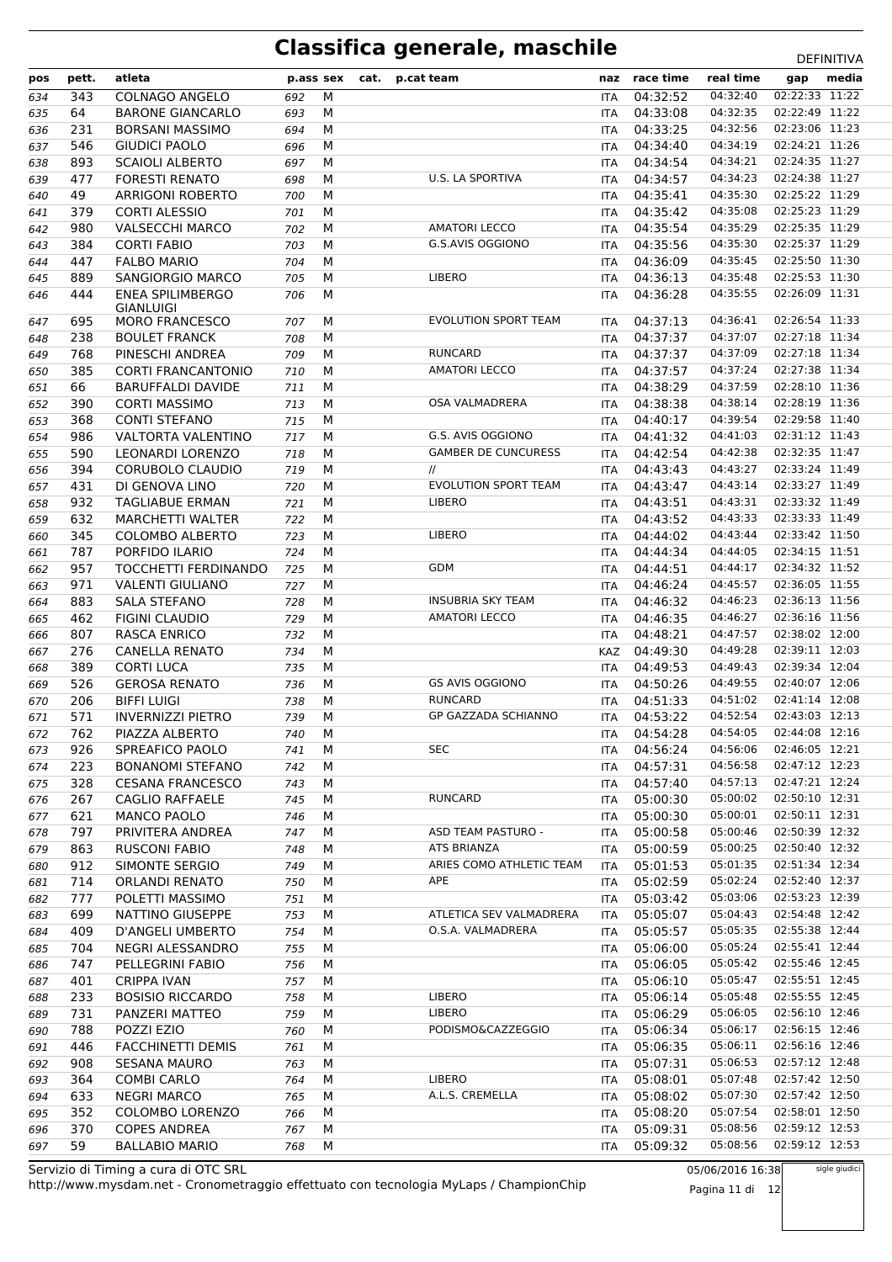| pos | pett. | atleta                    | p.ass sex |   | cat. | p.cat team                  | naz        | race time    | real time | gap            | media |
|-----|-------|---------------------------|-----------|---|------|-----------------------------|------------|--------------|-----------|----------------|-------|
| 634 | 343   | <b>COLNAGO ANGELO</b>     | 692       | M |      |                             | <b>ITA</b> | 04:32:52     | 04:32:40  | 02:22:33 11:22 |       |
| 635 | 64    | <b>BARONE GIANCARLO</b>   | 693       | М |      |                             | <b>ITA</b> | 04:33:08     | 04:32:35  | 02:22:49 11:22 |       |
| 636 | 231   | <b>BORSANI MASSIMO</b>    | 694       | M |      |                             | ITA        | 04:33:25     | 04:32:56  | 02:23:06 11:23 |       |
| 637 | 546   | <b>GIUDICI PAOLO</b>      | 696       | M |      |                             | ITA        | 04:34:40     | 04:34:19  | 02:24:21 11:26 |       |
| 638 | 893   | <b>SCAIOLI ALBERTO</b>    | 697       | M |      |                             | ITA        | 04:34:54     | 04:34:21  | 02:24:35 11:27 |       |
| 639 | 477   | <b>FORESTI RENATO</b>     | 698       | M |      | U.S. LA SPORTIVA            | ITA        | 04:34:57     | 04:34:23  | 02:24:38 11:27 |       |
| 640 | 49    | <b>ARRIGONI ROBERTO</b>   | 700       | M |      |                             | ITA        | 04:35:41     | 04:35:30  | 02:25:22 11:29 |       |
| 641 | 379   | <b>CORTI ALESSIO</b>      | 701       | M |      |                             | <b>ITA</b> | 04:35:42     | 04:35:08  | 02:25:23 11:29 |       |
| 642 | 980   | <b>VALSECCHI MARCO</b>    | 702       | M |      | <b>AMATORI LECCO</b>        | <b>ITA</b> | 04:35:54     | 04:35:29  | 02:25:35 11:29 |       |
| 643 | 384   | <b>CORTI FABIO</b>        | 703       | M |      | G.S.AVIS OGGIONO            | ITA        | 04:35:56     | 04:35:30  | 02:25:37 11:29 |       |
| 644 | 447   | <b>FALBO MARIO</b>        | 704       | M |      |                             | ITA        | 04:36:09     | 04:35:45  | 02:25:50 11:30 |       |
| 645 | 889   | <b>SANGIORGIO MARCO</b>   | 705       | M |      | <b>LIBERO</b>               | ITA        | 04:36:13     | 04:35:48  | 02:25:53 11:30 |       |
| 646 | 444   | <b>ENEA SPILIMBERGO</b>   | 706       | M |      |                             | ITA        | 04:36:28     | 04:35:55  | 02:26:09 11:31 |       |
|     |       | GIANLUIGI                 |           |   |      |                             |            |              |           |                |       |
| 647 | 695   | <b>MORO FRANCESCO</b>     | 707       | M |      | <b>EVOLUTION SPORT TEAM</b> | ITA        | 04:37:13     | 04:36:41  | 02:26:54 11:33 |       |
| 648 | 238   | <b>BOULET FRANCK</b>      | 708       | M |      |                             | <b>ITA</b> | 04:37:37     | 04:37:07  | 02:27:18 11:34 |       |
| 649 | 768   | PINESCHI ANDREA           | 709       | M |      | <b>RUNCARD</b>              | <b>ITA</b> | 04:37:37     | 04:37:09  | 02:27:18 11:34 |       |
| 650 | 385   | <b>CORTI FRANCANTONIO</b> | 710       | M |      | <b>AMATORI LECCO</b>        | ITA        | 04:37:57     | 04:37:24  | 02:27:38 11:34 |       |
| 651 | 66    | <b>BARUFFALDI DAVIDE</b>  | 711       | M |      |                             | <b>ITA</b> | 04:38:29     | 04:37:59  | 02:28:10 11:36 |       |
| 652 | 390   | <b>CORTI MASSIMO</b>      | 713       | M |      | <b>OSA VALMADRERA</b>       | ITA        | 04:38:38     | 04:38:14  | 02:28:19 11:36 |       |
| 653 | 368   | <b>CONTI STEFANO</b>      | 715       | M |      |                             | ITA        | 04:40:17     | 04:39:54  | 02:29:58 11:40 |       |
| 654 | 986   | VALTORTA VALENTINO        | 717       | M |      | G.S. AVIS OGGIONO           | <b>ITA</b> | 04:41:32     | 04:41:03  | 02:31:12 11:43 |       |
| 655 | 590   | <b>LEONARDI LORENZO</b>   | 718       | M |      | <b>GAMBER DE CUNCURESS</b>  | ITA        | 04:42:54     | 04:42:38  | 02:32:35 11:47 |       |
| 656 | 394   | <b>CORUBOLO CLAUDIO</b>   | 719       | M |      | $^{\prime\prime}$           | ITA        | 04:43:43     | 04:43:27  | 02:33:24 11:49 |       |
| 657 | 431   | DI GENOVA LINO            | 720       | M |      | EVOLUTION SPORT TEAM        | <b>ITA</b> | 04:43:47     | 04:43:14  | 02:33:27 11:49 |       |
| 658 | 932   | <b>TAGLIABUE ERMAN</b>    | 721       | M |      | <b>LIBERO</b>               | ITA        | 04:43:51     | 04:43:31  | 02:33:32 11:49 |       |
| 659 | 632   | <b>MARCHETTI WALTER</b>   | 722       | M |      |                             | ITA        | 04:43:52     | 04:43:33  | 02:33:33 11:49 |       |
| 660 | 345   | <b>COLOMBO ALBERTO</b>    | 723       | M |      | <b>LIBERO</b>               | ITA        | 04:44:02     | 04:43:44  | 02:33:42 11:50 |       |
| 661 | 787   | PORFIDO ILARIO            | 724       | M |      |                             | ITA        | 04:44:34     | 04:44:05  | 02:34:15 11:51 |       |
| 662 | 957   | TOCCHETTI FERDINANDO      | 725       | M |      | <b>GDM</b>                  | ITA        | 04:44:51     | 04:44:17  | 02:34:32 11:52 |       |
| 663 | 971   | <b>VALENTI GIULIANO</b>   | 727       | M |      |                             | <b>ITA</b> | 04:46:24     | 04:45:57  | 02:36:05 11:55 |       |
| 664 | 883   | <b>SALA STEFANO</b>       | 728       | M |      | <b>INSUBRIA SKY TEAM</b>    | ITA        | 04:46:32     | 04:46:23  | 02:36:13 11:56 |       |
| 665 | 462   | <b>FIGINI CLAUDIO</b>     | 729       | M |      | <b>AMATORI LECCO</b>        | ITA        | 04:46:35     | 04:46:27  | 02:36:16 11:56 |       |
| 666 | 807   | RASCA ENRICO              | 732       | M |      |                             | <b>ITA</b> | 04:48:21     | 04:47:57  | 02:38:02 12:00 |       |
| 667 | 276   | <b>CANELLA RENATO</b>     | 734       | M |      |                             | KAZ        | 04:49:30     | 04:49:28  | 02:39:11 12:03 |       |
| 668 | 389   | <b>CORTI LUCA</b>         | 735       | M |      |                             | <b>ITA</b> | 04:49:53     | 04:49:43  | 02:39:34 12:04 |       |
| 669 | 526   | <b>GEROSA RENATO</b>      | 736       | M |      | <b>GS AVIS OGGIONO</b>      | ITA        | 04:50:26     | 04:49:55  | 02:40:07 12:06 |       |
| 670 | 206   | <b>BIFFI LUIGI</b>        | 738       | M |      | <b>RUNCARD</b>              | ITA        | 04:51:33     | 04:51:02  | 02:41:14 12:08 |       |
| 671 | 571   | <b>INVERNIZZI PIETRO</b>  | 739       | M |      | <b>GP GAZZADA SCHIANNO</b>  | <b>ITA</b> | 04:53:22     | 04:52:54  | 02:43:03 12:13 |       |
| 672 | 762   | PIAZZA ALBERTO            | 740       | M |      |                             | ITA        | 04:54:28     | 04:54:05  | 02:44:08 12:16 |       |
| 673 | 926   | SPREAFICO PAOLO           | 741       | M |      | <b>SEC</b>                  | ITA.       | 04:56:24     | 04:56:06  | 02:46:05 12:21 |       |
| 674 | 223   | <b>BONANOMI STEFANO</b>   | 742       | M |      |                             | ITA        | 04:57:31     | 04:56:58  | 02:47:12 12:23 |       |
| 675 | 328   | <b>CESANA FRANCESCO</b>   | 743       | M |      |                             |            | ITA 04:57:40 | 04:57:13  | 02:47:21 12:24 |       |
| 676 | 267   | <b>CAGLIO RAFFAELE</b>    | 745       | М |      | <b>RUNCARD</b>              | ITA        | 05:00:30     | 05:00:02  | 02:50:10 12:31 |       |
| 677 | 621   | MANCO PAOLO               | 746       | M |      |                             | ITA        | 05:00:30     | 05:00:01  | 02:50:11 12:31 |       |
| 678 | 797   | PRIVITERA ANDREA          | 747       | М |      | ASD TEAM PASTURO -          | ITA        | 05:00:58     | 05:00:46  | 02:50:39 12:32 |       |
| 679 | 863   | <b>RUSCONI FABIO</b>      | 748       | М |      | ATS BRIANZA                 | ITA        | 05:00:59     | 05:00:25  | 02:50:40 12:32 |       |
| 680 | 912   | SIMONTE SERGIO            | 749       | M |      | ARIES COMO ATHLETIC TEAM    | ITA        | 05:01:53     | 05:01:35  | 02:51:34 12:34 |       |
| 681 | 714   | <b>ORLANDI RENATO</b>     | 750       | M |      | APE                         | ITA        | 05:02:59     | 05:02:24  | 02:52:40 12:37 |       |
| 682 | 777   | POLETTI MASSIMO           | 751       | M |      |                             | ITA        | 05:03:42     | 05:03:06  | 02:53:23 12:39 |       |
| 683 | 699   | NATTINO GIUSEPPE          | 753       | М |      | ATLETICA SEV VALMADRERA     | ITA        | 05:05:07     | 05:04:43  | 02:54:48 12:42 |       |
| 684 | 409   | D'ANGELI UMBERTO          | 754       | М |      | O.S.A. VALMADRERA           | ITA        | 05:05:57     | 05:05:35  | 02:55:38 12:44 |       |
| 685 | 704   | NEGRI ALESSANDRO          | 755       | M |      |                             | ITA        | 05:06:00     | 05:05:24  | 02:55:41 12:44 |       |
| 686 | 747   | PELLEGRINI FABIO          | 756       | M |      |                             | ITA        | 05:06:05     | 05:05:42  | 02:55:46 12:45 |       |
| 687 | 401   | <b>CRIPPA IVAN</b>        | 757       | M |      |                             | ITA        | 05:06:10     | 05:05:47  | 02:55:51 12:45 |       |
| 688 | 233   | <b>BOSISIO RICCARDO</b>   | 758       | M |      | <b>LIBERO</b>               | ITA        | 05:06:14     | 05:05:48  | 02:55:55 12:45 |       |
| 689 | 731   | PANZERI MATTEO            | 759       | M |      | <b>LIBERO</b>               | ITA        | 05:06:29     | 05:06:05  | 02:56:10 12:46 |       |
| 690 | 788   | POZZI EZIO                | 760       | М |      | PODISMO&CAZZEGGIO           | ITA        | 05:06:34     | 05:06:17  | 02:56:15 12:46 |       |
| 691 | 446   | FACCHINETTI DEMIS         | 761       | M |      |                             | ITA        | 05:06:35     | 05:06:11  | 02:56:16 12:46 |       |
| 692 | 908   | <b>SESANA MAURO</b>       | 763       | M |      |                             | ITA        | 05:07:31     | 05:06:53  | 02:57:12 12:48 |       |
| 693 | 364   | <b>COMBI CARLO</b>        | 764       | M |      | LIBERO                      | ITA        | 05:08:01     | 05:07:48  | 02:57:42 12:50 |       |
| 694 | 633   | <b>NEGRI MARCO</b>        | 765       | M |      | A.L.S. CREMELLA             | ITA        | 05:08:02     | 05:07:30  | 02:57:42 12:50 |       |
| 695 | 352   | COLOMBO LORENZO           | 766       | М |      |                             | <b>ITA</b> | 05:08:20     | 05:07:54  | 02:58:01 12:50 |       |
| 696 | 370   | <b>COPES ANDREA</b>       | 767       | M |      |                             | <b>ITA</b> | 05:09:31     | 05:08:56  | 02:59:12 12:53 |       |
| 697 | 59    | <b>BALLABIO MARIO</b>     | 768       | M |      |                             | <b>ITA</b> | 05:09:32     | 05:08:56  | 02:59:12 12:53 |       |

http://www.mysdam.net - Cronometraggio effettuato con tecnologia MyLaps / ChampionChip Servizio di Timing a cura di OTC SRL

05/06/2016 16:38 Pagina 11 di 12